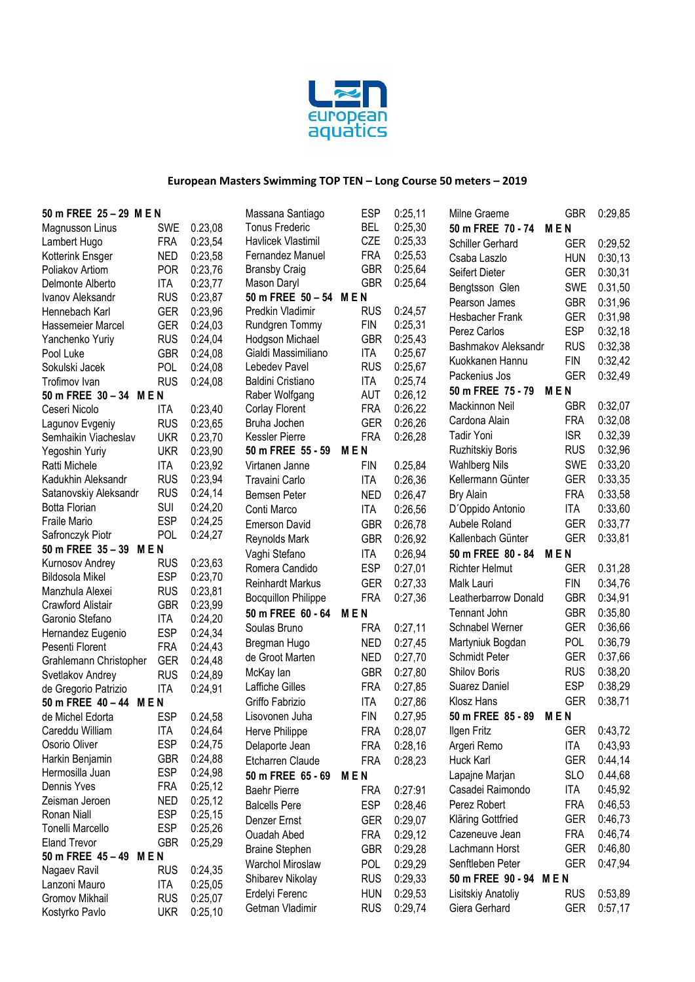

| <b>ESP</b><br>0:25,11<br>50 m FREE 25 - 29 M E N<br>Massana Santiago<br>Milne Graeme                                                                                  | <b>GBR</b><br>0:29,85                          |
|-----------------------------------------------------------------------------------------------------------------------------------------------------------------------|------------------------------------------------|
| <b>Tonus Frederic</b><br><b>BEL</b><br>0:25,30<br>0.23,08<br><b>SWE</b><br>50 m FREE 70 - 74<br>Magnusson Linus                                                       | <b>MEN</b>                                     |
| CZE<br>Havlicek Vlastimil<br>0:25,33<br><b>FRA</b><br>0:23,54<br>Lambert Hugo<br>Schiller Gerhard                                                                     | <b>GER</b><br>0:29,52                          |
| Fernandez Manuel<br><b>FRA</b><br>0:25,53<br><b>NED</b><br>0:23,58<br>Kotterink Ensger<br>Csaba Laszlo                                                                | 0:30,13<br><b>HUN</b>                          |
| <b>GBR</b><br><b>POR</b><br>0:25,64<br>0:23,76<br><b>Bransby Craig</b><br>Poliakov Artiom<br>Seifert Dieter                                                           | <b>GER</b><br>0:30,31                          |
| <b>GBR</b><br>0:25,64<br><b>ITA</b><br>0:23,77<br>Mason Daryl<br>Delmonte Alberto<br>Bengtsson Glen                                                                   | SWE<br>0.31,50                                 |
| 50 m FREE 50 - 54 M E N<br><b>RUS</b><br>0:23,87<br>Ivanov Aleksandr<br>Pearson James                                                                                 | 0:31,96<br><b>GBR</b>                          |
| 0:24,57<br><b>GER</b><br>Predkin Vladimir<br><b>RUS</b><br>Hennebach Karl<br>0:23,96                                                                                  |                                                |
| Hesbacher Frank<br><b>GER</b><br>Rundgren Tommy<br><b>FIN</b><br>0:25,31<br>0:24,03<br>Hassemeier Marcel                                                              | 0:31,98<br><b>GER</b>                          |
| Perez Carlos<br><b>RUS</b><br>Hodgson Michael<br><b>GBR</b><br>0:25,43<br>0:24,04<br>Yanchenko Yuriy                                                                  | <b>ESP</b><br>0:32,18                          |
| Bashmakov Aleksandr<br><b>GBR</b><br>Gialdi Massimiliano<br><b>ITA</b><br>0:25,67<br>0:24,08<br>Pool Luke                                                             | <b>RUS</b><br>0:32,38                          |
| Kuokkanen Hannu<br><b>RUS</b><br>POL<br>0:24,08<br>Lebedev Pavel<br>0:25,67<br>Sokulski Jacek                                                                         | 0:32,42<br><b>FIN</b>                          |
| Packenius Jos<br><b>RUS</b><br>Baldini Cristiano<br><b>ITA</b><br>0:25,74<br>0:24,08<br>Trofimov Ivan                                                                 | <b>GER</b><br>0:32,49                          |
| 50 m FREE 75 - 79<br><b>AUT</b><br>0:26,12<br>Raber Wolfgang<br>50 m FREE 30 - 34 M E N                                                                               | <b>MEN</b>                                     |
| Mackinnon Neil<br>0:23,40<br><b>FRA</b><br>0:26,22<br>Ceseri Nicolo<br>Corlay Florent<br>ITA                                                                          | 0:32,07<br><b>GBR</b>                          |
| Cardona Alain<br>Bruha Jochen<br><b>GER</b><br>0:26,26<br><b>RUS</b><br>0:23,65<br>Lagunov Evgeniy                                                                    | <b>FRA</b><br>0:32,08                          |
| <b>Tadir Yoni</b><br><b>FRA</b><br><b>UKR</b><br>Kessler Pierre<br>0:26,28<br>Semhaikin Viacheslav<br>0.23,70                                                         | <b>ISR</b><br>0.32,39                          |
| <b>Ruzhitskiy Boris</b><br><b>UKR</b><br>50 m FREE 55 - 59<br><b>MEN</b><br>0:23,90<br>Yegoshin Yuriy                                                                 | <b>RUS</b><br>0:32,96                          |
| 0.25,84<br><b>Wahlberg Nils</b><br><b>ITA</b><br>0:23,92<br>FIN<br>Ratti Michele<br>Virtanen Janne                                                                    | <b>SWE</b><br>0:33,20                          |
| <b>RUS</b><br>0:23,94<br>Kadukhin Aleksandr<br>Kellermann Günter<br>Travaini Carlo<br><b>ITA</b><br>0:26.36                                                           | <b>GER</b><br>0:33,35                          |
| <b>RUS</b><br>0:24,14<br>Satanovskiy Aleksandr<br>Bemsen Peter<br><b>NED</b><br>0:26,47<br><b>Bry Alain</b>                                                           | <b>FRA</b><br>0:33,58                          |
| <b>SUI</b><br>0:24,20<br><b>Botta Florian</b><br>Conti Marco<br>0:26,56<br>D'Oppido Antonio<br><b>ITA</b>                                                             | <b>ITA</b><br>0:33,60                          |
| <b>ESP</b><br>Fraile Mario<br>0:24,25<br>0:26,78<br>Aubele Roland<br><b>Emerson David</b><br><b>GBR</b>                                                               | <b>GER</b><br>0:33,77                          |
| POL<br>0:24,27<br>Safronczyk Piotr<br><b>GBR</b><br>0:26.92<br>Kallenbach Günter<br>Reynolds Mark                                                                     | <b>GER</b><br>0:33,81                          |
| 50 m FREE 35 - 39 M E N<br>0:26,94<br>Vaghi Stefano<br><b>ITA</b><br>50 m FREE 80 - 84                                                                                | <b>MEN</b>                                     |
| 0:23,63<br><b>RUS</b><br>Kurnosov Andrey<br><b>ESP</b><br><b>Richter Helmut</b>                                                                                       | 0.31,28<br><b>GER</b>                          |
| 0:27,01<br>Romera Candido<br><b>ESP</b><br>0:23,70<br><b>Bildosola Mikel</b>                                                                                          |                                                |
| 0:27,33<br><b>Reinhardt Markus</b><br><b>GER</b><br>Malk Lauri<br><b>RUS</b><br>0:23,81<br>Manzhula Alexei                                                            | 0:34,76<br>FIN                                 |
| <b>FRA</b><br>0:27,36<br>Leatherbarrow Donald<br><b>Bocquillon Philippe</b><br><b>GBR</b><br>Crawford Alistair<br>0:23,99                                             | 0:34,91<br><b>GBR</b>                          |
| 50 m FREE 60 - 64<br><b>MEN</b><br>Tennant John<br>Garonio Stefano<br><b>ITA</b><br>0:24,20                                                                           | <b>GBR</b><br>0:35,80                          |
| Schnabel Werner<br>0:27,11<br>Soulas Bruno<br><b>FRA</b><br><b>ESP</b><br>0:24,34<br>Hernandez Eugenio                                                                | <b>GER</b><br>0:36,66                          |
| <b>NED</b><br>0:27,45<br>Martyniuk Bogdan<br>Bregman Hugo<br><b>FRA</b><br>0:24,43<br>Pesenti Florent                                                                 | 0:36,79<br><b>POL</b>                          |
| Schmidt Peter<br><b>NED</b><br>0:27,70<br>de Groot Marten<br><b>GER</b><br>0:24,48<br>Grahlemann Christopher                                                          | 0:37,66<br><b>GER</b>                          |
| <b>Shilov Boris</b><br><b>GBR</b><br>0:27,80<br>McKay lan<br><b>RUS</b><br>0:24,89<br>Svetlakov Andrey                                                                | <b>RUS</b><br>0:38,20                          |
| Suarez Daniel<br>0:27,85<br>Laffiche Gilles<br><b>FRA</b><br><b>ITA</b><br>0:24,91<br>de Gregorio Patrizio                                                            | <b>ESP</b><br>0:38,29                          |
| Klosz Hans<br>Griffo Fabrizio<br><b>ITA</b><br>0:27,86<br>50 m FREE 40 - 44 M E N                                                                                     | <b>GER</b><br>0:38,71                          |
| <b>ESP</b><br><b>FIN</b><br>0.27,95<br>50 m FREE 85 - 89<br>de Michel Edorta<br>0.24,58<br>Lisovonen Juha                                                             | <b>MEN</b>                                     |
| Careddu William<br><b>ITA</b><br>0:24,64<br>Herve Philippe<br><b>FRA</b><br>Ilgen Fritz<br>0:28,07                                                                    | GER 0:43,72                                    |
| <b>ESP</b><br>Osorio Oliver<br>0:24,75<br><b>FRA</b><br>0:28,16<br>Delaporte Jean<br>Argeri Remo                                                                      | 0:43,93<br><b>ITA</b>                          |
| <b>GBR</b><br>Harkin Benjamin<br>0:24,88<br>Etcharren Claude<br><b>FRA</b><br>0:28,23<br>Huck Karl                                                                    | <b>GER</b><br>0:44,14                          |
| <b>ESP</b><br>Hermosilla Juan<br>0:24,98<br>Lapajne Marjan<br>50 m FREE 65 - 69<br><b>MEN</b>                                                                         | <b>SLO</b><br>0.44,68                          |
| Dennis Yves<br><b>FRA</b><br>0:25,12<br>Casadei Raimondo<br>0:27:91<br><b>Baehr Pierre</b><br><b>FRA</b>                                                              | 0:45,92<br><b>ITA</b>                          |
| Zeisman Jeroen<br><b>NED</b><br>0:25,12<br><b>ESP</b><br>0:28,46<br>Perez Robert<br><b>Balcells Pere</b>                                                              | 0:46,53<br><b>FRA</b>                          |
| <b>ESP</b><br>Ronan Niall<br>0:25,15                                                                                                                                  |                                                |
| 0:29,07<br>Kläring Gottfried<br>Denzer Ernst<br><b>GER</b><br><b>ESP</b><br><b>Tonelli Marcello</b><br>0:25,26                                                        | 0:46,73<br><b>GER</b>                          |
| Cazeneuve Jean<br>Ouadah Abed<br><b>FRA</b><br>0:29,12<br><b>Eland Trevor</b><br><b>GBR</b><br>0:25,29                                                                | <b>FRA</b><br>0:46,74                          |
| <b>GBR</b><br>Lachmann Horst<br><b>Braine Stephen</b><br>0:29,28<br>50 m FREE 45 - 49 M E N                                                                           | <b>GER</b><br>0:46,80                          |
| Senftleben Peter<br><b>POL</b><br><b>Warchol Miroslaw</b><br>0:29,29<br><b>RUS</b><br>0:24,35<br>Nagaev Ravil                                                         | <b>GER</b><br>0:47,94                          |
| 50 m FREE 90 - 94 M E N<br><b>RUS</b><br>Shibarev Nikolay<br>0:29,33<br>Lanzoni Mauro<br><b>ITA</b><br>0:25,05                                                        |                                                |
|                                                                                                                                                                       |                                                |
| Erdelyi Ferenc<br><b>HUN</b><br>0:29,53<br>Lisitskiy Anatoliy<br>Gromov Mikhail<br><b>RUS</b><br>0:25,07<br><b>RUS</b><br>0:29,74<br>Getman Vladimir<br>Giera Gerhard | 0:53,89<br><b>RUS</b><br><b>GER</b><br>0:57,17 |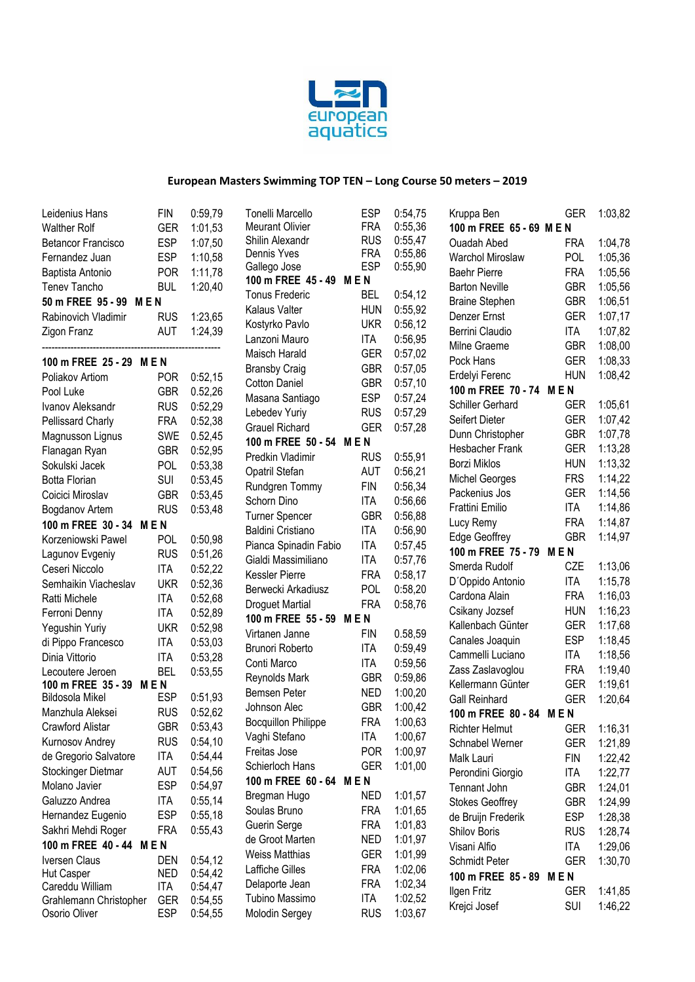

| Leidenius Hans            | <b>FIN</b> | 0:59,79 | Tonelli Marcello           | <b>ESP</b> | 0:54,75 | Kruppa Ben                                | <b>GER</b> | 1:03,82 |
|---------------------------|------------|---------|----------------------------|------------|---------|-------------------------------------------|------------|---------|
| <b>Walther Rolf</b>       | <b>GER</b> | 1:01,53 | <b>Meurant Olivier</b>     | <b>FRA</b> | 0:55,36 | 100 m FREE 65 - 69 M E N                  |            |         |
| <b>Betancor Francisco</b> | <b>ESP</b> | 1:07,50 | Shilin Alexandr            | <b>RUS</b> | 0:55,47 | <b>Ouadah Abed</b>                        | <b>FRA</b> | 1:04,78 |
| Fernandez Juan            | <b>ESP</b> | 1:10,58 | Dennis Yves                | <b>FRA</b> | 0:55,86 | Warchol Miroslaw                          | <b>POL</b> | 1:05,36 |
| Baptista Antonio          | <b>POR</b> | 1:11,78 | Gallego Jose               | <b>ESP</b> | 0:55,90 | <b>Baehr Pierre</b>                       | <b>FRA</b> | 1:05,56 |
| <b>Tenev Tancho</b>       | <b>BUL</b> | 1:20,40 | 100 m FREE 45 - 49 M E N   |            |         | <b>Barton Neville</b>                     | <b>GBR</b> | 1:05,56 |
| 50 m FREE 95 - 99 M E N   |            |         | <b>Tonus Frederic</b>      | <b>BEL</b> | 0:54,12 | <b>Braine Stephen</b>                     | <b>GBR</b> | 1:06,51 |
| Rabinovich Vladimir       | <b>RUS</b> | 1:23,65 | Kalaus Valter              | <b>HUN</b> | 0:55,92 | Denzer Ernst                              | <b>GER</b> | 1:07,17 |
| Zigon Franz               | <b>AUT</b> | 1:24,39 | Kostyrko Pavlo             | <b>UKR</b> | 0:56,12 | Berrini Claudio                           | ITA        | 1:07,82 |
|                           |            |         | Lanzoni Mauro              | <b>ITA</b> | 0:56,95 | Milne Graeme                              | <b>GBR</b> | 1:08,00 |
| 100 m FREE 25 - 29 M E N  |            |         | Maisch Harald              | <b>GER</b> | 0:57,02 | Pock Hans                                 | <b>GER</b> | 1:08,33 |
| Poliakov Artiom           | <b>POR</b> | 0:52,15 | <b>Bransby Craig</b>       | <b>GBR</b> | 0:57,05 | Erdelyi Ferenc                            | <b>HUN</b> | 1:08,42 |
| Pool Luke                 | <b>GBR</b> | 0.52,26 | <b>Cotton Daniel</b>       | <b>GBR</b> | 0:57,10 | 100 m FREE 70 - 74 M E N                  |            |         |
| Ivanov Aleksandr          | <b>RUS</b> | 0:52,29 | Masana Santiago            | <b>ESP</b> | 0:57,24 | Schiller Gerhard                          | <b>GER</b> | 1:05,61 |
| Pellissard Charly         | <b>FRA</b> | 0:52,38 | Lebedev Yuriy              | <b>RUS</b> | 0:57,29 | Seifert Dieter                            | <b>GER</b> | 1:07,42 |
| Magnusson Lignus          | SWE        | 0.52,45 | <b>Grauel Richard</b>      | <b>GER</b> | 0:57,28 | Dunn Christopher                          | <b>GBR</b> | 1:07,78 |
| Flanagan Ryan             | <b>GBR</b> | 0:52,95 | 100 m FREE 50 - 54 M E N   |            |         | Hesbacher Frank                           | <b>GER</b> | 1:13,28 |
| Sokulski Jacek            | POL        | 0:53,38 | Predkin Vladimir           | <b>RUS</b> | 0:55,91 | <b>Borzi Miklos</b>                       | <b>HUN</b> | 1:13,32 |
| <b>Botta Florian</b>      | <b>SUI</b> |         | Opatril Stefan             | <b>AUT</b> | 0:56,21 | <b>Michel Georges</b>                     | <b>FRS</b> | 1:14,22 |
| Coicici Miroslav          |            | 0:53,45 | Rundgren Tommy             | <b>FIN</b> | 0:56,34 | Packenius Jos                             | <b>GER</b> | 1:14,56 |
|                           | <b>GBR</b> | 0:53,45 | Schorn Dino                | <b>ITA</b> | 0:56,66 | Frattini Emilio                           | <b>ITA</b> | 1:14,86 |
| Bogdanov Artem            | <b>RUS</b> | 0:53,48 | <b>Turner Spencer</b>      | <b>GBR</b> | 0:56,88 | Lucy Remy                                 | <b>FRA</b> | 1:14,87 |
| 100 m FREE 30 - 34 M E N  |            |         | Baldini Cristiano          | <b>ITA</b> | 0:56,90 |                                           | <b>GBR</b> | 1:14,97 |
| Korzeniowski Pawel        | <b>POL</b> | 0:50,98 | Pianca Spinadin Fabio      | <b>ITA</b> | 0:57,45 | Edge Geoffrey<br>100 m FREE 75 - 79 M E N |            |         |
| Lagunov Evgeniy           | <b>RUS</b> | 0:51,26 | Gialdi Massimiliano        | <b>ITA</b> | 0:57,76 |                                           |            |         |
| Ceseri Niccolo            | <b>ITA</b> | 0:52,22 | Kessler Pierre             | <b>FRA</b> | 0:58,17 | Smerda Rudolf                             | CZE        | 1:13,06 |
| Semhaikin Viacheslav      | <b>UKR</b> | 0:52,36 | Berwecki Arkadiusz         | POL        | 0:58,20 | D'Oppido Antonio                          | ITA        | 1:15,78 |
| Ratti Michele             | <b>ITA</b> | 0:52,68 | <b>Droguet Martial</b>     | <b>FRA</b> | 0:58,76 | Cardona Alain                             | <b>FRA</b> | 1:16,03 |
| Ferroni Denny             | <b>ITA</b> | 0:52,89 | 100 m FREE 55 - 59 M E N   |            |         | Csikany Jozsef                            | <b>HUN</b> | 1:16,23 |
| Yegushin Yuriy            | <b>UKR</b> | 0:52,98 | Virtanen Janne             | <b>FIN</b> | 0.58,59 | Kallenbach Günter                         | <b>GER</b> | 1:17,68 |
| di Pippo Francesco        | ITA        | 0:53,03 | Brunori Roberto            | <b>ITA</b> | 0:59,49 | Canales Joaquin                           | <b>ESP</b> | 1:18,45 |
| Dinia Vittorio            | ITA        | 0:53,28 | Conti Marco                | <b>ITA</b> | 0:59,56 | Cammelli Luciano                          | <b>ITA</b> | 1:18,56 |
| Lecoutere Jeroen          | BEL        | 0:53,55 | Reynolds Mark              | <b>GBR</b> | 0:59,86 | Zass Zaslavoglou                          | <b>FRA</b> | 1:19,40 |
| 100 m FREE 35 - 39        | <b>MEN</b> |         | Bemsen Peter               | <b>NED</b> | 1:00,20 | Kellermann Günter                         | <b>GER</b> | 1:19,61 |
| Bildosola Mikel           | ESP        | 0:51,93 | Johnson Alec               | <b>GBR</b> | 1:00,42 | <b>Gall Reinhard</b>                      | <b>GER</b> | 1:20,64 |
| Manzhula Aleksei          | <b>RUS</b> | 0:52,62 | <b>Bocquillon Philippe</b> | <b>FRA</b> | 1:00,63 | 100 m FREE 80 - 84 M E N                  |            |         |
| Crawford Alistar          | <b>GBR</b> | 0:53,43 | Vaghi Stefano              | <b>ITA</b> | 1:00,67 | Richter Helmut                            | <b>GER</b> | 1:16,31 |
| Kurnosov Andrey           | <b>RUS</b> | 0:54,10 | Freitas Jose               | <b>POR</b> | 1:00,97 | Schnabel Werner                           | GER        | 1:21,89 |
| de Gregorio Salvatore     | <b>ITA</b> | 0:54,44 | Schierloch Hans            | <b>GER</b> | 1:01,00 | Malk Lauri                                | <b>FIN</b> | 1:22,42 |
| Stockinger Dietmar        | <b>AUT</b> | 0:54,56 |                            |            |         | Perondini Giorgio                         | <b>ITA</b> | 1:22,77 |
| Molano Javier             | <b>ESP</b> | 0:54,97 | 100 m FREE 60 - 64 M E N   |            |         | Tennant John                              | <b>GBR</b> | 1:24,01 |
| Galuzzo Andrea            | <b>ITA</b> | 0:55,14 | Bregman Hugo               | <b>NED</b> | 1:01,57 | <b>Stokes Geoffrey</b>                    | <b>GBR</b> | 1:24,99 |
| Hernandez Eugenio         | <b>ESP</b> | 0:55,18 | Soulas Bruno               | <b>FRA</b> | 1:01,65 | de Bruijn Frederik                        | <b>ESP</b> | 1:28,38 |
| Sakhri Mehdi Roger        | <b>FRA</b> | 0:55,43 | Guerin Serge               | <b>FRA</b> | 1:01,83 | Shilov Boris                              | <b>RUS</b> | 1:28,74 |
| 100 m FREE 40 - 44        | MEN        |         | de Groot Marten            | <b>NED</b> | 1:01,97 | Visani Alfio                              | <b>ITA</b> | 1:29,06 |
| Iversen Claus             | den        | 0:54,12 | <b>Weiss Matthias</b>      | <b>GER</b> | 1:01,99 | Schmidt Peter                             | <b>GER</b> | 1:30,70 |
| Hut Casper                | <b>NED</b> | 0:54,42 | Laffiche Gilles            | <b>FRA</b> | 1:02,06 | 100 m FREE 85 - 89                        | <b>MEN</b> |         |
| Careddu William           | <b>ITA</b> | 0:54,47 | Delaporte Jean             | <b>FRA</b> | 1:02,34 | Ilgen Fritz                               | <b>GER</b> | 1:41,85 |
| Grahlemann Christopher    | <b>GER</b> | 0:54,55 | Tubino Massimo             | <b>ITA</b> | 1:02,52 | Krejci Josef                              | <b>SUI</b> | 1:46,22 |
| Osorio Oliver             | <b>ESP</b> | 0:54,55 | Molodin Sergey             | <b>RUS</b> | 1:03,67 |                                           |            |         |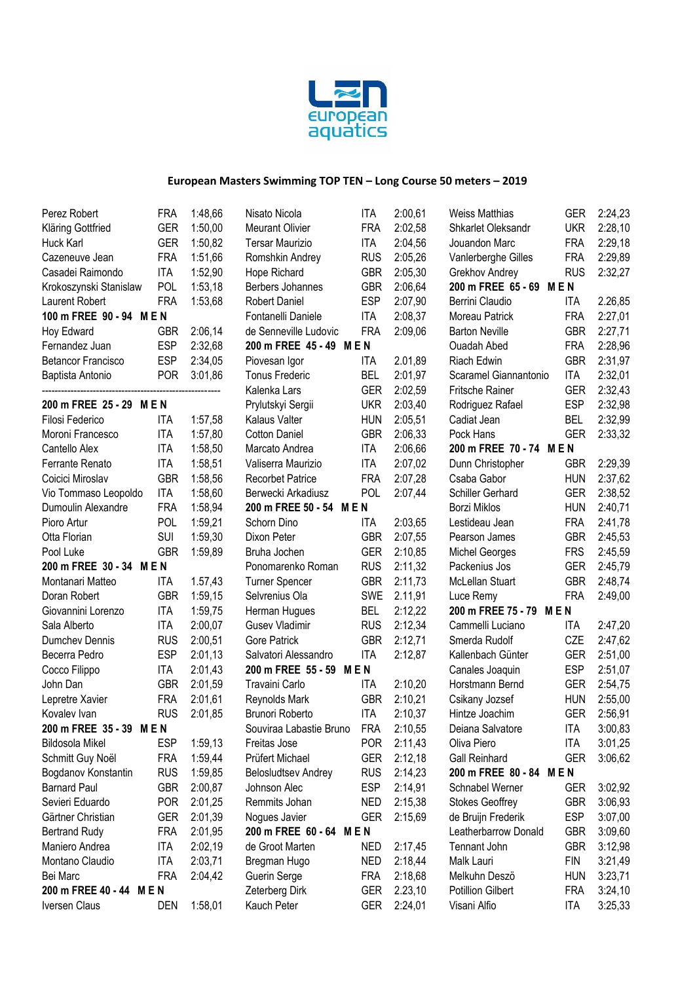

| Perez Robert              | FRA        | 1:48,66 | Nisato Nicola              | ITA        | 2:00,61 | <b>Weiss Matthias</b>    | GER        | 2:24,23 |
|---------------------------|------------|---------|----------------------------|------------|---------|--------------------------|------------|---------|
| Kläring Gottfried         | <b>GER</b> | 1:50,00 | <b>Meurant Olivier</b>     | <b>FRA</b> | 2:02,58 | Shkarlet Oleksandr       | <b>UKR</b> | 2:28,10 |
| Huck Karl                 | <b>GER</b> | 1:50,82 | <b>Tersar Maurizio</b>     | <b>ITA</b> | 2:04,56 | Jouandon Marc            | <b>FRA</b> | 2:29,18 |
| Cazeneuve Jean            | <b>FRA</b> | 1:51,66 | Romshkin Andrey            | <b>RUS</b> | 2:05,26 | Vanlerberghe Gilles      | <b>FRA</b> | 2:29,89 |
| Casadei Raimondo          | <b>ITA</b> | 1:52,90 | Hope Richard               | <b>GBR</b> | 2:05,30 | Grekhov Andrey           | <b>RUS</b> | 2:32,27 |
| Krokoszynski Stanislaw    | POL        | 1:53,18 | Berbers Johannes           | <b>GBR</b> | 2:06,64 | 200 m FREE 65 - 69 M E N |            |         |
| Laurent Robert            | <b>FRA</b> | 1:53,68 | <b>Robert Daniel</b>       | <b>ESP</b> | 2:07,90 | Berrini Claudio          | ITA        | 2.26,85 |
| 100 m FREE 90 - 94 M E N  |            |         | Fontanelli Daniele         | <b>ITA</b> | 2:08,37 | Moreau Patrick           | <b>FRA</b> | 2:27,01 |
| Hoy Edward                | <b>GBR</b> | 2:06,14 | de Senneville Ludovic      | <b>FRA</b> | 2:09,06 | <b>Barton Neville</b>    | <b>GBR</b> | 2:27,71 |
| Fernandez Juan            | <b>ESP</b> | 2:32,68 | 200 m FREE 45 - 49 M E N   |            |         | <b>Ouadah Abed</b>       | <b>FRA</b> | 2:28,96 |
| <b>Betancor Francisco</b> | <b>ESP</b> | 2:34,05 | Piovesan Igor              | ITA        | 2.01,89 | Riach Edwin              | <b>GBR</b> | 2:31,97 |
| Baptista Antonio          | <b>POR</b> | 3:01,86 | <b>Tonus Frederic</b>      | <b>BEL</b> | 2:01,97 | Scaramel Giannantonio    | ITA        | 2:32,01 |
|                           |            |         | Kalenka Lars               | <b>GER</b> | 2:02,59 | Fritsche Rainer          | <b>GER</b> | 2:32,43 |
| 200 m FREE 25 - 29 M E N  |            |         | Prylutskyi Sergii          | <b>UKR</b> | 2:03,40 | Rodriguez Rafael         | <b>ESP</b> | 2:32,98 |
| Filosi Federico           | ITA        | 1:57,58 | Kalaus Valter              | <b>HUN</b> | 2:05,51 | Cadiat Jean              | <b>BEL</b> | 2:32,99 |
| Moroni Francesco          | <b>ITA</b> | 1:57,80 | <b>Cotton Daniel</b>       | <b>GBR</b> | 2:06,33 | Pock Hans                | <b>GER</b> | 2:33,32 |
| Cantello Alex             | <b>ITA</b> | 1:58,50 | Marcato Andrea             | <b>ITA</b> | 2:06,66 | 200 m FREE 70 - 74 M E N |            |         |
| Ferrante Renato           | <b>ITA</b> | 1:58,51 | Valiserra Maurizio         | <b>ITA</b> | 2:07,02 | Dunn Christopher         | <b>GBR</b> | 2:29,39 |
| Coicici Miroslav          | <b>GBR</b> | 1:58,56 | <b>Recorbet Patrice</b>    | <b>FRA</b> | 2:07,28 | Csaba Gabor              | <b>HUN</b> | 2:37,62 |
| Vio Tommaso Leopoldo      | <b>ITA</b> | 1:58,60 | Berwecki Arkadiusz         | POL        | 2:07,44 | Schiller Gerhard         | <b>GER</b> | 2:38,52 |
| Dumoulin Alexandre        | <b>FRA</b> | 1:58,94 | 200 m FREE 50 - 54 M E N   |            |         | <b>Borzi Miklos</b>      | <b>HUN</b> | 2:40,71 |
| Pioro Artur               | POL        | 1:59,21 | Schorn Dino                | ITA        | 2:03,65 | Lestideau Jean           | <b>FRA</b> | 2:41,78 |
| Otta Florian              | SUI        | 1:59,30 | Dixon Peter                | <b>GBR</b> | 2:07,55 | Pearson James            | <b>GBR</b> | 2:45,53 |
| Pool Luke                 | <b>GBR</b> | 1:59,89 | Bruha Jochen               | <b>GER</b> | 2:10,85 | Michel Georges           | <b>FRS</b> | 2:45,59 |
| 200 m FREE 30 - 34 M E N  |            |         | Ponomarenko Roman          | <b>RUS</b> | 2:11,32 | Packenius Jos            | <b>GER</b> | 2:45,79 |
| Montanari Matteo          | ITA        | 1.57,43 | <b>Turner Spencer</b>      | <b>GBR</b> | 2:11,73 | McLellan Stuart          | <b>GBR</b> | 2:48,74 |
| Doran Robert              | <b>GBR</b> | 1:59,15 | Selvrenius Ola             | <b>SWE</b> | 2.11,91 | Luce Remy                | <b>FRA</b> | 2:49,00 |
| Giovannini Lorenzo        | <b>ITA</b> | 1:59,75 | Herman Hugues              | <b>BEL</b> | 2:12,22 | 200 m FREE 75 - 79 M E N |            |         |
| Sala Alberto              | <b>ITA</b> | 2:00,07 | <b>Gusev Vladimir</b>      | <b>RUS</b> | 2:12,34 | Cammelli Luciano         | ITA        | 2:47,20 |
| Dumchev Dennis            | <b>RUS</b> | 2:00,51 | Gore Patrick               | <b>GBR</b> | 2:12,71 | Smerda Rudolf            | CZE        | 2:47,62 |
| Becerra Pedro             | <b>ESP</b> | 2:01,13 | Salvatori Alessandro       | <b>ITA</b> | 2:12,87 | Kallenbach Günter        | <b>GER</b> | 2:51,00 |
| Cocco Filippo             | <b>ITA</b> | 2:01,43 | 200 m FREE 55 - 59 M E N   |            |         | Canales Joaquin          | <b>ESP</b> | 2:51,07 |
| John Dan                  | <b>GBR</b> | 2:01,59 | Travaini Carlo             | ITA        | 2:10,20 | Horstmann Bernd          | <b>GER</b> | 2:54,75 |
| Lepretre Xavier           | <b>FRA</b> | 2:01,61 | Reynolds Mark              | <b>GBR</b> | 2:10,21 | Csikany Jozsef           | <b>HUN</b> | 2:55,00 |
| Kovalev Ivan              | <b>RUS</b> | 2:01,85 | <b>Brunori Roberto</b>     | <b>ITA</b> | 2:10,37 | Hintze Joachim           | <b>GER</b> | 2:56,91 |
| 200 m FREE 35 - 39 M E N  |            |         | Souviraa Labastie Bruno    | <b>FRA</b> | 2:10,55 | Deiana Salvatore         | <b>ITA</b> | 3:00,83 |
| Bildosola Mikel           | <b>ESP</b> | 1:59,13 | Freitas Jose               | <b>POR</b> | 2:11,43 | Oliva Piero              | ITA        | 3:01,25 |
| Schmitt Guy Noël          | <b>FRA</b> | 1:59,44 | Prüfert Michael            | <b>GER</b> | 2:12,18 | <b>Gall Reinhard</b>     | <b>GER</b> | 3:06,62 |
| Bogdanov Konstantin       | <b>RUS</b> | 1:59,85 | <b>Belosludtsev Andrey</b> | <b>RUS</b> | 2:14,23 | 200 m FREE 80 - 84       | <b>MEN</b> |         |
| <b>Barnard Paul</b>       | <b>GBR</b> | 2:00,87 | Johnson Alec               | <b>ESP</b> | 2:14,91 | Schnabel Werner          | GER        | 3:02,92 |
| Sevieri Eduardo           | <b>POR</b> | 2:01,25 | Remmits Johan              | <b>NED</b> | 2:15,38 | <b>Stokes Geoffrey</b>   | <b>GBR</b> | 3:06,93 |
| Gärtner Christian         | <b>GER</b> | 2:01,39 | Nogues Javier              | <b>GER</b> | 2:15,69 | de Bruijn Frederik       | ESP        | 3:07,00 |
| <b>Bertrand Rudy</b>      | <b>FRA</b> | 2:01,95 | 200 m FREE 60 - 64 M E N   |            |         | Leatherbarrow Donald     | <b>GBR</b> | 3:09,60 |
| Maniero Andrea            | ITA        | 2:02,19 | de Groot Marten            | NED        | 2:17,45 | Tennant John             | <b>GBR</b> | 3:12,98 |
| Montano Claudio           | ITA        | 2:03,71 | Bregman Hugo               | <b>NED</b> | 2:18,44 | Malk Lauri               | <b>FIN</b> | 3:21,49 |
| Bei Marc                  | <b>FRA</b> | 2:04,42 | Guerin Serge               | <b>FRA</b> | 2:18,68 | Melkuhn Deszö            | <b>HUN</b> | 3:23,71 |
| 200 m FREE 40 - 44 M E N  |            |         | Zeterberg Dirk             | GER        | 2.23,10 | <b>Potillion Gilbert</b> | <b>FRA</b> | 3:24,10 |
| Iversen Claus             | DEN        | 1:58,01 | Kauch Peter                | <b>GER</b> | 2:24,01 | Visani Alfio             | ITA        | 3:25,33 |
|                           |            |         |                            |            |         |                          |            |         |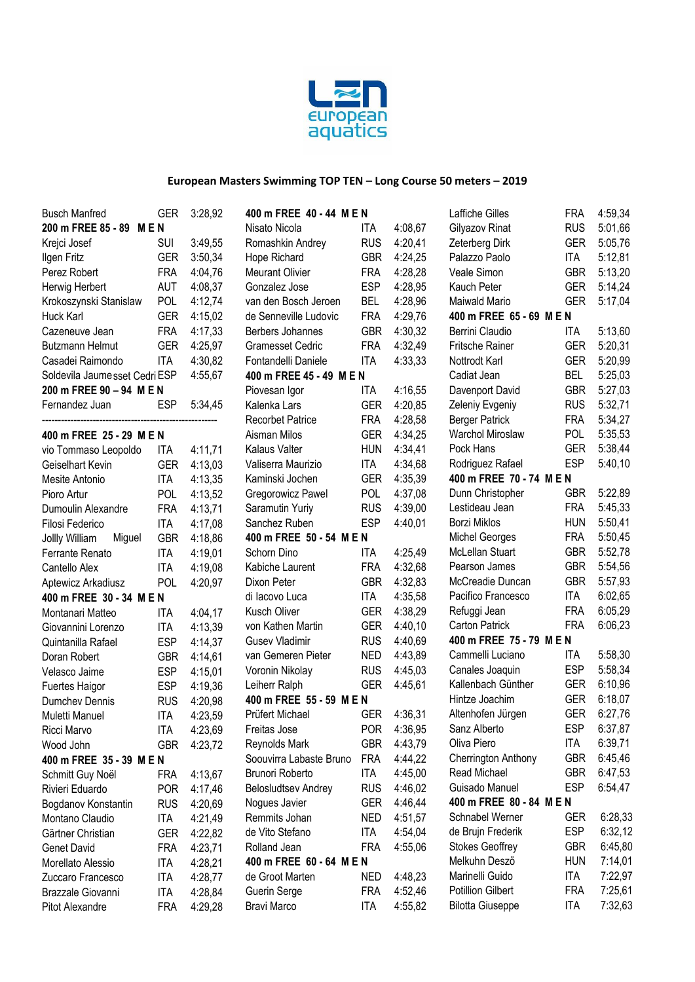

| <b>Busch Manfred</b>          | <b>GER</b> | 3:28,92 | 400 m FREE 40 - 44 M E N   |            |         | Laffiche Gilles          | FRA        | 4:59,34 |
|-------------------------------|------------|---------|----------------------------|------------|---------|--------------------------|------------|---------|
| 200 m FREE 85 - 89<br>MEN     |            |         | Nisato Nicola              | ITA        | 4:08,67 | Gilyazov Rinat           | <b>RUS</b> | 5:01,66 |
| Krejci Josef                  | <b>SUI</b> | 3:49,55 | Romashkin Andrey           | <b>RUS</b> | 4:20,41 | Zeterberg Dirk           | <b>GER</b> | 5:05,76 |
| Ilgen Fritz                   | <b>GER</b> | 3:50,34 | Hope Richard               | <b>GBR</b> | 4:24,25 | Palazzo Paolo            | ITA        | 5:12,81 |
| Perez Robert                  | <b>FRA</b> | 4:04,76 | <b>Meurant Olivier</b>     | <b>FRA</b> | 4:28,28 | Veale Simon              | <b>GBR</b> | 5:13,20 |
| Herwig Herbert                | <b>AUT</b> | 4:08,37 | Gonzalez Jose              | <b>ESP</b> | 4:28,95 | Kauch Peter              | <b>GER</b> | 5:14,24 |
| Krokoszynski Stanislaw        | <b>POL</b> | 4:12,74 | van den Bosch Jeroen       | <b>BEL</b> | 4:28,96 | Maiwald Mario            | <b>GER</b> | 5:17,04 |
| Huck Karl                     | <b>GER</b> | 4:15,02 | de Senneville Ludovic      | <b>FRA</b> | 4:29,76 | 400 m FREE 65 - 69 M E N |            |         |
| Cazeneuve Jean                | <b>FRA</b> | 4:17,33 | Berbers Johannes           | <b>GBR</b> | 4:30,32 | Berrini Claudio          | ITA        | 5:13,60 |
| <b>Butzmann Helmut</b>        | <b>GER</b> | 4:25,97 | <b>Gramesset Cedric</b>    | <b>FRA</b> | 4:32,49 | <b>Fritsche Rainer</b>   | <b>GER</b> | 5:20,31 |
| Casadei Raimondo              | <b>ITA</b> | 4:30,82 | Fontandelli Daniele        | ITA        | 4:33,33 | Nottrodt Karl            | <b>GER</b> | 5:20,99 |
| Soldevila Jaumesset Cedri ESP |            | 4:55,67 | 400 m FREE 45 - 49 M E N   |            |         | Cadiat Jean              | <b>BEL</b> | 5:25,03 |
| 200 m FREE 90 - 94 M E N      |            |         | Piovesan Igor              | ITA        | 4:16,55 | Davenport David          | <b>GBR</b> | 5:27,03 |
| Fernandez Juan                | <b>ESP</b> | 5:34,45 | Kalenka Lars               | <b>GER</b> | 4:20,85 | Zeleniy Evgeniy          | <b>RUS</b> | 5:32,71 |
|                               |            |         | <b>Recorbet Patrice</b>    | <b>FRA</b> | 4:28,58 | <b>Berger Patrick</b>    | <b>FRA</b> | 5:34,27 |
| 400 m FREE 25 - 29 M E N      |            |         | Aisman Milos               | <b>GER</b> | 4:34,25 | Warchol Miroslaw         | <b>POL</b> | 5:35,53 |
| vio Tommaso Leopoldo          | ITA        | 4:11,71 | Kalaus Valter              | <b>HUN</b> | 4:34,41 | Pock Hans                | <b>GER</b> | 5:38,44 |
| Geiselhart Kevin              | <b>GER</b> | 4:13,03 | Valiserra Maurizio         | ITA        | 4:34,68 | Rodriguez Rafael         | <b>ESP</b> | 5:40,10 |
| Mesite Antonio                | <b>ITA</b> | 4:13,35 | Kaminski Jochen            | <b>GER</b> | 4:35,39 | 400 m FREE 70 - 74 M E N |            |         |
| Pioro Artur                   | POL        | 4:13,52 | Gregorowicz Pawel          | <b>POL</b> | 4:37,08 | Dunn Christopher         | <b>GBR</b> | 5:22,89 |
| Dumoulin Alexandre            | <b>FRA</b> | 4:13,71 | Saramutin Yuriy            | <b>RUS</b> | 4:39,00 | Lestideau Jean           | <b>FRA</b> | 5:45,33 |
| Filosi Federico               | <b>ITA</b> | 4:17,08 | Sanchez Ruben              | <b>ESP</b> | 4:40,01 | <b>Borzi Miklos</b>      | <b>HUN</b> | 5:50,41 |
| Miguel<br>Jollly William      | <b>GBR</b> | 4:18,86 | 400 m FREE 50 - 54 M E N   |            |         | <b>Michel Georges</b>    | <b>FRA</b> | 5:50,45 |
| Ferrante Renato               | <b>ITA</b> | 4:19,01 | Schorn Dino                | ITA        | 4:25,49 | McLellan Stuart          | <b>GBR</b> | 5:52,78 |
| Cantello Alex                 | <b>ITA</b> | 4:19,08 | Kabiche Laurent            | <b>FRA</b> | 4:32,68 | Pearson James            | <b>GBR</b> | 5:54,56 |
| Aptewicz Arkadiusz            | POL        | 4:20,97 | Dixon Peter                | <b>GBR</b> | 4:32,83 | McCreadie Duncan         | <b>GBR</b> | 5:57,93 |
| 400 m FREE 30 - 34 M E N      |            |         | di lacovo Luca             | ITA        | 4:35,58 | Pacifico Francesco       | ITA        | 6:02,65 |
| Montanari Matteo              | <b>ITA</b> | 4:04,17 | Kusch Oliver               | <b>GER</b> | 4:38,29 | Refuggi Jean             | <b>FRA</b> | 6:05,29 |
| Giovannini Lorenzo            | <b>ITA</b> | 4:13,39 | von Kathen Martin          | <b>GER</b> | 4:40,10 | <b>Carton Patrick</b>    | <b>FRA</b> | 6:06,23 |
| Quintanilla Rafael            | <b>ESP</b> | 4:14,37 | <b>Gusev Vladimir</b>      | <b>RUS</b> | 4:40,69 | 400 m FREE 75 - 79 M E N |            |         |
| Doran Robert                  | <b>GBR</b> | 4:14,61 | van Gemeren Pieter         | <b>NED</b> | 4:43,89 | Cammelli Luciano         | ITA        | 5:58,30 |
| Velasco Jaime                 | <b>ESP</b> | 4:15,01 | Voronin Nikolay            | <b>RUS</b> | 4:45,03 | Canales Joaquin          | <b>ESP</b> | 5:58,34 |
| Fuertes Haigor                | <b>ESP</b> | 4:19,36 | Leiherr Ralph              | <b>GER</b> | 4:45,61 | Kallenbach Günther       | <b>GER</b> | 6:10,96 |
| Dumchev Dennis                | <b>RUS</b> | 4:20,98 | 400 m FREE 55 - 59 M E N   |            |         | Hintze Joachim           | <b>GER</b> | 6:18,07 |
| Muletti Manuel                | <b>ITA</b> | 4:23,59 | Prüfert Michael            | <b>GER</b> | 4:36,31 | Altenhofen Jürgen        | <b>GER</b> | 6:27,76 |
| Ricci Marvo                   | <b>ITA</b> | 4:23,69 | Freitas Jose               | <b>POR</b> | 4:36,95 | Sanz Alberto             | <b>ESP</b> | 6:37,87 |
| Wood John                     | <b>GBR</b> | 4:23,72 | Reynolds Mark              | <b>GBR</b> | 4:43,79 | Oliva Piero              | ITA        | 6:39,71 |
| 400 m FREE 35 - 39 M E N      |            |         | Soouvirra Labaste Bruno    | <b>FRA</b> | 4:44,22 | Cherrington Anthony      | <b>GBR</b> | 6:45,46 |
| Schmitt Guy Noël              | <b>FRA</b> | 4:13,67 | Brunori Roberto            | <b>ITA</b> | 4:45,00 | Read Michael             | <b>GBR</b> | 6:47,53 |
| Rivieri Eduardo               | <b>POR</b> | 4:17,46 | <b>Belosludtsev Andrey</b> | <b>RUS</b> | 4:46,02 | Guisado Manuel           | <b>ESP</b> | 6:54,47 |
| Bogdanov Konstantin           | <b>RUS</b> | 4:20,69 | Nogues Javier              | <b>GER</b> | 4:46,44 | 400 m FREE 80 - 84 M E N |            |         |
| Montano Claudio               | ITA        | 4:21,49 | Remmits Johan              | <b>NED</b> | 4:51,57 | Schnabel Werner          | <b>GER</b> | 6:28,33 |
| Gärtner Christian             | <b>GER</b> | 4:22,82 | de Vito Stefano            | <b>ITA</b> | 4:54,04 | de Brujn Frederik        | <b>ESP</b> | 6:32,12 |
| Genet David                   | <b>FRA</b> | 4:23,71 | Rolland Jean               | <b>FRA</b> | 4:55,06 | <b>Stokes Geoffrey</b>   | <b>GBR</b> | 6:45,80 |
| Morellato Alessio             | <b>ITA</b> | 4:28,21 | 400 m FREE 60 - 64 M E N   |            |         | Melkuhn Deszö            | <b>HUN</b> | 7:14,01 |
| Zuccaro Francesco             | <b>ITA</b> | 4:28,77 | de Groot Marten            | <b>NED</b> | 4:48,23 | Marinelli Guido          | ITA        | 7:22,97 |
| Brazzale Giovanni             | <b>ITA</b> | 4:28,84 | Guerin Serge               | <b>FRA</b> | 4:52,46 | <b>Potillion Gilbert</b> | <b>FRA</b> | 7:25,61 |
| Pitot Alexandre               | <b>FRA</b> | 4:29,28 | Bravi Marco                | ITA        | 4:55,82 | <b>Bilotta Giuseppe</b>  | ITA        | 7:32,63 |
|                               |            |         |                            |            |         |                          |            |         |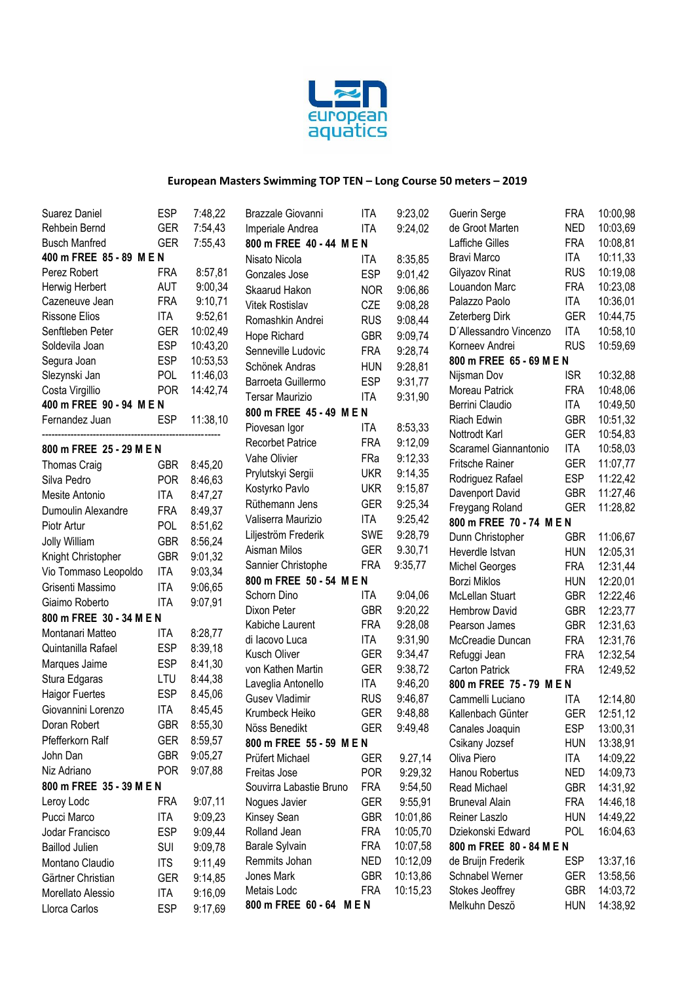

| Suarez Daniel            | <b>ESP</b> | 7:48,22  | Brazzale Giovanni        | <b>ITA</b> | 9:23,02  | Guerin Serge             | <b>FRA</b> | 10:00,98 |
|--------------------------|------------|----------|--------------------------|------------|----------|--------------------------|------------|----------|
| Rehbein Bernd            | <b>GER</b> | 7:54,43  | Imperiale Andrea         | ITA        | 9:24,02  | de Groot Marten          | <b>NED</b> | 10:03,69 |
| <b>Busch Manfred</b>     | <b>GER</b> | 7:55,43  | 800 m FREE 40 - 44 M E N |            |          | <b>Laffiche Gilles</b>   | <b>FRA</b> | 10:08,81 |
| 400 m FREE 85 - 89 M E N |            |          | Nisato Nicola            | ITA        | 8:35,85  | Bravi Marco              | <b>ITA</b> | 10:11,33 |
| Perez Robert             | <b>FRA</b> | 8:57,81  | Gonzales Jose            | <b>ESP</b> | 9:01,42  | Gilyazov Rinat           | <b>RUS</b> | 10:19,08 |
| Herwig Herbert           | <b>AUT</b> | 9:00,34  | Skaarud Hakon            | <b>NOR</b> | 9:06,86  | Louandon Marc            | <b>FRA</b> | 10:23,08 |
| Cazeneuve Jean           | <b>FRA</b> | 9:10,71  | Vitek Rostislav          | CZE        | 9:08,28  | Palazzo Paolo            | <b>ITA</b> | 10:36,01 |
| <b>Rissone Elios</b>     | <b>ITA</b> | 9:52,61  | Romashkin Andrei         | <b>RUS</b> | 9:08,44  | Zeterberg Dirk           | <b>GER</b> | 10:44,75 |
| Senftleben Peter         | <b>GER</b> | 10:02,49 | Hope Richard             | <b>GBR</b> | 9:09,74  | D'Allessandro Vincenzo   | <b>ITA</b> | 10:58,10 |
| Soldevila Joan           | <b>ESP</b> | 10:43,20 | Senneville Ludovic       | <b>FRA</b> | 9:28,74  | Korneev Andrei           | <b>RUS</b> | 10:59,69 |
| Segura Joan              | <b>ESP</b> | 10:53,53 | Schönek Andras           | <b>HUN</b> | 9:28,81  | 800 m FREE 65 - 69 M E N |            |          |
| Slezynski Jan            | <b>POL</b> | 11:46,03 | Barroeta Guillermo       | <b>ESP</b> | 9:31,77  | Nijsman Dov              | <b>ISR</b> | 10:32,88 |
| Costa Virgillio          | <b>POR</b> | 14:42,74 | <b>Tersar Maurizio</b>   | <b>ITA</b> | 9:31,90  | Moreau Patrick           | <b>FRA</b> | 10:48,06 |
| 400 m FREE 90 - 94 M E N |            |          | 800 m FREE 45 - 49 M E N |            |          | Berrini Claudio          | <b>ITA</b> | 10:49,50 |
| Fernandez Juan           | ESP        | 11:38,10 | Piovesan Igor            | ITA        | 8:53,33  | Riach Edwin              | <b>GBR</b> | 10:51,32 |
|                          |            |          | Recorbet Patrice         | <b>FRA</b> | 9:12,09  | Nottrodt Karl            | <b>GER</b> | 10:54,83 |
| 800 m FREE 25 - 29 M E N |            |          |                          |            |          | Scaramel Giannantonio    | ITA        | 10:58,03 |
| <b>Thomas Craig</b>      | <b>GBR</b> | 8:45,20  | Vahe Olivier             | FRa        | 9:12,33  | Fritsche Rainer          | <b>GER</b> | 11:07,77 |
| Silva Pedro              | <b>POR</b> | 8:46,63  | Prylutskyi Sergii        | <b>UKR</b> | 9:14,35  | Rodriguez Rafael         | <b>ESP</b> | 11:22,42 |
| Mesite Antonio           | <b>ITA</b> | 8:47,27  | Kostyrko Pavlo           | <b>UKR</b> | 9:15,87  | Davenport David          | <b>GBR</b> | 11:27,46 |
| Dumoulin Alexandre       | <b>FRA</b> | 8:49,37  | Rüthemann Jens           | <b>GER</b> | 9:25,34  | Freygang Roland          | <b>GER</b> | 11:28,82 |
| Piotr Artur              | POL        | 8:51,62  | Valiserra Maurizio       | ITA        | 9:25,42  | 800 m FREE 70 - 74 M E N |            |          |
| <b>Jolly William</b>     | <b>GBR</b> | 8:56,24  | Liljeström Frederik      | SWE        | 9:28,79  | Dunn Christopher         | <b>GBR</b> | 11:06,67 |
| Knight Christopher       | <b>GBR</b> | 9:01,32  | Aisman Milos             | <b>GER</b> | 9.30,71  | Heverdle Istvan          | <b>HUN</b> | 12:05,31 |
| Vio Tommaso Leopoldo     | <b>ITA</b> | 9:03,34  | Sannier Christophe       | <b>FRA</b> | 9:35,77  | <b>Michel Georges</b>    | <b>FRA</b> | 12:31,44 |
| Grisenti Massimo         | <b>ITA</b> | 9:06,65  | 800 m FREE 50 - 54 M E N |            |          | <b>Borzi Miklos</b>      | <b>HUN</b> | 12:20,01 |
| Giaimo Roberto           | <b>ITA</b> | 9:07,91  | Schorn Dino              | ITA        | 9:04,06  | McLellan Stuart          | <b>GBR</b> | 12:22,46 |
| 800 m FREE 30 - 34 M E N |            |          | Dixon Peter              | <b>GBR</b> | 9:20,22  | <b>Hembrow David</b>     | <b>GBR</b> | 12:23,77 |
| Montanari Matteo         | ITA.       | 8:28,77  | Kabiche Laurent          | <b>FRA</b> | 9:28,08  | Pearson James            | <b>GBR</b> | 12:31,63 |
| Quintanilla Rafael       | <b>ESP</b> | 8:39,18  | di lacovo Luca           | ITA        | 9:31,90  | McCreadie Duncan         | <b>FRA</b> | 12:31,76 |
| Marques Jaime            | <b>ESP</b> | 8:41,30  | Kusch Oliver             | <b>GER</b> | 9:34,47  | Refuggi Jean             | <b>FRA</b> | 12:32,54 |
| Stura Edgaras            | LTU        | 8:44,38  | von Kathen Martin        | <b>GER</b> | 9:38,72  | Carton Patrick           | <b>FRA</b> | 12:49,52 |
| <b>Haigor Fuertes</b>    | <b>ESP</b> | 8.45,06  | Laveglia Antonello       | <b>ITA</b> | 9:46,20  | 800 m FREE 75 - 79 M E N |            |          |
| Giovannini Lorenzo       | <b>ITA</b> | 8:45,45  | <b>Gusev Vladimir</b>    | <b>RUS</b> | 9:46,87  | Cammelli Luciano         | ITA        | 12:14,80 |
|                          |            |          | Krumbeck Heiko           | <b>GER</b> | 9:48,88  | Kallenbach Günter        | <b>GER</b> | 12:51,12 |
| Doran Robert             | <b>GBR</b> | 8:55,30  | Nöss Benedikt            | <b>GER</b> | 9:49,48  | Canales Joaquin          | <b>ESP</b> | 13:00,31 |
| Pfefferkorn Ralf         | <b>GER</b> | 8:59,57  | 800 m FREE 55 - 59 M E N |            |          | Csikany Jozsef           | <b>HUN</b> | 13:38,91 |
| John Dan                 | <b>GBR</b> | 9:05,27  | Prüfert Michael          | <b>GER</b> | 9.27,14  | Oliva Piero              | ITA        | 14:09,22 |
| Niz Adriano              | <b>POR</b> | 9:07,88  | Freitas Jose             | <b>POR</b> | 9:29,32  | Hanou Robertus           | NED        | 14:09,73 |
| 800 m FREE 35 - 39 M E N |            |          | Souvirra Labastie Bruno  | <b>FRA</b> | 9:54,50  | Read Michael             | <b>GBR</b> | 14:31,92 |
| Leroy Lodc               | <b>FRA</b> | 9:07,11  | Nogues Javier            | <b>GER</b> | 9:55,91  | <b>Bruneval Alain</b>    | <b>FRA</b> | 14:46,18 |
| Pucci Marco              | <b>ITA</b> | 9:09,23  | Kinsey Sean              | <b>GBR</b> | 10:01,86 | Reiner Laszlo            | <b>HUN</b> | 14:49,22 |
| Jodar Francisco          | <b>ESP</b> | 9:09,44  | Rolland Jean             | <b>FRA</b> | 10:05,70 | Dziekonski Edward        | <b>POL</b> | 16:04,63 |
| <b>Baillod Julien</b>    | <b>SUI</b> | 9:09,78  | Barale Sylvain           | <b>FRA</b> | 10:07,58 | 800 m FREE 80 - 84 M E N |            |          |
| Montano Claudio          | <b>ITS</b> | 9:11,49  | Remmits Johan            | <b>NED</b> | 10:12,09 | de Bruijn Frederik       | ESP        | 13:37,16 |
| Gärtner Christian        | <b>GER</b> | 9:14,85  | Jones Mark               | <b>GBR</b> | 10:13,86 | Schnabel Werner          | GER        | 13:58,56 |
| Morellato Alessio        | <b>ITA</b> | 9:16,09  | Metais Lodc              | <b>FRA</b> | 10:15,23 | Stokes Jeoffrey          | <b>GBR</b> | 14:03,72 |
| Llorca Carlos            | <b>ESP</b> | 9:17,69  | 800 m FREE 60 - 64 M E N |            |          | Melkuhn Deszö            | <b>HUN</b> | 14:38,92 |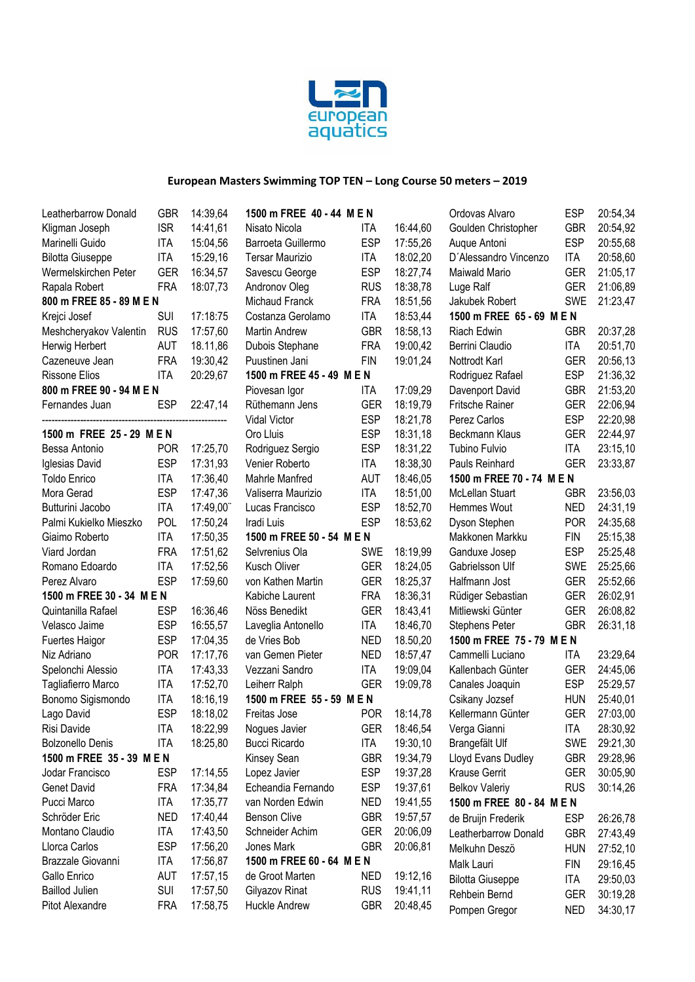

| Leatherbarrow Donald      | <b>GBR</b> | 14:39,64 | 1500 m FREE 40 - 44 M E N |            |          | Ordovas Alvaro            | <b>ESP</b> | 20:54,34 |
|---------------------------|------------|----------|---------------------------|------------|----------|---------------------------|------------|----------|
| Kligman Joseph            | <b>ISR</b> | 14:41,61 | Nisato Nicola             | <b>ITA</b> | 16:44,60 | Goulden Christopher       | <b>GBR</b> | 20:54,92 |
| Marinelli Guido           | <b>ITA</b> | 15:04,56 | Barroeta Guillermo        | <b>ESP</b> | 17:55,26 | Augue Antoni              | <b>ESP</b> | 20:55,68 |
| <b>Bilotta Giuseppe</b>   | <b>ITA</b> | 15:29,16 | <b>Tersar Maurizio</b>    | <b>ITA</b> | 18:02,20 | D'Alessandro Vincenzo     | <b>ITA</b> | 20:58,60 |
| Wermelskirchen Peter      | <b>GER</b> | 16:34,57 | Savescu George            | <b>ESP</b> | 18:27,74 | Maiwald Mario             | <b>GER</b> | 21:05,17 |
| Rapala Robert             | <b>FRA</b> | 18:07,73 | Andronov Oleg             | <b>RUS</b> | 18:38,78 | Luge Ralf                 | <b>GER</b> | 21:06,89 |
| 800 m FREE 85 - 89 M E N  |            |          | Michaud Franck            | <b>FRA</b> | 18:51,56 | Jakubek Robert            | SWE        | 21:23,47 |
| Krejci Josef              | SUI        | 17:18:75 | Costanza Gerolamo         | <b>ITA</b> | 18:53,44 | 1500 m FREE 65 - 69 M E N |            |          |
| Meshcheryakov Valentin    | <b>RUS</b> | 17:57,60 | <b>Martin Andrew</b>      | <b>GBR</b> | 18:58,13 | Riach Edwin               | <b>GBR</b> | 20:37,28 |
| Herwig Herbert            | <b>AUT</b> | 18.11,86 | Dubois Stephane           | <b>FRA</b> | 19:00,42 | Berrini Claudio           | <b>ITA</b> | 20:51,70 |
| Cazeneuve Jean            | <b>FRA</b> | 19:30,42 | Puustinen Jani            | <b>FIN</b> | 19:01,24 | Nottrodt Karl             | <b>GER</b> | 20:56,13 |
| <b>Rissone Elios</b>      | <b>ITA</b> | 20:29,67 | 1500 m FREE 45 - 49 M E N |            |          | Rodriguez Rafael          | <b>ESP</b> | 21:36,32 |
| 800 m FREE 90 - 94 M E N  |            |          | Piovesan Igor             | ITA        | 17:09,29 | Davenport David           | <b>GBR</b> | 21:53,20 |
| Fernandes Juan            | <b>ESP</b> | 22:47,14 | Rüthemann Jens            | <b>GER</b> | 18:19,79 | Fritsche Rainer           | <b>GER</b> | 22:06,94 |
|                           |            |          | Vidal Victor              | <b>ESP</b> | 18:21,78 | Perez Carlos              | <b>ESP</b> | 22:20,98 |
| 1500 m FREE 25 - 29 M E N |            |          | Oro Lluis                 | <b>ESP</b> | 18:31,18 | Beckmann Klaus            | <b>GER</b> | 22:44,97 |
| Bessa Antonio             | <b>POR</b> | 17:25,70 | Rodriguez Sergio          | <b>ESP</b> | 18:31,22 | Tubino Fulvio             | <b>ITA</b> | 23:15,10 |
| Iglesias David            | <b>ESP</b> | 17:31,93 | Venier Roberto            | <b>ITA</b> | 18:38,30 | Pauls Reinhard            | <b>GER</b> | 23:33,87 |
| <b>Toldo Enrico</b>       | <b>ITA</b> | 17:36,40 | Mahrle Manfred            | <b>AUT</b> | 18:46,05 | 1500 m FREE 70 - 74 M E N |            |          |
| Mora Gerad                | <b>ESP</b> | 17:47,36 | Valiserra Maurizio        | <b>ITA</b> | 18:51,00 | McLellan Stuart           | <b>GBR</b> | 23:56,03 |
| Butturini Jacobo          | <b>ITA</b> | 17:49,00 | Lucas Francisco           | <b>ESP</b> | 18:52,70 | Hemmes Wout               | <b>NED</b> | 24:31,19 |
| Palmi Kukielko Mieszko    | POL        | 17:50,24 | Iradi Luis                | <b>ESP</b> | 18:53,62 | Dyson Stephen             | <b>POR</b> | 24:35,68 |
| Giaimo Roberto            | <b>ITA</b> | 17:50,35 | 1500 m FREE 50 - 54 M E N |            |          | Makkonen Markku           | <b>FIN</b> | 25:15,38 |
| Viard Jordan              | <b>FRA</b> | 17:51,62 | Selvrenius Ola            | <b>SWE</b> | 18:19,99 | Ganduxe Josep             | <b>ESP</b> | 25:25,48 |
| Romano Edoardo            | <b>ITA</b> | 17:52,56 | Kusch Oliver              | <b>GER</b> | 18:24,05 | Gabrielsson Ulf           | <b>SWE</b> | 25:25,66 |
| Perez Alvaro              | <b>ESP</b> | 17:59,60 | von Kathen Martin         | <b>GER</b> | 18:25,37 | Halfmann Jost             | <b>GER</b> | 25:52,66 |
| 1500 m FREE 30 - 34 M E N |            |          | Kabiche Laurent           | <b>FRA</b> | 18:36,31 | Rüdiger Sebastian         | <b>GER</b> | 26:02,91 |
| Quintanilla Rafael        | <b>ESP</b> | 16:36,46 | Nöss Benedikt             | <b>GER</b> | 18:43,41 | Mitliewski Günter         | <b>GER</b> | 26:08,82 |
| Velasco Jaime             | <b>ESP</b> | 16:55,57 | Laveglia Antonello        | <b>ITA</b> | 18:46,70 | Stephens Peter            | <b>GBR</b> | 26:31,18 |
| <b>Fuertes Haigor</b>     | <b>ESP</b> | 17:04,35 | de Vries Bob              | <b>NED</b> | 18.50,20 | 1500 m FREE 75 - 79 M E N |            |          |
| Niz Adriano               | <b>POR</b> | 17:17,76 | van Gemen Pieter          | <b>NED</b> | 18:57,47 | Cammelli Luciano          | <b>ITA</b> | 23:29,64 |
| Spelonchi Alessio         | <b>ITA</b> | 17:43,33 | Vezzani Sandro            | <b>ITA</b> | 19:09,04 | Kallenbach Günter         | <b>GER</b> | 24:45,06 |
| Tagliafierro Marco        | <b>ITA</b> | 17:52,70 | Leiherr Ralph             | <b>GER</b> | 19:09,78 | Canales Joaquin           | <b>ESP</b> | 25:29,57 |
| Bonomo Sigismondo         | <b>ITA</b> | 18:16,19 | 1500 m FREE 55 - 59 M E N |            |          | Csikany Jozsef            | <b>HUN</b> | 25:40,01 |
| Lago David                | <b>ESP</b> | 18:18,02 | Freitas Jose              | <b>POR</b> | 18:14,78 | Kellermann Günter         | <b>GER</b> | 27:03,00 |
| Risi Davide               | <b>ITA</b> | 18:22,99 | Nogues Javier             | <b>GER</b> | 18:46,54 | Verga Gianni              | <b>ITA</b> | 28:30,92 |
| <b>Bolzonello Denis</b>   | <b>ITA</b> | 18:25,80 | <b>Bucci Ricardo</b>      | ITA        | 19:30,10 | Brangefält Ulf            | <b>SWE</b> | 29:21,30 |
| 1500 m FREE 35 - 39 M E N |            |          | Kinsey Sean               | <b>GBR</b> | 19:34,79 | Lloyd Evans Dudley        | <b>GBR</b> | 29:28,96 |
| Jodar Francisco           | ESP        | 17:14,55 | Lopez Javier              | <b>ESP</b> | 19:37,28 | <b>Krause Gerrit</b>      | <b>GER</b> | 30:05,90 |
| Genet David               | <b>FRA</b> | 17:34,84 | Echeandia Fernando        | <b>ESP</b> | 19:37,61 | <b>Belkov Valeriy</b>     | <b>RUS</b> | 30:14,26 |
| Pucci Marco               | <b>ITA</b> | 17:35,77 | van Norden Edwin          | <b>NED</b> | 19:41,55 | 1500 m FREE 80 - 84 M E N |            |          |
| Schröder Eric             | <b>NED</b> | 17:40,44 | <b>Benson Clive</b>       | <b>GBR</b> | 19:57,57 | de Bruijn Frederik        | <b>ESP</b> | 26:26,78 |
| Montano Claudio           | <b>ITA</b> | 17:43,50 | Schneider Achim           | <b>GER</b> | 20:06,09 | Leatherbarrow Donald      | <b>GBR</b> | 27:43,49 |
| Llorca Carlos             | <b>ESP</b> | 17:56,20 | Jones Mark                | <b>GBR</b> | 20:06,81 | Melkuhn Deszö             |            | 27:52,10 |
| Brazzale Giovanni         | <b>ITA</b> | 17:56,87 | 1500 m FREE 60 - 64 M E N |            |          |                           | <b>HUN</b> |          |
| Gallo Enrico              | <b>AUT</b> | 17:57,15 | de Groot Marten           | <b>NED</b> | 19:12,16 | Malk Lauri                | <b>FIN</b> | 29:16,45 |
| <b>Baillod Julien</b>     | SUI        | 17:57,50 | Gilyazov Rinat            | <b>RUS</b> | 19:41,11 | <b>Bilotta Giuseppe</b>   | ITA        | 29:50,03 |
| Pitot Alexandre           | <b>FRA</b> | 17:58,75 | Huckle Andrew             | <b>GBR</b> | 20:48,45 | Rehbein Bernd             | GER        | 30:19,28 |
|                           |            |          |                           |            |          | Pompen Gregor             | <b>NED</b> | 34:30,17 |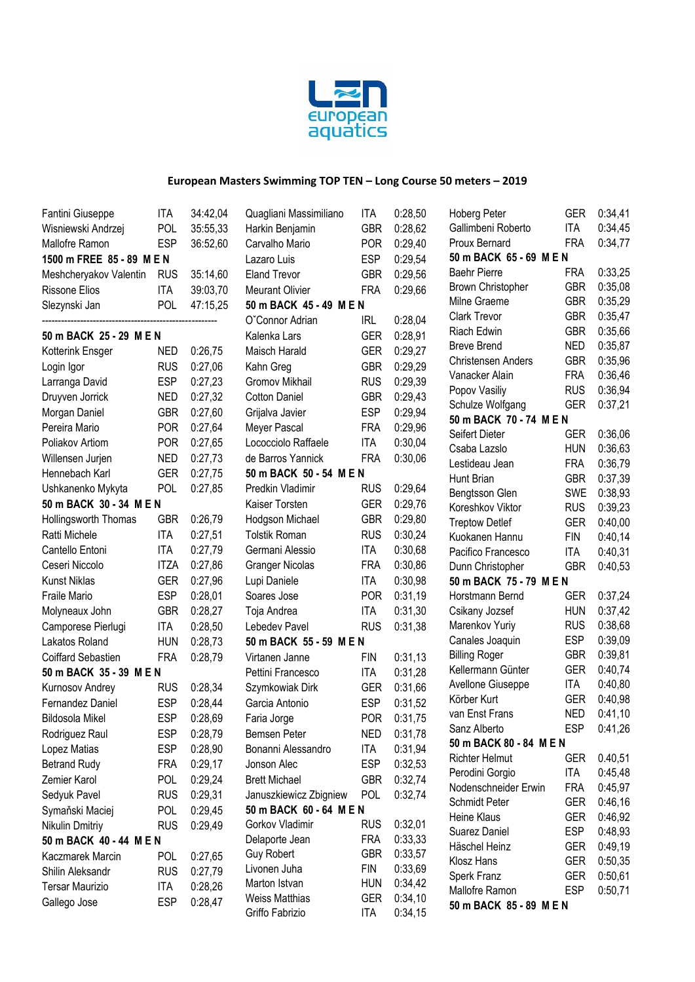

| Fantini Giuseppe          | ITA         | 34:42,04 | Quagliani Massimiliano  | ITA        | 0:28,50 | Hoberg Peter                   | GER                      | 0:34,41            |
|---------------------------|-------------|----------|-------------------------|------------|---------|--------------------------------|--------------------------|--------------------|
| Wisniewski Andrzej        | <b>POL</b>  | 35:55,33 | Harkin Benjamin         | <b>GBR</b> | 0:28,62 | Gallimbeni Roberto             | <b>ITA</b>               | 0:34,45            |
| Mallofre Ramon            | <b>ESP</b>  | 36:52,60 | Carvalho Mario          | <b>POR</b> | 0:29,40 | Proux Bernard                  | <b>FRA</b>               | 0:34,77            |
| 1500 m FREE 85 - 89 M E N |             |          | Lazaro Luis             | <b>ESP</b> | 0:29,54 | 50 m BACK 65 - 69 M E N        |                          |                    |
| Meshcheryakov Valentin    | <b>RUS</b>  | 35:14,60 | <b>Eland Trevor</b>     | <b>GBR</b> | 0:29,56 | <b>Baehr Pierre</b>            | <b>FRA</b>               | 0:33,25            |
| <b>Rissone Elios</b>      | <b>ITA</b>  | 39:03,70 | <b>Meurant Olivier</b>  | <b>FRA</b> | 0:29,66 | <b>Brown Christopher</b>       | <b>GBR</b>               | 0:35,08            |
| Slezynski Jan             | <b>POL</b>  | 47:15,25 | 50 m BACK 45 - 49 M E N |            |         | Milne Graeme                   | <b>GBR</b>               | 0:35,29            |
|                           |             |          | O'Connor Adrian         | <b>IRL</b> | 0:28,04 | <b>Clark Trevor</b>            | <b>GBR</b>               | 0:35,47            |
| 50 m BACK 25 - 29 M E N   |             |          | Kalenka Lars            | <b>GER</b> | 0:28,91 | Riach Edwin                    | <b>GBR</b>               | 0:35,66            |
| Kotterink Ensger          | <b>NED</b>  | 0:26,75  | Maisch Harald           | <b>GER</b> | 0:29,27 | <b>Breve Brend</b>             | <b>NED</b>               | 0:35,87            |
| Login Igor                | <b>RUS</b>  | 0:27,06  | Kahn Greg               | <b>GBR</b> | 0:29,29 | <b>Christensen Anders</b>      | <b>GBR</b>               | 0:35,96            |
| Larranga David            | <b>ESP</b>  | 0:27,23  | Gromov Mikhail          | <b>RUS</b> | 0:29,39 | Vanacker Alain                 | <b>FRA</b>               | 0:36,46            |
| Druyven Jorrick           | <b>NED</b>  | 0:27,32  | <b>Cotton Daniel</b>    | <b>GBR</b> | 0:29,43 | Popov Vasiliy                  | <b>RUS</b>               | 0:36,94            |
| Morgan Daniel             | <b>GBR</b>  | 0:27,60  | Grijalva Javier         | <b>ESP</b> | 0:29,94 | Schulze Wolfgang               | <b>GER</b>               | 0:37,21            |
| Pereira Mario             | <b>POR</b>  | 0:27,64  | Meyer Pascal            | <b>FRA</b> | 0:29,96 | 50 m BACK 70 - 74 M E N        |                          |                    |
| Poliakov Artiom           | <b>POR</b>  | 0:27,65  | Lococciolo Raffaele     | <b>ITA</b> | 0:30,04 | Seifert Dieter<br>Csaba Lazslo | GER                      | 0:36,06            |
| Willensen Jurjen          | <b>NED</b>  | 0:27,73  | de Barros Yannick       | <b>FRA</b> | 0:30,06 | Lestideau Jean                 | <b>HUN</b><br><b>FRA</b> | 0:36,63<br>0:36,79 |
| Hennebach Karl            | <b>GER</b>  | 0:27,75  | 50 m BACK 50 - 54 M E N |            |         | Hunt Brian                     | <b>GBR</b>               | 0:37,39            |
| Ushkanenko Mykyta         | <b>POL</b>  | 0:27,85  | Predkin Vladimir        | <b>RUS</b> | 0:29,64 | Bengtsson Glen                 | SWE                      | 0:38,93            |
| 50 m BACK 30 - 34 M E N   |             |          | Kaiser Torsten          | <b>GER</b> | 0:29,76 | Koreshkov Viktor               | <b>RUS</b>               | 0:39,23            |
| Hollingsworth Thomas      | <b>GBR</b>  | 0:26,79  | Hodgson Michael         | <b>GBR</b> | 0:29,80 | <b>Treptow Detlef</b>          | <b>GER</b>               | 0:40,00            |
| Ratti Michele             | <b>ITA</b>  | 0:27,51  | <b>Tolstik Roman</b>    | <b>RUS</b> | 0:30,24 | Kuokanen Hannu                 | <b>FIN</b>               | 0:40,14            |
| Cantello Entoni           | <b>ITA</b>  | 0:27,79  | Germani Alessio         | <b>ITA</b> | 0:30,68 | Pacifico Francesco             | <b>ITA</b>               | 0:40,31            |
| Ceseri Niccolo            | <b>ITZA</b> | 0:27,86  | <b>Granger Nicolas</b>  | <b>FRA</b> | 0:30,86 | Dunn Christopher               | <b>GBR</b>               | 0:40,53            |
| <b>Kunst Niklas</b>       | <b>GER</b>  | 0:27,96  | Lupi Daniele            | <b>ITA</b> | 0:30,98 | 50 m BACK 75 - 79 M E N        |                          |                    |
| Fraile Mario              | <b>ESP</b>  | 0:28,01  | Soares Jose             | <b>POR</b> | 0:31,19 | Horstmann Bernd                | <b>GER</b>               | 0:37,24            |
| Molyneaux John            | <b>GBR</b>  | 0:28,27  | Toja Andrea             | <b>ITA</b> | 0:31,30 | Csikany Jozsef                 | <b>HUN</b>               | 0:37,42            |
| Camporese Pierlugi        | <b>ITA</b>  | 0:28,50  | Lebedev Pavel           | <b>RUS</b> | 0:31,38 | Marenkov Yuriy                 | <b>RUS</b>               | 0:38,68            |
| Lakatos Roland            | <b>HUN</b>  | 0:28,73  | 50 m BACK 55 - 59 M E N |            |         | Canales Joaquin                | <b>ESP</b>               | 0:39,09            |
| Coiffard Sebastien        | <b>FRA</b>  | 0:28,79  | Virtanen Janne          | FIN        | 0:31,13 | <b>Billing Roger</b>           | <b>GBR</b>               | 0:39,81            |
| 50 m BACK 35 - 39 M E N   |             |          | Pettini Francesco       | <b>ITA</b> | 0:31,28 | Kellermann Günter              | <b>GER</b>               | 0:40,74            |
| Kurnosov Andrey           | <b>RUS</b>  | 0:28,34  | Szymkowiak Dirk         | <b>GER</b> | 0:31,66 | Avellone Giuseppe              | <b>ITA</b>               | 0:40,80            |
| Fernandez Daniel          | <b>ESP</b>  | 0:28,44  | Garcia Antonio          | <b>ESP</b> | 0:31,52 | Körber Kurt                    | <b>GER</b>               | 0:40,98            |
| <b>Bildosola Mikel</b>    | <b>ESP</b>  | 0:28,69  | Faria Jorge             | <b>POR</b> | 0:31,75 | van Enst Frans                 | <b>NED</b>               | 0:41,10            |
| Rodriguez Raul            | ESP         | 0:28,79  | Bemsen Peter            | <b>NED</b> | 0:31,78 | Sanz Alberto                   | ESP                      | 0:41,26            |
| Lopez Matias              | <b>ESP</b>  | 0:28,90  | Bonanni Alessandro      | <b>ITA</b> | 0:31,94 | 50 m BACK 80 - 84 M E N        |                          |                    |
| <b>Betrand Rudy</b>       | <b>FRA</b>  | 0:29,17  | Jonson Alec             | <b>ESP</b> | 0:32,53 | <b>Richter Helmut</b>          | <b>GER</b>               | 0.40,51            |
| Zemier Karol              | <b>POL</b>  | 0:29,24  | <b>Brett Michael</b>    | <b>GBR</b> | 0:32,74 | Perodini Gorgio                | ITA                      | 0:45,48            |
| Sedyuk Pavel              | <b>RUS</b>  | 0:29,31  | Januszkiewicz Zbigniew  | POL        | 0:32,74 | Nodenschneider Erwin           | <b>FRA</b>               | 0:45,97            |
| Symaňski Maciej           | POL         | 0:29,45  | 50 m BACK 60 - 64 M E N |            |         | Schmidt Peter                  | <b>GER</b>               | 0:46,16            |
| Nikulin Dmitriy           | <b>RUS</b>  | 0:29,49  | Gorkov Vladimir         | <b>RUS</b> | 0:32,01 | <b>Heine Klaus</b>             | <b>GER</b>               | 0:46,92            |
| 50 m BACK 40 - 44 M E N   |             |          | Delaporte Jean          | <b>FRA</b> | 0:33,33 | Suarez Daniel                  | <b>ESP</b>               | 0:48,93            |
| Kaczmarek Marcin          | <b>POL</b>  | 0:27,65  | <b>Guy Robert</b>       | <b>GBR</b> | 0:33,57 | Häschel Heinz                  | <b>GER</b>               | 0:49,19            |
| Shilin Aleksandr          | <b>RUS</b>  | 0:27,79  | Livonen Juha            | <b>FIN</b> | 0:33,69 | Klosz Hans                     | <b>GER</b>               | 0:50,35            |
| <b>Tersar Maurizio</b>    | <b>ITA</b>  | 0:28,26  | Marton Istvan           | <b>HUN</b> | 0:34,42 | Sperk Franz<br>Mallofre Ramon  | <b>GER</b><br><b>ESP</b> | 0:50,61            |
| Gallego Jose              | <b>ESP</b>  | 0:28,47  | <b>Weiss Matthias</b>   | <b>GER</b> | 0:34,10 | 50 m BACK 85 - 89 M E N        |                          | 0:50,71            |
|                           |             |          | Griffo Fabrizio         | <b>ITA</b> | 0:34,15 |                                |                          |                    |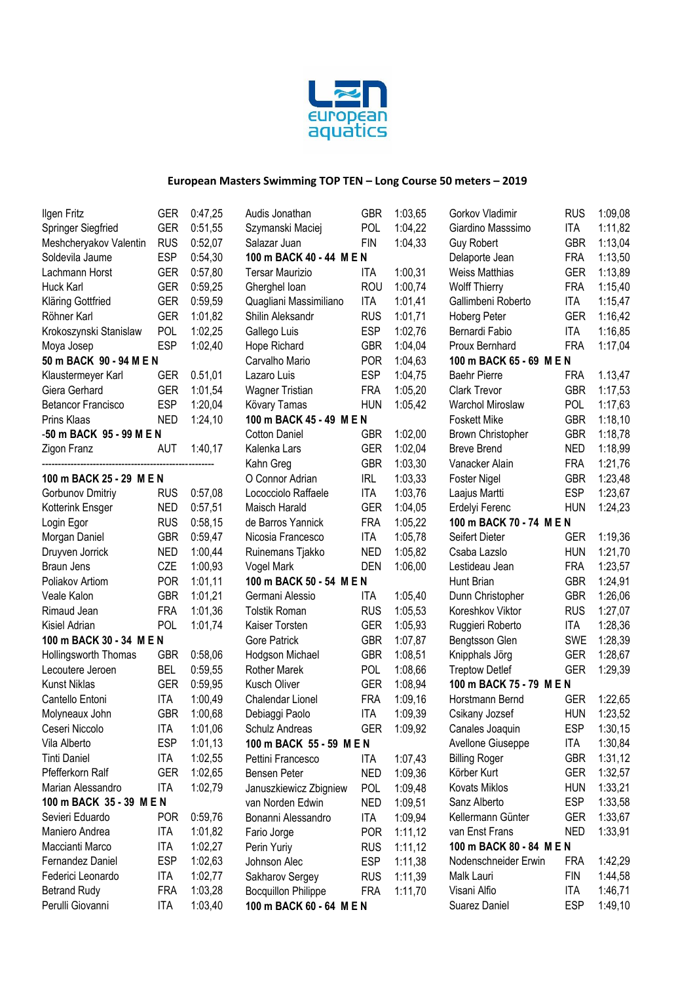

| Ilgen Fritz               | GER        | 0:47,25 | Audis Jonathan             | <b>GBR</b> | 1:03,65 | Gorkov Vladir        |
|---------------------------|------------|---------|----------------------------|------------|---------|----------------------|
| Springer Siegfried        | <b>GER</b> | 0:51,55 | Szymanski Maciej           | POL        | 1:04,22 | Giardino Mas         |
| Meshcheryakov Valentin    | <b>RUS</b> | 0:52,07 | Salazar Juan               | <b>FIN</b> | 1:04,33 | Guy Robert           |
| Soldevila Jaume           | <b>ESP</b> | 0:54,30 | 100 m BACK 40 - 44 M E N   |            |         | Delaporte Jea        |
| Lachmann Horst            | <b>GER</b> | 0:57,80 | <b>Tersar Maurizio</b>     | ITA        | 1:00,31 | Weiss Matthia        |
| Huck Karl                 | <b>GER</b> | 0:59,25 | Gherghel Ioan              | <b>ROU</b> | 1:00,74 | <b>Wolff Thierry</b> |
| Kläring Gottfried         | <b>GER</b> | 0:59,59 | Quagliani Massimiliano     | ITA        | 1:01,41 | Gallimbeni Ro        |
| Röhner Karl               | <b>GER</b> | 1:01,82 | Shilin Aleksandr           | <b>RUS</b> | 1:01,71 | Hoberg Peter         |
| Krokoszynski Stanislaw    | POL        | 1:02,25 | Gallego Luis               | <b>ESP</b> | 1:02,76 | Bernardi Fabi        |
| Moya Josep                | <b>ESP</b> | 1:02,40 | Hope Richard               | <b>GBR</b> | 1:04,04 | Proux Bernha         |
| 50 m BACK 90 - 94 M E N   |            |         | Carvalho Mario             | <b>POR</b> | 1:04,63 | 100 m BACK           |
| Klaustermeyer Karl        | <b>GER</b> | 0.51,01 | Lazaro Luis                | <b>ESP</b> | 1:04,75 | <b>Baehr Pierre</b>  |
| Giera Gerhard             | <b>GER</b> | 1:01,54 | Wagner Tristian            | <b>FRA</b> | 1:05,20 | Clark Trevor         |
| <b>Betancor Francisco</b> | <b>ESP</b> | 1:20,04 | Kövary Tamas               | <b>HUN</b> | 1:05,42 | Warchol Miro         |
| Prins Klaas               | <b>NED</b> | 1:24,10 | 100 m BACK 45 - 49 M E N   |            |         | Foskett Mike         |
| -50 m BACK 95 - 99 M E N  |            |         | <b>Cotton Daniel</b>       | <b>GBR</b> | 1:02,00 | <b>Brown Christo</b> |
| Zigon Franz               | <b>AUT</b> | 1:40,17 | Kalenka Lars               | <b>GER</b> | 1:02,04 | Breve Brend          |
|                           |            |         | Kahn Greg                  | <b>GBR</b> | 1:03,30 | Vanacker Ala         |
| 100 m BACK 25 - 29 M E N  |            |         | O Connor Adrian            | <b>IRL</b> | 1:03,33 | Foster Nigel         |
| Gorbunov Dmitriy          | <b>RUS</b> | 0:57,08 | Lococciolo Raffaele        | ITA        | 1:03,76 | Laajus Martti        |
| Kotterink Ensger          | <b>NED</b> | 0:57,51 | Maisch Harald              | <b>GER</b> | 1:04,05 | Erdelyi Feren        |
| Login Egor                | <b>RUS</b> | 0:58,15 | de Barros Yannick          | <b>FRA</b> | 1:05,22 | 100 m BACK           |
| Morgan Daniel             | <b>GBR</b> | 0:59,47 | Nicosia Francesco          | ITA        | 1:05,78 | Seifert Dieter       |
| Druyven Jorrick           | <b>NED</b> | 1:00,44 | Ruinemans Tjakko           | <b>NED</b> | 1:05,82 | Csaba Lazslo         |
| Braun Jens                | CZE        | 1:00,93 | Vogel Mark                 | <b>DEN</b> | 1:06,00 | Lestideau Jea        |
| Poliakov Artiom           | <b>POR</b> | 1:01,11 | 100 m BACK 50 - 54 M E N   |            |         | Hunt Brian           |
| Veale Kalon               | <b>GBR</b> | 1:01,21 | Germani Alessio            | ITA        | 1:05,40 | Dunn Christo         |
| Rimaud Jean               | <b>FRA</b> | 1:01,36 | <b>Tolstik Roman</b>       | <b>RUS</b> | 1:05,53 | Koreshkov Vi         |
| Kisiel Adrian             | POL        | 1:01,74 | Kaiser Torsten             | <b>GER</b> | 1:05,93 | Ruggieri Rob         |
| 100 m BACK 30 - 34 M E N  |            |         | Gore Patrick               | <b>GBR</b> | 1:07,87 | Bengtsson GI         |
| Hollingsworth Thomas      | <b>GBR</b> | 0:58,06 | Hodgson Michael            | <b>GBR</b> | 1:08,51 | Knipphals Jör        |
| Lecoutere Jeroen          | <b>BEL</b> | 0:59,55 | <b>Rother Marek</b>        | POL        | 1:08,66 | <b>Treptow Detle</b> |
| <b>Kunst Niklas</b>       | <b>GER</b> | 0:59,95 | Kusch Oliver               | <b>GER</b> | 1:08,94 | 100 m BACK           |
| Cantello Entoni           | ITA        | 1:00,49 | Chalendar Lionel           | <b>FRA</b> | 1:09,16 | Horstmann Be         |
| Molyneaux John            | <b>GBR</b> | 1:00,68 | Debiaggi Paolo             | <b>ITA</b> | 1:09,39 | Csikany Jozs         |
| Ceseri Niccolo            | <b>ITA</b> | 1:01.06 | Schulz Andreas             | <b>GER</b> | 1:09,92 | Canales Joaq         |
| Vila Alberto              | <b>ESP</b> | 1:01,13 | 100 m BACK 55 - 59 M E N   |            |         | <b>Avellone Gius</b> |
| <b>Tinti Daniel</b>       | ITA        | 1:02,55 | Pettini Francesco          | ITA        | 1:07,43 | <b>Billing Roger</b> |
| Pfefferkorn Ralf          | <b>GER</b> | 1:02,65 | Bensen Peter               | <b>NED</b> | 1:09,36 | Körber Kurt          |
| Marian Alessandro         | <b>ITA</b> | 1:02,79 | Januszkiewicz Zbigniew     | <b>POL</b> | 1:09,48 | Kovats Miklos        |
| 100 m BACK 35 - 39 M E N  |            |         | van Norden Edwin           | <b>NED</b> | 1:09,51 | Sanz Alberto         |
| Sevieri Eduardo           | <b>POR</b> | 0:59,76 | Bonanni Alessandro         | ITA        | 1:09,94 | Kellermann G         |
| Maniero Andrea            | <b>ITA</b> | 1:01,82 | Fario Jorge                | <b>POR</b> | 1:11,12 | van Enst Frar        |
| Maccianti Marco           | <b>ITA</b> | 1:02,27 | Perin Yuriy                | <b>RUS</b> | 1:11,12 | 100 m BACK           |
| Fernandez Daniel          | <b>ESP</b> | 1:02,63 | Johnson Alec               | <b>ESP</b> | 1:11,38 | Nodenschnei          |
| Federici Leonardo         | <b>ITA</b> | 1:02,77 | Sakharov Sergey            | <b>RUS</b> | 1:11,39 | Malk Lauri           |
| <b>Betrand Rudy</b>       | <b>FRA</b> | 1:03,28 | <b>Bocquillon Philippe</b> | <b>FRA</b> | 1:11,70 | Visani Alfio         |
| Perulli Giovanni          | <b>ITA</b> | 1:03,40 | 100 m BACK 60 - 64 M E N   |            |         | Suarez Danie         |
|                           |            |         |                            |            |         |                      |

| Gorkov Vladimir          | RUS        | 1:09,08 |
|--------------------------|------------|---------|
| Giardino Masssimo        | <b>ITA</b> | 1:11,82 |
| <b>Guy Robert</b>        | <b>GBR</b> | 1:13,04 |
| Delaporte Jean           | <b>FRA</b> | 1:13,50 |
| Weiss Matthias           | <b>GER</b> | 1:13,89 |
| <b>Wolff Thierry</b>     | <b>FRA</b> | 1:15,40 |
| Gallimbeni Roberto       | ITA        | 1:15,47 |
| Hoberg Peter             | <b>GER</b> | 1:16,42 |
| Bernardi Fabio           | ITA        | 1:16,85 |
| Proux Bernhard           | <b>FRA</b> | 1:17,04 |
| 100 m BACK 65 - 69 M E N |            |         |
| <b>Baehr Pierre</b>      | <b>FRA</b> | 1.13,47 |
| <b>Clark Trevor</b>      | <b>GBR</b> | 1:17,53 |
|                          |            |         |
| Warchol Miroslaw         | <b>POL</b> | 1:17,63 |
| <b>Foskett Mike</b>      | <b>GBR</b> | 1:18,10 |
| Brown Christopher        | <b>GBR</b> | 1:18,78 |
| <b>Breve Brend</b>       | <b>NED</b> | 1:18,99 |
| Vanacker Alain           | FRA        | 1:21,76 |
| Foster Nigel             | <b>GBR</b> | 1:23,48 |
| Laajus Martti            | <b>ESP</b> | 1:23,67 |
| Erdelyi Ferenc           | HUN        | 1:24,23 |
| 100 m BACK 70 - 74 M E N |            |         |
| Seifert Dieter           | <b>GER</b> | 1:19,36 |
| Csaba Lazslo             | <b>HUN</b> | 1:21,70 |
| Lestideau Jean           | <b>FRA</b> | 1:23,57 |
| Hunt Brian               | <b>GBR</b> | 1:24,91 |
| Dunn Christopher         | <b>GBR</b> | 1:26,06 |
| Koreshkov Viktor         | <b>RUS</b> | 1:27,07 |
| Ruggieri Roberto         | <b>ITA</b> | 1:28,36 |
| Bengtsson Glen           | <b>SWE</b> | 1:28,39 |
| Knipphals Jörg           | <b>GER</b> | 1:28,67 |
| <b>Treptow Detlef</b>    | <b>GER</b> | 1:29,39 |
| 100 m BACK 75 - 79 M E N |            |         |
| Horstmann Bernd          | <b>GER</b> | 1:22,65 |
| Csikany Jozsef           | HUN        | 1:23,52 |
| Canales Joaquin          | ESP        | 1:30,15 |
| Avellone Giuseppe        | ITA        | 1:30,84 |
| <b>Billing Roger</b>     | <b>GBR</b> | 1:31,12 |
| Körber Kurt              | <b>GER</b> | 1:32,57 |
| <b>Kovats Miklos</b>     | HUN        | 1:33,21 |
| Sanz Alberto             | <b>ESP</b> |         |
|                          |            | 1:33,58 |
| Kellermann Günter        | GER        | 1:33,67 |
| van Enst Frans           | NED        | 1:33,91 |
| 100 m BACK 80 - 84 M E N |            |         |
| Nodenschneider Erwin     | FRA        | 1:42,29 |
| Malk Lauri               | FIN        | 1:44,58 |
| Visani Alfio             | ITA        | 1:46,71 |
| Suarez Daniel            | ESP        | 1:49,10 |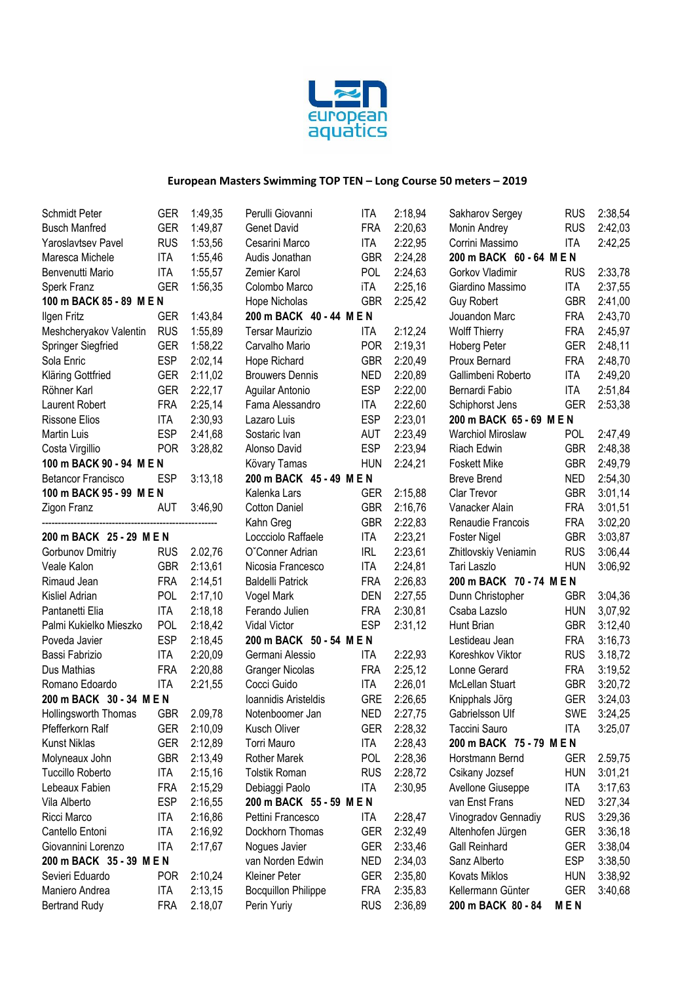

| <b>Schmidt Peter</b>      | GER        | 1:49,35 | Perulli Giovanni           | ITA                                                 | 2:18,94 | Sakharov Sergey          | <b>RUS</b> | 2:38,54 |
|---------------------------|------------|---------|----------------------------|-----------------------------------------------------|---------|--------------------------|------------|---------|
| <b>Busch Manfred</b>      | <b>GER</b> | 1:49,87 | Genet David                | <b>FRA</b>                                          | 2:20,63 | Monin Andrey             | <b>RUS</b> | 2:42,03 |
| Yaroslavtsev Pavel        | <b>RUS</b> | 1:53,56 | Cesarini Marco             | <b>ITA</b>                                          | 2:22,95 | Corrini Massimo          | <b>ITA</b> | 2:42,25 |
| Maresca Michele           | <b>ITA</b> | 1:55,46 | Audis Jonathan             | <b>GBR</b>                                          | 2:24,28 | 200 m BACK 60 - 64 M E N |            |         |
| Benvenutti Mario          | <b>ITA</b> | 1:55,57 | Zemier Karol               | <b>POL</b>                                          | 2:24,63 | Gorkov Vladimir          | <b>RUS</b> | 2:33,78 |
| Sperk Franz               | <b>GER</b> | 1:56,35 | Colombo Marco              | iTA                                                 | 2:25,16 | Giardino Massimo         | ITA        | 2:37,55 |
| 100 m BACK 85 - 89 M E N  |            |         | Hope Nicholas              | <b>GBR</b>                                          | 2:25,42 | <b>Guy Robert</b>        | <b>GBR</b> | 2:41,00 |
| Ilgen Fritz               | <b>GER</b> | 1:43,84 | 200 m BACK 40 - 44 M E N   |                                                     |         | Jouandon Marc            | <b>FRA</b> | 2:43,70 |
| Meshcheryakov Valentin    | <b>RUS</b> | 1:55,89 | <b>Tersar Maurizio</b>     | ITA                                                 | 2:12,24 | <b>Wolff Thierry</b>     | <b>FRA</b> | 2:45,97 |
| Springer Siegfried        | <b>GER</b> | 1:58,22 | Carvalho Mario             | <b>POR</b>                                          | 2:19,31 | Hoberg Peter             | <b>GER</b> | 2:48,11 |
| Sola Enric                | <b>ESP</b> | 2:02,14 | Hope Richard               | <b>GBR</b>                                          | 2:20,49 | Proux Bernard            | <b>FRA</b> | 2:48,70 |
| Kläring Gottfried         | <b>GER</b> | 2:11,02 | <b>Brouwers Dennis</b>     | <b>NED</b>                                          | 2:20,89 | Gallimbeni Roberto       | <b>ITA</b> | 2:49,20 |
| Röhner Karl               | <b>GER</b> | 2:22,17 | Aguilar Antonio            | <b>ESP</b>                                          | 2:22,00 | Bernardi Fabio           | <b>ITA</b> | 2:51,84 |
| Laurent Robert            | <b>FRA</b> | 2:25,14 | Fama Alessandro            | <b>ITA</b>                                          | 2:22,60 | Schiphorst Jens          | <b>GER</b> | 2:53,38 |
| <b>Rissone Elios</b>      | <b>ITA</b> | 2:30,93 | Lazaro Luis                | <b>ESP</b>                                          | 2:23,01 | 200 m BACK 65 - 69 M E N |            |         |
| Martin Luis               | <b>ESP</b> | 2:41,68 | Sostaric Ivan              | <b>AUT</b>                                          | 2:23,49 | <b>Warchiol Miroslaw</b> | <b>POL</b> | 2:47,49 |
| Costa Virgillio           | <b>POR</b> | 3:28,82 | Alonso David               | <b>ESP</b>                                          | 2:23,94 | Riach Edwin              | <b>GBR</b> | 2:48,38 |
| 100 m BACK 90 - 94 M E N  |            |         | Kövary Tamas               | <b>HUN</b>                                          | 2:24,21 | <b>Foskett Mike</b>      | <b>GBR</b> | 2:49,79 |
| <b>Betancor Francisco</b> | <b>ESP</b> | 3:13,18 | 200 m BACK 45 - 49 M E N   |                                                     |         | <b>Breve Brend</b>       | <b>NED</b> | 2:54,30 |
| 100 m BACK 95 - 99 M E N  |            |         | Kalenka Lars               | <b>GER</b>                                          | 2:15,88 | Clar Trevor              | <b>GBR</b> | 3:01,14 |
| Zigon Franz               | <b>AUT</b> | 3:46,90 | <b>Cotton Daniel</b>       | <b>GBR</b>                                          | 2:16,76 | Vanacker Alain           | <b>FRA</b> | 3:01,51 |
|                           |            |         | Kahn Greg                  | <b>GBR</b>                                          | 2:22,83 | Renaudie Francois        | <b>FRA</b> | 3:02,20 |
| 200 m BACK 25 - 29 M E N  |            |         | Loccciolo Raffaele         | <b>ITA</b>                                          | 2:23,21 | <b>Foster Nigel</b>      | <b>GBR</b> | 3:03,87 |
| Gorbunov Dmitriy          | <b>RUS</b> | 2.02,76 | O'Conner Adrian            | <b>IRL</b>                                          | 2:23,61 | Zhitlovskiy Veniamin     | <b>RUS</b> | 3:06,44 |
| Veale Kalon               | <b>GBR</b> | 2:13,61 | Nicosia Francesco          | <b>ITA</b>                                          | 2:24,81 | Tari Laszlo              | <b>HUN</b> | 3:06,92 |
| Rimaud Jean               | <b>FRA</b> | 2:14,51 | <b>Baldelli Patrick</b>    | <b>FRA</b>                                          | 2:26,83 | 200 m BACK 70 - 74 M E N |            |         |
| Kisliel Adrian            | POL        | 2:17,10 | Vogel Mark                 | <b>DEN</b>                                          | 2:27,55 | Dunn Christopher         | <b>GBR</b> | 3:04,36 |
| Pantanetti Elia           | <b>ITA</b> | 2:18,18 | Ferando Julien             | <b>FRA</b>                                          | 2:30,81 | Csaba Lazslo             | <b>HUN</b> | 3,07,92 |
| Palmi Kukielko Mieszko    | <b>POL</b> | 2:18,42 | Vidal Victor               | <b>ESP</b>                                          | 2:31,12 | Hunt Brian               | <b>GBR</b> | 3:12,40 |
| Poveda Javier             | <b>ESP</b> | 2:18,45 | 200 m BACK 50 - 54 M E N   |                                                     |         | Lestideau Jean           | <b>FRA</b> | 3:16,73 |
| Bassi Fabrizio            | <b>ITA</b> | 2:20,09 | Germani Alessio            | ITA                                                 | 2:22,93 | Koreshkov Viktor         | <b>RUS</b> | 3.18,72 |
| Dus Mathias               | <b>FRA</b> | 2:20,88 | <b>Granger Nicolas</b>     | <b>FRA</b>                                          | 2:25,12 | Lonne Gerard             | <b>FRA</b> | 3:19,52 |
| Romano Edoardo            | <b>ITA</b> | 2:21,55 | Cocci Guido                | <b>ITA</b>                                          | 2:26,01 | McLellan Stuart          | <b>GBR</b> | 3:20,72 |
| 200 m BACK 30 - 34 M E N  |            |         | Ioannidis Aristeldis       | <b>GRE</b>                                          | 2:26,65 | Knipphals Jörg           | <b>GER</b> | 3:24,03 |
| Hollingsworth Thomas      | <b>GBR</b> | 2.09,78 | Notenboomer Jan            | <b>NED</b>                                          | 2:27,75 | Gabrielsson Ulf          | <b>SWE</b> | 3:24,25 |
| Pfefferkorn Ralf          | GER        | 2:10,09 | Kusch Oliver               | <b>GER</b>                                          | 2:28,32 | Taccini Sauro            | <b>ITA</b> | 3:25,07 |
| <b>Kunst Niklas</b>       | GER        | 2:12,89 | Torri Mauro                | ITA                                                 | 2:28,43 | 200 m BACK 75 - 79 M E N |            |         |
| Molyneaux John            | <b>GBR</b> | 2:13,49 | Rother Marek               | <b>POL</b>                                          | 2:28,36 | Horstmann Bernd          | GER        | 2.59,75 |
| <b>Tuccillo Roberto</b>   | <b>ITA</b> | 2:15,16 | <b>Tolstik Roman</b>       | <b>RUS</b>                                          | 2:28,72 | Csikany Jozsef           | <b>HUN</b> | 3:01,21 |
| Lebeaux Fabien            | <b>FRA</b> | 2:15,29 | Debiaggi Paolo             | ITA                                                 | 2:30,95 | Avellone Giuseppe        | ITA        | 3:17,63 |
| Vila Alberto              | <b>ESP</b> | 2:16,55 | 200 m BACK 55 - 59 M E N   |                                                     |         | van Enst Frans           | <b>NED</b> | 3:27,34 |
| Ricci Marco               | ITA        | 2:16,86 | Pettini Francesco          | ITA                                                 | 2:28,47 | Vinogradov Gennadiy      | <b>RUS</b> | 3:29,36 |
| Cantello Entoni           | <b>ITA</b> | 2:16,92 | Dockhorn Thomas            | <b>GER</b>                                          | 2:32,49 | Altenhofen Jürgen        | <b>GER</b> | 3:36,18 |
| Giovannini Lorenzo        | <b>ITA</b> | 2:17,67 | Nogues Javier              | <b>GER</b>                                          | 2:33,46 | <b>Gall Reinhard</b>     | <b>GER</b> | 3:38,04 |
| 200 m BACK 35 - 39 M E N  |            |         | van Norden Edwin           | <b>ESP</b><br><b>NED</b><br>2:34,03<br>Sanz Alberto |         |                          |            | 3:38,50 |
| Sevieri Eduardo           | <b>POR</b> | 2:10,24 | Kleiner Peter              | <b>GER</b>                                          | 2:35,80 | <b>Kovats Miklos</b>     | <b>HUN</b> | 3:38,92 |
| Maniero Andrea            | <b>ITA</b> | 2:13,15 | <b>Bocquillon Philippe</b> | <b>FRA</b>                                          | 2:35,83 | Kellermann Günter        | <b>GER</b> | 3:40,68 |
| <b>Bertrand Rudy</b>      | <b>FRA</b> | 2.18,07 | Perin Yuriy                | <b>RUS</b>                                          | 2:36,89 | 200 m BACK 80 - 84       | <b>MEN</b> |         |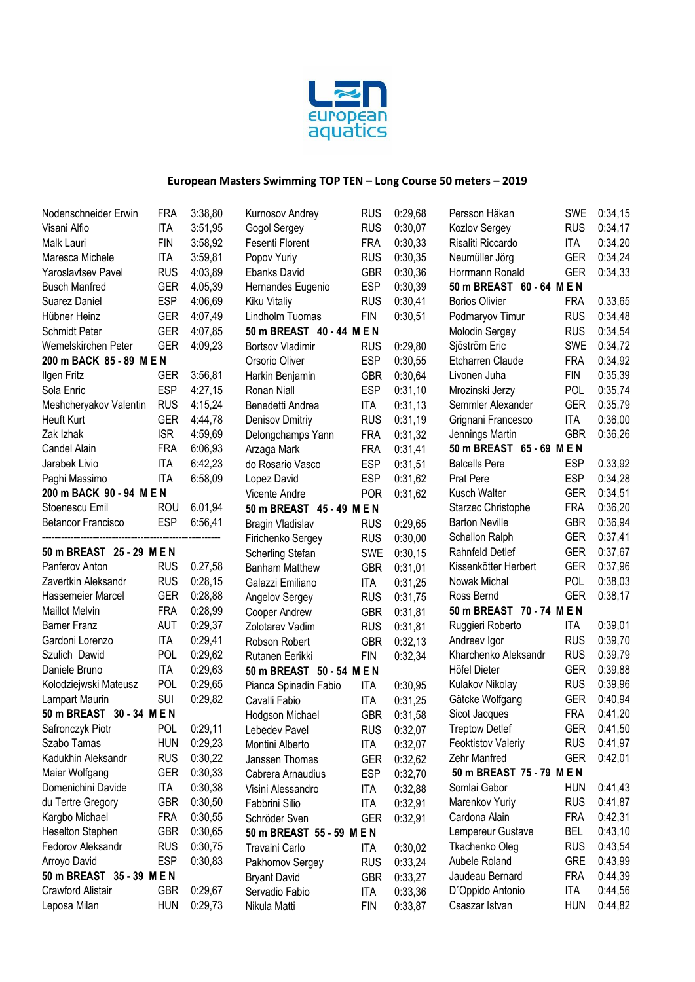

| Nodenschneider Erwin      | FRA        | 3:38,80 | Kurnosov Andrey           | <b>RUS</b> | 0:29,68 | Persson Häkan             | SWE        | 0:34,15 |
|---------------------------|------------|---------|---------------------------|------------|---------|---------------------------|------------|---------|
| Visani Alfio              | <b>ITA</b> | 3:51,95 | Gogol Sergey              | <b>RUS</b> | 0:30,07 | Kozlov Sergey             | <b>RUS</b> | 0:34,17 |
| Malk Lauri                | <b>FIN</b> | 3:58,92 | Fesenti Florent           | <b>FRA</b> | 0:30,33 | Risaliti Riccardo         | ITA        | 0:34,20 |
| Maresca Michele           | <b>ITA</b> | 3:59,81 | Popov Yuriy               | <b>RUS</b> | 0:30,35 | Neumüller Jörg            | <b>GER</b> | 0:34,24 |
| Yaroslavtsev Pavel        | <b>RUS</b> | 4:03,89 | Ebanks David              | <b>GBR</b> | 0:30,36 | Horrmann Ronald           | <b>GER</b> | 0:34,33 |
| <b>Busch Manfred</b>      | <b>GER</b> | 4.05,39 | Hernandes Eugenio         | <b>ESP</b> | 0:30,39 | 50 m BREAST 60 - 64 M E N |            |         |
| Suarez Daniel             | <b>ESP</b> | 4:06,69 | Kiku Vitaliy              | <b>RUS</b> | 0:30,41 | <b>Borios Olivier</b>     | <b>FRA</b> | 0.33,65 |
| Hübner Heinz              | <b>GER</b> | 4:07,49 | Lindholm Tuomas           | <b>FIN</b> | 0:30,51 | Podmaryov Timur           | <b>RUS</b> | 0:34,48 |
| Schmidt Peter             | <b>GER</b> | 4:07,85 | 50 m BREAST 40 - 44 M E N |            |         | Molodin Sergey            | <b>RUS</b> | 0:34,54 |
| Wemelskirchen Peter       | <b>GER</b> | 4:09,23 | <b>Bortsov Vladimir</b>   | <b>RUS</b> | 0:29.80 | Sjöström Eric             | <b>SWE</b> | 0:34,72 |
| 200 m BACK 85 - 89 M E N  |            |         | Orsorio Oliver            | <b>ESP</b> | 0:30,55 | Etcharren Claude          | <b>FRA</b> | 0:34,92 |
| Ilgen Fritz               | <b>GER</b> | 3:56,81 | Harkin Benjamin           | <b>GBR</b> | 0:30,64 | Livonen Juha              | <b>FIN</b> | 0:35,39 |
| Sola Enric                | <b>ESP</b> | 4:27,15 | Ronan Niall               | <b>ESP</b> | 0:31,10 | Mrozinski Jerzy           | <b>POL</b> | 0:35,74 |
| Meshcheryakov Valentin    | <b>RUS</b> | 4:15,24 | Benedetti Andrea          | <b>ITA</b> | 0:31,13 | Semmler Alexander         | <b>GER</b> | 0:35,79 |
| Heuft Kurt                | <b>GER</b> | 4:44,78 | Denisov Dmitriy           | <b>RUS</b> | 0:31,19 | Grignani Francesco        | ITA        | 0:36,00 |
| Zak Izhak                 | <b>ISR</b> | 4:59,69 | Delongchamps Yann         | <b>FRA</b> | 0:31,32 | Jennings Martin           | <b>GBR</b> | 0:36,26 |
| Candel Alain              | <b>FRA</b> | 6:06,93 | Arzaga Mark               | <b>FRA</b> | 0:31,41 | 50 m BREAST 65 - 69 M E N |            |         |
| Jarabek Livio             | <b>ITA</b> | 6:42,23 | do Rosario Vasco          | <b>ESP</b> | 0:31,51 | <b>Balcells Pere</b>      | <b>ESP</b> | 0.33,92 |
| Paghi Massimo             | <b>ITA</b> | 6:58,09 | Lopez David               | <b>ESP</b> | 0:31,62 | Prat Pere                 | <b>ESP</b> | 0:34,28 |
| 200 m BACK 90 - 94 M E N  |            |         | Vicente Andre             | <b>POR</b> | 0:31,62 | Kusch Walter              | <b>GER</b> | 0:34,51 |
| Stoenescu Emil            | <b>ROU</b> | 6.01,94 | 50 m BREAST 45 - 49 M E N |            |         | Starzec Christophe        | <b>FRA</b> | 0:36,20 |
| <b>Betancor Francisco</b> | <b>ESP</b> | 6:56,41 | Bragin Vladislav          | <b>RUS</b> | 0:29,65 | <b>Barton Neville</b>     | <b>GBR</b> | 0:36,94 |
|                           |            |         | Firichenko Sergey         | <b>RUS</b> | 0:30,00 | Schallon Ralph            | <b>GER</b> | 0:37,41 |
| 50 m BREAST 25 - 29 M E N |            |         | Scherling Stefan          | <b>SWE</b> | 0:30,15 | Rahnfeld Detlef           | <b>GER</b> | 0:37,67 |
| Panferov Anton            | <b>RUS</b> | 0.27,58 | <b>Banham Matthew</b>     | <b>GBR</b> | 0:31,01 | Kissenkötter Herbert      | <b>GER</b> | 0:37,96 |
| Zavertkin Aleksandr       | <b>RUS</b> | 0:28,15 | Galazzi Emiliano          | ITA        | 0:31,25 | Nowak Michal              | <b>POL</b> | 0:38,03 |
| Hassemeier Marcel         | <b>GER</b> | 0:28,88 | Angelov Sergey            | <b>RUS</b> | 0:31,75 | Ross Bernd                | <b>GER</b> | 0:38,17 |
| <b>Maillot Melvin</b>     | <b>FRA</b> | 0:28,99 | Cooper Andrew             | <b>GBR</b> | 0:31,81 | 50 m BREAST 70 - 74 M E N |            |         |
| <b>Bamer Franz</b>        | <b>AUT</b> | 0:29,37 | Zolotarev Vadim           | <b>RUS</b> | 0:31,81 | Ruggieri Roberto          | ITA        | 0:39,01 |
| Gardoni Lorenzo           | <b>ITA</b> | 0:29,41 | Robson Robert             | <b>GBR</b> | 0:32,13 | Andreev Igor              | <b>RUS</b> | 0:39,70 |
| Szulich Dawid             | POL        | 0:29,62 | Rutanen Eerikki           | <b>FIN</b> | 0:32,34 | Kharchenko Aleksandr      | <b>RUS</b> | 0:39,79 |
| Daniele Bruno             | <b>ITA</b> | 0:29,63 | 50 m BREAST 50 - 54 M E N |            |         | Höfel Dieter              | <b>GER</b> | 0:39,88 |
| Kolodziejwski Mateusz     | POL        | 0:29,65 | Pianca Spinadin Fabio     | <b>ITA</b> | 0:30,95 | Kulakov Nikolay           | <b>RUS</b> | 0:39,96 |
| Lampart Maurin            | <b>SUI</b> | 0:29,82 | Cavalli Fabio             | ITA        | 0:31,25 | Gätcke Wolfgang           | <b>GER</b> | 0:40,94 |
| 50 m BREAST 30 - 34 M E N |            |         | Hodgson Michael           | <b>GBR</b> | 0:31,58 | Sicot Jacques             | <b>FRA</b> | 0:41,20 |
| Safronczyk Piotr          | POL        | 0:29,11 | Lebedev Pavel             | <b>RUS</b> | 0:32,07 | Treptow Detlef            | <b>GER</b> | 0:41,50 |
| Szabo Tamas               | hun        | 0:29,23 | Montini Alberto           | ITA        | 0:32,07 | <b>Feoktistov Valeriy</b> | <b>RUS</b> | 0:41,97 |
| Kadukhin Aleksandr        | <b>RUS</b> | 0:30,22 | Janssen Thomas            | <b>GER</b> | 0:32,62 | Zehr Manfred              | <b>GER</b> | 0:42,01 |
| Maier Wolfgang            | GER        | 0:30,33 | Cabrera Arnaudius         | <b>ESP</b> | 0:32,70 | 50 m BREAST 75 - 79 M E N |            |         |
| Domenichini Davide        | <b>ITA</b> | 0:30,38 | Visini Alessandro         | <b>ITA</b> | 0:32,88 | Somlai Gabor              | <b>HUN</b> | 0:41,43 |
| du Tertre Gregory         | <b>GBR</b> | 0:30,50 | Fabbrini Silio            | <b>ITA</b> | 0:32,91 | Marenkov Yuriy            | <b>RUS</b> | 0:41,87 |
| Kargbo Michael            | <b>FRA</b> | 0:30,55 | Schröder Sven             | <b>GER</b> | 0:32,91 | Cardona Alain             | <b>FRA</b> | 0:42,31 |
| Heselton Stephen          | <b>GBR</b> | 0:30,65 | 50 m BREAST 55 - 59 M E N |            |         | Lempereur Gustave         | <b>BEL</b> | 0:43,10 |
| Fedorov Aleksandr         | <b>RUS</b> | 0:30,75 | Travaini Carlo            | ITA        | 0:30,02 | Tkachenko Oleg            | <b>RUS</b> | 0:43,54 |
| Arroyo David              | <b>ESP</b> | 0:30,83 | Pakhomov Sergey           | <b>RUS</b> | 0:33,24 | Aubele Roland             | <b>GRE</b> | 0:43,99 |
| 50 m BREAST 35 - 39 M E N |            |         | <b>Bryant David</b>       | <b>GBR</b> | 0:33,27 | Jaudeau Bernard           | <b>FRA</b> | 0:44,39 |
| Crawford Alistair         | GBR        | 0:29,67 | Servadio Fabio            | <b>ITA</b> | 0:33,36 | D'Oppido Antonio          | ITA        | 0:44,56 |
| Leposa Milan              | <b>HUN</b> | 0:29,73 | Nikula Matti              | <b>FIN</b> | 0:33,87 | Csaszar Istvan            | <b>HUN</b> | 0:44,82 |
|                           |            |         |                           |            |         |                           |            |         |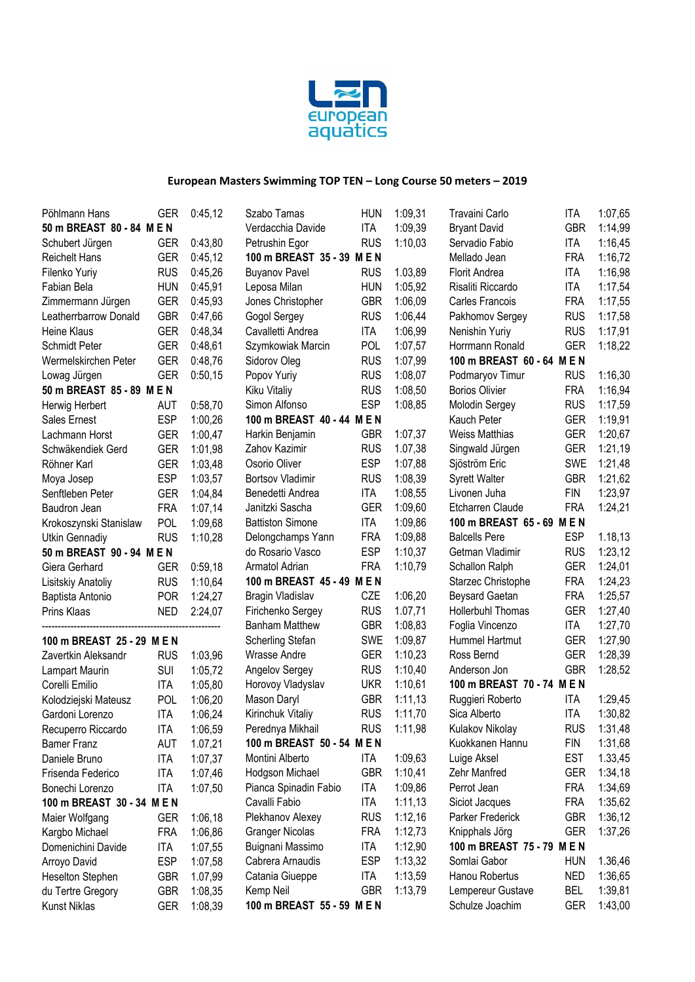

| Pöhlmann Hans              | GER        | 0:45,12 | Szabo Tamas                | <b>HUN</b> | 1:09,31 | Travaini Carlo             | ITA        | 1:07,65 |
|----------------------------|------------|---------|----------------------------|------------|---------|----------------------------|------------|---------|
| 50 m BREAST 80 - 84 M E N  |            |         | Verdacchia Davide          | ITA        | 1:09,39 | <b>Bryant David</b>        | <b>GBR</b> | 1:14,99 |
| Schubert Jürgen            | <b>GER</b> | 0:43,80 | Petrushin Egor             | <b>RUS</b> | 1:10,03 | Servadio Fabio             | ITA        | 1:16,45 |
| <b>Reichelt Hans</b>       | <b>GER</b> | 0:45,12 | 100 m BREAST 35 - 39 M E N |            |         | Mellado Jean               | <b>FRA</b> | 1:16,72 |
| Filenko Yuriy              | <b>RUS</b> | 0:45,26 | <b>Buyanov Pavel</b>       | <b>RUS</b> | 1.03,89 | Florit Andrea              | ITA        | 1:16,98 |
| Fabian Bela                | <b>HUN</b> | 0:45,91 | Leposa Milan               | <b>HUN</b> | 1:05.92 | Risaliti Riccardo          | <b>ITA</b> | 1:17,54 |
| Zimmermann Jürgen          | <b>GER</b> | 0:45,93 | Jones Christopher          | <b>GBR</b> | 1:06,09 | Carles Francois            | <b>FRA</b> | 1:17,55 |
| Leatherrbarrow Donald      | <b>GBR</b> | 0:47,66 | Gogol Sergey               | <b>RUS</b> | 1:06,44 | Pakhomov Sergey            | <b>RUS</b> | 1:17,58 |
| Heine Klaus                | <b>GER</b> | 0:48,34 | Cavalletti Andrea          | ITA        | 1:06,99 | Nenishin Yuriy             | <b>RUS</b> | 1:17,91 |
| Schmidt Peter              | <b>GER</b> | 0:48,61 | Szymkowiak Marcin          | <b>POL</b> | 1:07,57 | Horrmann Ronald            | <b>GER</b> | 1:18,22 |
| Wermelskirchen Peter       | <b>GER</b> | 0:48,76 | Sidorov Oleg               | <b>RUS</b> | 1:07,99 | 100 m BREAST 60 - 64 M E N |            |         |
| Lowag Jürgen               | <b>GER</b> | 0:50,15 | Popov Yuriy                | <b>RUS</b> | 1:08,07 | Podmaryov Timur            | <b>RUS</b> | 1:16,30 |
| 50 m BREAST 85 - 89 M E N  |            |         | Kiku Vitaliy               | <b>RUS</b> | 1:08,50 | <b>Borios Olivier</b>      | <b>FRA</b> | 1:16,94 |
| Herwig Herbert             | <b>AUT</b> | 0:58,70 | Simon Alfonso              | <b>ESP</b> | 1:08,85 | Molodin Sergey             | <b>RUS</b> | 1:17,59 |
| Sales Ernest               | <b>ESP</b> | 1:00,26 | 100 m BREAST 40 - 44 M E N |            |         | Kauch Peter                | <b>GER</b> | 1:19,91 |
| Lachmann Horst             | <b>GER</b> | 1:00,47 | Harkin Benjamin            | <b>GBR</b> | 1:07,37 | <b>Weiss Matthias</b>      | <b>GER</b> | 1:20,67 |
| Schwäkendiek Gerd          | <b>GER</b> | 1:01,98 | Zahov Kazimir              | <b>RUS</b> | 1.07,38 | Singwald Jürgen            | <b>GER</b> | 1:21,19 |
| Röhner Karl                | <b>GER</b> | 1:03,48 | Osorio Oliver              | <b>ESP</b> | 1:07,88 | Sjöström Eric              | <b>SWE</b> | 1:21,48 |
| Moya Josep                 | <b>ESP</b> | 1:03,57 | <b>Bortsov Vladimir</b>    | <b>RUS</b> | 1:08,39 | <b>Syrett Walter</b>       | <b>GBR</b> | 1:21,62 |
| Senftleben Peter           | <b>GER</b> | 1:04,84 | Benedetti Andrea           | <b>ITA</b> | 1:08,55 | Livonen Juha               | <b>FIN</b> | 1:23,97 |
| Baudron Jean               | <b>FRA</b> | 1:07,14 | Janitzki Sascha            | <b>GER</b> | 1:09,60 | Etcharren Claude           | <b>FRA</b> | 1:24,21 |
| Krokoszynski Stanislaw     | POL        | 1:09,68 | <b>Battiston Simone</b>    | <b>ITA</b> | 1:09,86 | 100 m BREAST 65 - 69 M E N |            |         |
| Utkin Gennadiy             | <b>RUS</b> | 1:10,28 | Delongchamps Yann          | <b>FRA</b> | 1:09,88 | <b>Balcells Pere</b>       | <b>ESP</b> | 1.18,13 |
| 50 m BREAST 90 - 94 M E N  |            |         | do Rosario Vasco           | <b>ESP</b> | 1:10,37 | Getman Vladimir            | <b>RUS</b> | 1:23,12 |
| Giera Gerhard              | <b>GER</b> | 0:59,18 | Armatol Adrian             | <b>FRA</b> | 1:10,79 | Schallon Ralph             | <b>GER</b> | 1:24,01 |
| Lisitskiy Anatoliy         | <b>RUS</b> | 1:10,64 | 100 m BREAST 45 - 49 M E N |            |         | Starzec Christophe         | <b>FRA</b> | 1:24,23 |
| Baptista Antonio           | <b>POR</b> | 1:24,27 | Bragin Vladislav           | CZE        | 1:06,20 | <b>Beysard Gaetan</b>      | <b>FRA</b> | 1:25,57 |
| Prins Klaas                | <b>NED</b> | 2:24,07 | Firichenko Sergey          | <b>RUS</b> | 1.07,71 | Hollerbuhl Thomas          | <b>GER</b> | 1:27,40 |
|                            |            |         | <b>Banham Matthew</b>      | <b>GBR</b> | 1:08,83 | Foglia Vincenzo            | ITA        | 1:27,70 |
| 100 m BREAST 25 - 29 M E N |            |         | Scherling Stefan           | <b>SWE</b> | 1:09,87 | Hummel Hartmut             | <b>GER</b> | 1:27,90 |
| Zavertkin Aleksandr        | <b>RUS</b> | 1:03,96 | Wrasse Andre               | <b>GER</b> | 1:10,23 | Ross Bernd                 | <b>GER</b> | 1:28,39 |
| Lampart Maurin             | <b>SUI</b> | 1:05,72 | Angelov Sergey             | <b>RUS</b> | 1:10,40 | Anderson Jon               | <b>GBR</b> | 1:28,52 |
| Corelli Emilio             | <b>ITA</b> | 1:05,80 | Horovoy Vladyslav          | <b>UKR</b> | 1:10,61 | 100 m BREAST 70 - 74 M E N |            |         |
| Kolodziejski Mateusz       | POL        | 1:06,20 | Mason Daryl                | <b>GBR</b> | 1:11,13 | Ruggieri Roberto           | ITA        | 1:29,45 |
| Gardoni Lorenzo            | <b>ITA</b> | 1:06,24 | Kirinchuk Vitaliy          | <b>RUS</b> | 1:11,70 | Sica Alberto               | <b>ITA</b> | 1:30,82 |
| Recuperro Riccardo         | <b>ITA</b> | 1:06,59 | Perednya Mikhail           | <b>RUS</b> | 1:11,98 | Kulakov Nikolay            | <b>RUS</b> | 1:31,48 |
| <b>Bamer Franz</b>         | <b>AUT</b> | 1.07,21 | 100 m BREAST 50 - 54 M E N |            |         | Kuokkanen Hannu            | <b>FIN</b> | 1:31,68 |
| Daniele Bruno              | <b>ITA</b> | 1:07,37 | Montini Alberto            | ITA        | 1:09,63 | Luige Aksel                | <b>EST</b> | 1.33,45 |
| Frisenda Federico          | <b>ITA</b> | 1:07,46 | Hodgson Michael            | <b>GBR</b> | 1:10,41 | Zehr Manfred               | <b>GER</b> | 1:34,18 |
| Bonechi Lorenzo            | <b>ITA</b> | 1:07,50 | Pianca Spinadin Fabio      | <b>ITA</b> | 1:09,86 | Perrot Jean                | <b>FRA</b> | 1:34,69 |
| 100 m BREAST 30 - 34 M E N |            |         | Cavalli Fabio              | <b>ITA</b> | 1:11,13 | Siciot Jacques             | <b>FRA</b> | 1:35,62 |
| Maier Wolfgang             | <b>GER</b> | 1:06,18 | Plekhanov Alexey           | <b>RUS</b> | 1:12,16 | Parker Frederick           | <b>GBR</b> | 1:36,12 |
| Kargbo Michael             | <b>FRA</b> | 1:06,86 | <b>Granger Nicolas</b>     | <b>FRA</b> | 1:12,73 | Knipphals Jörg             | <b>GER</b> | 1:37,26 |
| Domenichini Davide         | <b>ITA</b> | 1:07,55 | Buignani Massimo           | <b>ITA</b> | 1:12,90 | 100 m BREAST 75 - 79 M E N |            |         |
| Arroyo David               | <b>ESP</b> | 1:07,58 | Cabrera Arnaudis           | <b>ESP</b> | 1:13,32 | Somlai Gabor               | <b>HUN</b> | 1.36,46 |
| Heselton Stephen           | <b>GBR</b> | 1.07,99 | Catania Giueppe            | <b>ITA</b> | 1:13,59 | Hanou Robertus             | <b>NED</b> | 1:36,65 |
| du Tertre Gregory          | <b>GBR</b> | 1:08,35 | Kemp Neil                  | <b>GBR</b> | 1:13,79 | Lempereur Gustave          | <b>BEL</b> | 1:39,81 |
| Kunst Niklas               | <b>GER</b> | 1:08,39 | 100 m BREAST 55 - 59 M E N |            |         | Schulze Joachim            | <b>GER</b> | 1:43,00 |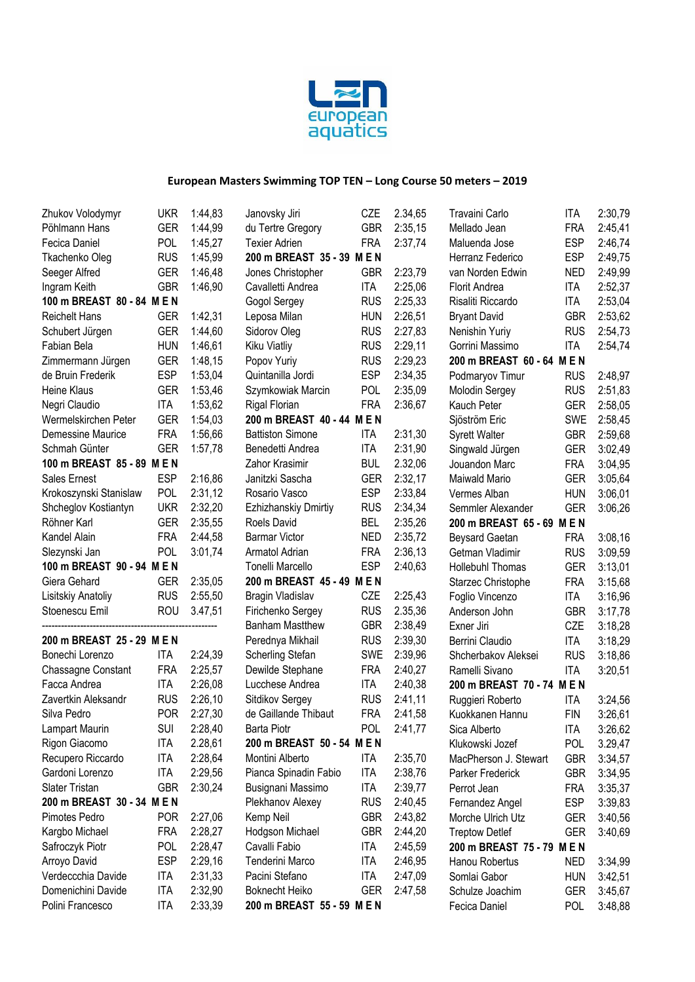

| Zhukov Volodymyr           | UKR        | 1:44,83 | Janovsky Jiri              | CZE        | 2.34,65 | Travaini Carlo             | <b>ITA</b> | 2:30,79 |
|----------------------------|------------|---------|----------------------------|------------|---------|----------------------------|------------|---------|
| Pöhlmann Hans              | <b>GER</b> | 1:44,99 | du Tertre Gregory          | <b>GBR</b> | 2:35,15 | Mellado Jean               | <b>FRA</b> | 2:45,41 |
| Fecica Daniel              | POL        | 1:45,27 | <b>Texier Adrien</b>       | <b>FRA</b> | 2:37,74 | Maluenda Jose              | <b>ESP</b> | 2:46,74 |
| Tkachenko Oleg             | <b>RUS</b> | 1:45,99 | 200 m BREAST 35 - 39 M E N |            |         | Herranz Federico           | <b>ESP</b> | 2:49,75 |
| Seeger Alfred              | <b>GER</b> | 1:46,48 | Jones Christopher          | <b>GBR</b> | 2:23,79 | van Norden Edwin           | <b>NED</b> | 2:49,99 |
| Ingram Keith               | <b>GBR</b> | 1:46,90 | Cavalletti Andrea          | <b>ITA</b> | 2:25,06 | <b>Florit Andrea</b>       | <b>ITA</b> | 2:52,37 |
| 100 m BREAST 80 - 84 M E N |            |         | Gogol Sergey               | <b>RUS</b> | 2:25,33 | Risaliti Riccardo          | <b>ITA</b> | 2:53,04 |
| <b>Reichelt Hans</b>       | <b>GER</b> | 1:42,31 | Leposa Milan               | <b>HUN</b> | 2:26,51 | <b>Bryant David</b>        | <b>GBR</b> | 2:53,62 |
| Schubert Jürgen            | <b>GER</b> | 1:44,60 | Sidorov Oleg               | <b>RUS</b> | 2:27,83 | Nenishin Yuriy             | <b>RUS</b> | 2:54,73 |
| Fabian Bela                | <b>HUN</b> | 1:46,61 | Kiku Viatliy               | <b>RUS</b> | 2:29,11 | Gorrini Massimo            | <b>ITA</b> | 2:54,74 |
| Zimmermann Jürgen          | <b>GER</b> | 1:48,15 | Popov Yuriy                | <b>RUS</b> | 2:29,23 | 200 m BREAST 60 - 64 M E N |            |         |
| de Bruin Frederik          | <b>ESP</b> | 1:53,04 | Quintanilla Jordi          | <b>ESP</b> | 2:34,35 | Podmaryov Timur            | <b>RUS</b> | 2:48,97 |
| <b>Heine Klaus</b>         | <b>GER</b> | 1:53,46 | Szymkowiak Marcin          | POL        | 2:35,09 | Molodin Sergey             | <b>RUS</b> | 2:51,83 |
| Negri Claudio              | <b>ITA</b> | 1:53,62 | <b>Rigal Florian</b>       | <b>FRA</b> | 2:36,67 | Kauch Peter                | <b>GER</b> | 2:58,05 |
| Wermelskirchen Peter       | <b>GER</b> | 1:54,03 | 200 m BREAST 40 - 44 M E N |            |         | Sjöström Eric              | <b>SWE</b> | 2:58,45 |
| Demessine Maurice          | <b>FRA</b> | 1:56,66 | <b>Battiston Simone</b>    | <b>ITA</b> | 2:31,30 | <b>Syrett Walter</b>       | <b>GBR</b> | 2:59,68 |
| Schmah Günter              | <b>GER</b> | 1:57,78 | Benedetti Andrea           | <b>ITA</b> | 2:31,90 | Singwald Jürgen            | <b>GER</b> | 3:02,49 |
| 100 m BREAST 85 - 89 M E N |            |         | Zahor Krasimir             | <b>BUL</b> | 2.32,06 | Jouandon Marc              | <b>FRA</b> | 3:04,95 |
| Sales Ernest               | <b>ESP</b> | 2:16,86 | Janitzki Sascha            | <b>GER</b> | 2:32,17 | Maiwald Mario              | <b>GER</b> | 3:05,64 |
| Krokoszynski Stanislaw     | <b>POL</b> | 2:31,12 | Rosario Vasco              | <b>ESP</b> | 2:33,84 | Vermes Alban               | <b>HUN</b> | 3:06,01 |
| Shcheglov Kostiantyn       | <b>UKR</b> | 2:32,20 | Ezhizhanskiy Dmirtiy       | <b>RUS</b> | 2:34,34 | Semmler Alexander          | <b>GER</b> | 3:06,26 |
| Röhner Karl                | <b>GER</b> | 2:35,55 | Roels David                | <b>BEL</b> | 2:35,26 | 200 m BREAST 65 - 69 M E N |            |         |
| Kandel Alain               | <b>FRA</b> | 2:44,58 | <b>Barmar Victor</b>       | <b>NED</b> | 2:35,72 | <b>Beysard Gaetan</b>      | <b>FRA</b> | 3:08,16 |
| Slezynski Jan              | <b>POL</b> | 3:01,74 | Armatol Adrian             | <b>FRA</b> | 2:36,13 | Getman Vladimir            | <b>RUS</b> | 3:09,59 |
| 100 m BREAST 90 - 94 M E N |            |         | Tonelli Marcello           | <b>ESP</b> | 2:40,63 | Hollebuhl Thomas           | <b>GER</b> | 3:13,01 |
| Giera Gehard               | <b>GER</b> | 2:35,05 | 200 m BREAST 45 - 49 M E N |            |         | Starzec Christophe         | <b>FRA</b> | 3:15,68 |
| Lisitskiy Anatoliy         | <b>RUS</b> | 2:55,50 | Bragin Vladislav           | CZE        | 2:25,43 | Foglio Vincenzo            | <b>ITA</b> | 3:16,96 |
| Stoenescu Emil             | <b>ROU</b> | 3.47,51 | Firichenko Sergey          | <b>RUS</b> | 2.35,36 | Anderson John              | <b>GBR</b> | 3:17,78 |
|                            |            |         | <b>Banham Mastthew</b>     | <b>GBR</b> | 2:38,49 | Exner Jiri                 | CZE        | 3:18,28 |
| 200 m BREAST 25 - 29 M E N |            |         | Perednya Mikhail           | <b>RUS</b> | 2:39,30 | Berrini Claudio            | ITA        | 3:18,29 |
| Bonechi Lorenzo            | <b>ITA</b> | 2:24,39 | Scherling Stefan           | <b>SWE</b> | 2:39,96 | Shcherbakov Aleksei        | <b>RUS</b> | 3:18,86 |
| <b>Chassagne Constant</b>  | <b>FRA</b> | 2:25,57 | Dewilde Stephane           | <b>FRA</b> | 2:40,27 | Ramelli Sivano             | <b>ITA</b> | 3:20,51 |
| Facca Andrea               | <b>ITA</b> | 2:26,08 | Lucchese Andrea            | <b>ITA</b> | 2:40,38 | 200 m BREAST 70 - 74 M E N |            |         |
| Zavertkin Aleksandr        | <b>RUS</b> | 2:26,10 | Sitdikov Sergey            | <b>RUS</b> | 2:41,11 | Ruggieri Roberto           | <b>ITA</b> | 3:24,56 |
| Silva Pedro                | <b>POR</b> | 2:27,30 | de Gaillande Thibaut       | <b>FRA</b> | 2:41,58 | Kuokkanen Hannu            | <b>FIN</b> | 3:26,61 |
| Lampart Maurin             | SUI        | 2:28,40 | Barta Piotr                | <b>POL</b> | 2:41,77 | Sica Alberto               | <b>ITA</b> | 3:26,62 |
| Rigon Giacomo              | ITA        | 2.28,61 | 200 m BREAST 50 - 54 M E N |            |         | Klukowski Jozef            | <b>POL</b> | 3.29,47 |
| Recupero Riccardo          | <b>ITA</b> | 2:28,64 | Montini Alberto            | <b>ITA</b> | 2:35,70 | MacPherson J. Stewart      | <b>GBR</b> | 3:34,57 |
| Gardoni Lorenzo            | <b>ITA</b> | 2:29,56 | Pianca Spinadin Fabio      | <b>ITA</b> | 2:38,76 | Parker Frederick           | <b>GBR</b> | 3:34,95 |
| Slater Tristan             | <b>GBR</b> | 2:30,24 | Busignani Massimo          | <b>ITA</b> | 2:39,77 | Perrot Jean                | <b>FRA</b> | 3:35,37 |
| 200 m BREAST 30 - 34 M E N |            |         | Plekhanov Alexey           | <b>RUS</b> | 2:40,45 | Fernandez Angel            | <b>ESP</b> | 3:39,83 |
| Pimotes Pedro              | <b>POR</b> | 2:27,06 | Kemp Neil                  | <b>GBR</b> | 2:43,82 | Morche Ulrich Utz          | <b>GER</b> | 3:40,56 |
| Kargbo Michael             | <b>FRA</b> | 2:28,27 | Hodgson Michael            | <b>GBR</b> | 2:44,20 | <b>Treptow Detlef</b>      | <b>GER</b> | 3:40,69 |
| Safroczyk Piotr            | <b>POL</b> | 2:28,47 | Cavalli Fabio              | <b>ITA</b> | 2:45,59 | 200 m BREAST 75 - 79 M E N |            |         |
| Arroyo David               | <b>ESP</b> | 2:29,16 | Tenderini Marco            | <b>ITA</b> | 2:46,95 | Hanou Robertus             | <b>NED</b> | 3:34,99 |
| Verdeccchia Davide         | <b>ITA</b> | 2:31,33 | Pacini Stefano             | <b>ITA</b> | 2:47,09 | Somlai Gabor               | <b>HUN</b> | 3:42,51 |
| Domenichini Davide         | <b>ITA</b> | 2:32,90 | <b>Boknecht Heiko</b>      | <b>GER</b> | 2:47,58 | Schulze Joachim            | <b>GER</b> | 3:45,67 |
| Polini Francesco           | <b>ITA</b> | 2:33,39 | 200 m BREAST 55 - 59 M E N |            |         | Fecica Daniel              | <b>POL</b> | 3:48,88 |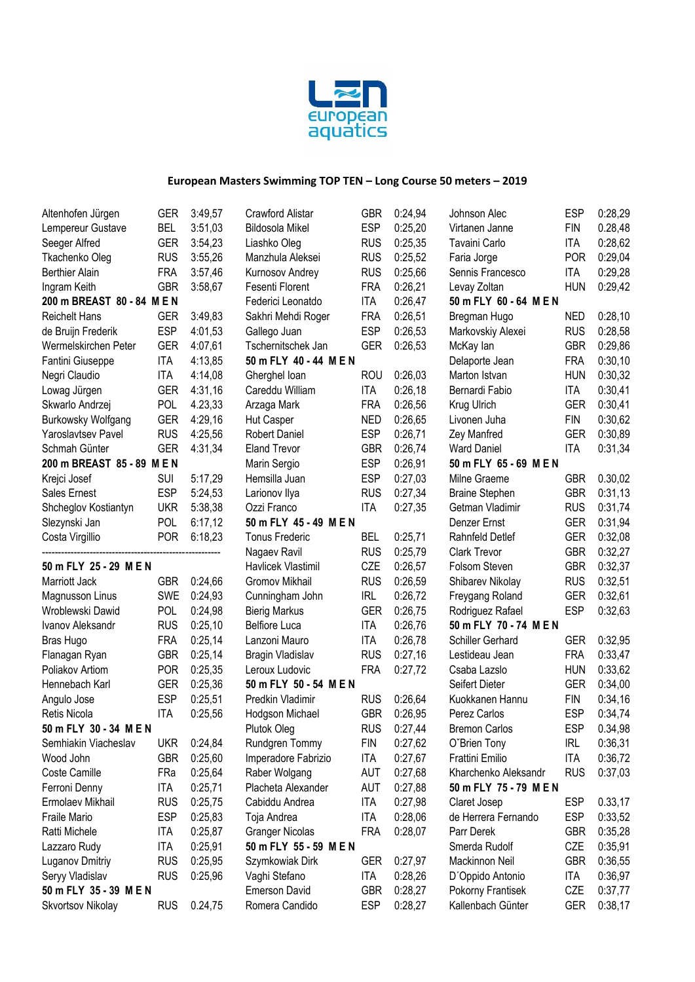

| Altenhofen Jürgen          | <b>GER</b>                      | 3:49,57 | Crawford Alistar       | <b>GBR</b> | 0:24,94 | Johnson Alec           | <b>ESP</b> | 0:28,29 |
|----------------------------|---------------------------------|---------|------------------------|------------|---------|------------------------|------------|---------|
| Lempereur Gustave          | <b>BEL</b>                      | 3:51,03 | <b>Bildosola Mikel</b> | <b>ESP</b> | 0:25,20 | Virtanen Janne         | <b>FIN</b> | 0.28,48 |
| Seeger Alfred              | <b>GER</b>                      | 3:54,23 | Liashko Oleg           | <b>RUS</b> | 0:25,35 | Tavaini Carlo          | <b>ITA</b> | 0:28,62 |
| Tkachenko Oleg             | <b>RUS</b>                      | 3:55,26 | Manzhula Aleksei       | <b>RUS</b> | 0:25,52 | Faria Jorge            | <b>POR</b> | 0:29,04 |
| Berthier Alain             | <b>FRA</b>                      | 3:57,46 | Kurnosov Andrey        | <b>RUS</b> | 0:25,66 | Sennis Francesco       | <b>ITA</b> | 0:29,28 |
| Ingram Keith               | <b>GBR</b>                      | 3:58,67 | Fesenti Florent        | <b>FRA</b> | 0:26,21 | Levay Zoltan           | <b>HUN</b> | 0:29,42 |
| 200 m BREAST 80 - 84 M E N |                                 |         | Federici Leonatdo      | <b>ITA</b> | 0:26,47 | 50 m FLY 60 - 64 M E N |            |         |
| Reichelt Hans              | <b>GER</b>                      | 3:49,83 | Sakhri Mehdi Roger     | <b>FRA</b> | 0:26,51 | Bregman Hugo           | <b>NED</b> | 0:28,10 |
| de Bruijn Frederik         | <b>ESP</b>                      | 4:01,53 | Gallego Juan           | <b>ESP</b> | 0:26,53 | Markovskiy Alexei      | <b>RUS</b> | 0:28,58 |
| Wermelskirchen Peter       | <b>GER</b>                      | 4:07,61 | Tschernitschek Jan     | <b>GER</b> | 0:26,53 | McKay lan              | <b>GBR</b> | 0:29,86 |
| Fantini Giuseppe           | <b>ITA</b>                      | 4:13,85 | 50 m FLY 40 - 44 M E N |            |         | Delaporte Jean         | <b>FRA</b> | 0:30,10 |
| Negri Claudio              | <b>ITA</b>                      | 4:14,08 | Gherghel Ioan          | <b>ROU</b> | 0:26,03 | Marton Istvan          | <b>HUN</b> | 0:30,32 |
| Lowag Jürgen               | <b>GER</b>                      | 4:31,16 | Careddu William        | <b>ITA</b> | 0:26,18 | Bernardi Fabio         | <b>ITA</b> | 0:30,41 |
| Skwarlo Andrzej            | POL                             | 4.23,33 | Arzaga Mark            | <b>FRA</b> | 0:26,56 | Krug Ulrich            | <b>GER</b> | 0:30,41 |
| <b>Burkowsky Wolfgang</b>  | <b>GER</b>                      | 4:29,16 | <b>Hut Casper</b>      | <b>NED</b> | 0:26,65 | Livonen Juha           | <b>FIN</b> | 0:30,62 |
| Yaroslavtsev Pavel         | <b>RUS</b>                      | 4:25,56 | <b>Robert Daniel</b>   | <b>ESP</b> | 0:26,71 | Zey Manfred            | <b>GER</b> | 0:30,89 |
| Schmah Günter              | <b>GER</b>                      | 4:31,34 | <b>Eland Trevor</b>    | <b>GBR</b> | 0:26,74 | <b>Ward Daniel</b>     | <b>ITA</b> | 0:31,34 |
| 200 m BREAST 85 - 89 M E N |                                 |         | Marin Sergio           | <b>ESP</b> | 0:26,91 | 50 m FLY 65 - 69 M E N |            |         |
| Krejci Josef               | <b>SUI</b>                      | 5:17,29 | Hemsilla Juan          | <b>ESP</b> | 0:27,03 | Milne Graeme           | <b>GBR</b> | 0.30,02 |
| Sales Ernest               | <b>ESP</b>                      | 5:24,53 | Larionov Ilya          | <b>RUS</b> | 0:27,34 | <b>Braine Stephen</b>  | <b>GBR</b> | 0:31,13 |
| Shcheglov Kostiantyn       | <b>UKR</b>                      | 5:38,38 | Ozzi Franco            | <b>ITA</b> | 0:27,35 | Getman Vladimir        | <b>RUS</b> | 0:31,74 |
| Slezynski Jan              | <b>POL</b>                      | 6:17,12 | 50 m FLY 45 - 49 M E N |            |         | Denzer Ernst           | <b>GER</b> | 0:31,94 |
| Costa Virgillio            | <b>POR</b>                      | 6:18,23 | <b>Tonus Frederic</b>  | <b>BEL</b> | 0:25,71 | Rahnfeld Detlef        | <b>GER</b> | 0:32,08 |
|                            |                                 |         | Nagaev Ravil           | <b>RUS</b> | 0:25,79 | <b>Clark Trevor</b>    | <b>GBR</b> | 0:32,27 |
|                            | CZE<br>0:26,57<br>Folsom Steven |         |                        | <b>GBR</b> |         |                        |            |         |
| 50 m FLY 25 - 29 M E N     |                                 | 0:24,66 | Havlicek Vlastimil     |            |         |                        |            | 0:32,37 |
| Marriott Jack              | <b>GBR</b>                      |         | Gromov Mikhail         | <b>RUS</b> | 0:26,59 | Shibarev Nikolay       | <b>RUS</b> | 0:32,51 |
| Magnusson Linus            | <b>SWE</b>                      | 0:24,93 | Cunningham John        | <b>IRL</b> | 0:26,72 | Freygang Roland        | <b>GER</b> | 0:32,61 |
| Wroblewski Dawid           | <b>POL</b>                      | 0:24,98 | <b>Bierig Markus</b>   | <b>GER</b> | 0:26,75 | Rodriguez Rafael       | <b>ESP</b> | 0:32,63 |
| Ivanov Aleksandr           | <b>RUS</b>                      | 0:25,10 | <b>Belfiore Luca</b>   | <b>ITA</b> | 0:26,76 | 50 m FLY 70 - 74 M E N |            |         |
| <b>Bras Hugo</b>           | <b>FRA</b>                      | 0:25,14 | Lanzoni Mauro          | <b>ITA</b> | 0:26,78 | Schiller Gerhard       | <b>GER</b> | 0:32,95 |
| Flanagan Ryan              | <b>GBR</b>                      | 0:25,14 | Bragin Vladislav       | <b>RUS</b> | 0:27,16 | Lestideau Jean         | <b>FRA</b> | 0:33,47 |
| Poliakov Artiom            | <b>POR</b>                      | 0:25,35 | Leroux Ludovic         | <b>FRA</b> | 0:27,72 | Csaba Lazslo           | <b>HUN</b> | 0:33,62 |
| Hennebach Karl             | <b>GER</b>                      | 0:25,36 | 50 m FLY 50 - 54 M E N |            |         | Seifert Dieter         | <b>GER</b> | 0:34,00 |
| Angulo Jose                | <b>ESP</b>                      | 0:25,51 | Predkin Vladimir       | <b>RUS</b> | 0:26,64 | Kuokkanen Hannu        | <b>FIN</b> | 0:34,16 |
| Retis Nicola               | <b>ITA</b>                      | 0:25,56 | Hodgson Michael        | <b>GBR</b> | 0:26,95 | Perez Carlos           | <b>ESP</b> | 0:34,74 |
| 50 m FLY 30 - 34 M E N     |                                 |         | Plutok Oleg            | <b>RUS</b> | 0:27,44 | <b>Bremon Carlos</b>   | <b>ESP</b> | 0.34,98 |
| Semhiakin Viacheslav       | <b>UKR</b>                      | 0:24,84 | Rundgren Tommy         | <b>FIN</b> | 0:27,62 | O'Brien Tony           | <b>IRL</b> | 0:36,31 |
| Wood John                  | <b>GBR</b>                      | 0:25,60 | Imperadore Fabrizio    | <b>ITA</b> | 0:27,67 | Frattini Emilio        | <b>ITA</b> | 0:36,72 |
| Coste Camille              | FRa                             | 0:25,64 | Raber Wolgang          | AUT        | 0:27,68 | Kharchenko Aleksandr   | <b>RUS</b> | 0:37,03 |
| Ferroni Denny              | <b>ITA</b>                      | 0:25,71 | Placheta Alexander     | AUT        | 0:27,88 | 50 m FLY 75 - 79 M E N |            |         |
| Ermolaev Mikhail           | <b>RUS</b>                      | 0:25,75 | Cabiddu Andrea         | <b>ITA</b> | 0:27,98 | Claret Josep           | <b>ESP</b> | 0.33,17 |
| Fraile Mario               | <b>ESP</b>                      | 0:25,83 | Toja Andrea            | <b>ITA</b> | 0:28,06 | de Herrera Fernando    | <b>ESP</b> | 0:33,52 |
| Ratti Michele              | ITA                             | 0:25,87 | <b>Granger Nicolas</b> | <b>FRA</b> | 0:28,07 | Parr Derek             | <b>GBR</b> | 0:35,28 |
| Lazzaro Rudy               | ITA                             | 0:25,91 | 50 m FLY 55 - 59 M E N |            |         | Smerda Rudolf          | CZE        | 0:35,91 |
| Luganov Dmitriy            | <b>RUS</b>                      | 0:25,95 | Szymkowiak Dirk        | GER        | 0:27,97 | Mackinnon Neil         | <b>GBR</b> | 0:36,55 |
| Seryy Vladislav            | <b>RUS</b>                      | 0:25,96 | Vaghi Stefano          | <b>ITA</b> | 0:28,26 | D'Oppido Antonio       | <b>ITA</b> | 0:36,97 |
| 50 m FLY 35 - 39 M E N     |                                 |         | <b>Emerson David</b>   | <b>GBR</b> | 0:28,27 | Pokorny Frantisek      | CZE        | 0:37,77 |
| Skvortsov Nikolay          | <b>RUS</b>                      | 0.24,75 | Romera Candido         | <b>ESP</b> | 0:28,27 | Kallenbach Günter      | GER        | 0:38,17 |
|                            |                                 |         |                        |            |         |                        |            |         |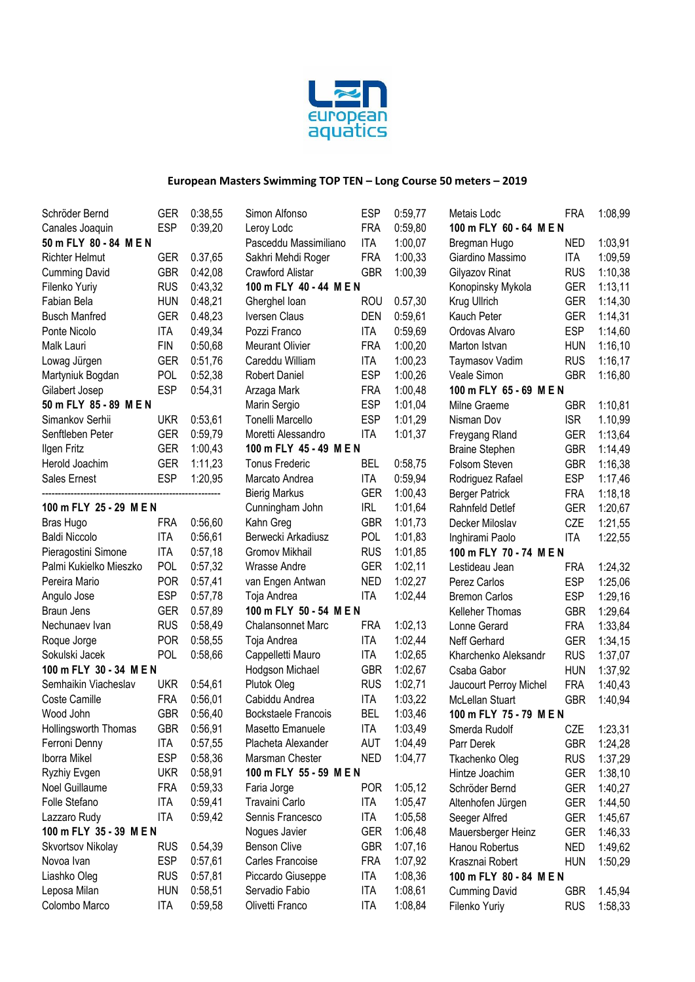

| Schröder Bernd          | GER        | 0:38,55 | Simon Alfonso              | <b>ESP</b> | 0:59,77 | Metais Lodc             | FRA        | 1:08,99 |
|-------------------------|------------|---------|----------------------------|------------|---------|-------------------------|------------|---------|
| Canales Joaquin         | <b>ESP</b> | 0:39,20 | Leroy Lodc                 | <b>FRA</b> | 0:59.80 | 100 m FLY 60 - 64 M E N |            |         |
| 50 m FLY 80 - 84 M E N  |            |         | Pasceddu Massimiliano      | <b>ITA</b> | 1:00,07 | Bregman Hugo            | <b>NED</b> | 1:03,91 |
| <b>Richter Helmut</b>   | <b>GER</b> | 0.37,65 | Sakhri Mehdi Roger         | <b>FRA</b> | 1:00,33 | Giardino Massimo        | ITA        | 1:09,59 |
| <b>Cumming David</b>    | <b>GBR</b> | 0:42,08 | Crawford Alistar           | <b>GBR</b> | 1:00,39 | Gilyazov Rinat          | <b>RUS</b> | 1:10,38 |
| Filenko Yuriy           | <b>RUS</b> | 0:43,32 | 100 m FLY 40 - 44 M E N    |            |         | Konopinsky Mykola       | <b>GER</b> | 1:13,11 |
| Fabian Bela             | <b>HUN</b> | 0:48,21 | Gherghel loan              | <b>ROU</b> | 0.57,30 | Krug Ullrich            | <b>GER</b> | 1:14,30 |
| <b>Busch Manfred</b>    | <b>GER</b> | 0.48,23 | Iversen Claus              | <b>DEN</b> | 0:59,61 | Kauch Peter             | <b>GER</b> | 1:14,31 |
| Ponte Nicolo            | <b>ITA</b> | 0:49,34 | Pozzi Franco               | <b>ITA</b> | 0:59,69 | Ordovas Alvaro          | <b>ESP</b> | 1:14,60 |
| Malk Lauri              | <b>FIN</b> | 0:50,68 | Meurant Olivier            | <b>FRA</b> | 1:00,20 | Marton Istvan           | <b>HUN</b> | 1:16,10 |
| Lowag Jürgen            | <b>GER</b> | 0:51,76 | Careddu William            | <b>ITA</b> | 1:00,23 | Taymasov Vadim          | <b>RUS</b> | 1:16,17 |
| Martyniuk Bogdan        | POL        | 0:52,38 | <b>Robert Daniel</b>       | <b>ESP</b> | 1:00,26 | Veale Simon             | <b>GBR</b> | 1:16,80 |
| Gilabert Josep          | <b>ESP</b> | 0:54,31 | Arzaga Mark                | <b>FRA</b> | 1:00,48 | 100 m FLY 65 - 69 M E N |            |         |
| 50 m FLY 85 - 89 M E N  |            |         | Marin Sergio               | <b>ESP</b> | 1:01,04 | Milne Graeme            | <b>GBR</b> | 1:10,81 |
| Simankov Serhii         | <b>UKR</b> | 0:53,61 | Tonelli Marcello           | <b>ESP</b> | 1:01,29 | Nisman Dov              | <b>ISR</b> | 1.10,99 |
| Senftleben Peter        | <b>GER</b> | 0:59,79 | Moretti Alessandro         | <b>ITA</b> | 1:01,37 | Freygang Rland          | <b>GER</b> | 1:13,64 |
| Ilgen Fritz             | <b>GER</b> | 1:00,43 | 100 m FLY 45 - 49 M E N    |            |         | <b>Braine Stephen</b>   | <b>GBR</b> | 1:14,49 |
| Herold Joachim          | <b>GER</b> | 1:11,23 | <b>Tonus Frederic</b>      | <b>BEL</b> | 0:58,75 | Folsom Steven           | <b>GBR</b> | 1:16,38 |
| Sales Ernest            | <b>ESP</b> | 1:20,95 | Marcato Andrea             | <b>ITA</b> | 0:59,94 | Rodriguez Rafael        | <b>ESP</b> | 1:17,46 |
|                         |            |         | <b>Bierig Markus</b>       | <b>GER</b> | 1:00,43 | <b>Berger Patrick</b>   | <b>FRA</b> | 1:18,18 |
| 100 m FLY 25 - 29 M E N |            |         | Cunningham John            | <b>IRL</b> | 1:01,64 | Rahnfeld Detlef         | <b>GER</b> | 1:20,67 |
| Bras Hugo               | <b>FRA</b> | 0:56,60 | Kahn Greg                  | <b>GBR</b> | 1:01,73 | Decker Miloslav         | CZE        | 1:21,55 |
| <b>Baldi Niccolo</b>    | <b>ITA</b> | 0:56,61 | Berwecki Arkadiusz         | <b>POL</b> | 1:01,83 | Inghirami Paolo         | <b>ITA</b> | 1:22,55 |
| Pieragostini Simone     | <b>ITA</b> | 0:57,18 | Gromov Mikhail             | <b>RUS</b> | 1:01,85 | 100 m FLY 70 - 74 M E N |            |         |
| Palmi Kukielko Mieszko  | POL        | 0:57,32 | Wrasse Andre               | <b>GER</b> | 1:02,11 | Lestideau Jean          | <b>FRA</b> | 1:24,32 |
| Pereira Mario           | <b>POR</b> | 0:57,41 | van Engen Antwan           | <b>NED</b> | 1:02,27 | Perez Carlos            | <b>ESP</b> | 1:25,06 |
| Angulo Jose             | <b>ESP</b> | 0:57,78 | Toja Andrea                | <b>ITA</b> | 1:02,44 | <b>Bremon Carlos</b>    | <b>ESP</b> | 1:29,16 |
| Braun Jens              | <b>GER</b> | 0.57,89 | 100 m FLY 50 - 54 M E N    |            |         | Kelleher Thomas         | <b>GBR</b> | 1:29,64 |
| Nechunaev Ivan          | <b>RUS</b> | 0:58,49 | <b>Chalansonnet Marc</b>   | <b>FRA</b> | 1:02,13 | Lonne Gerard            | <b>FRA</b> | 1:33,84 |
| Roque Jorge             | <b>POR</b> | 0:58,55 | Toja Andrea                | <b>ITA</b> | 1:02,44 | Neff Gerhard            | <b>GER</b> | 1:34,15 |
| Sokulski Jacek          | POL        | 0:58,66 | Cappelletti Mauro          | <b>ITA</b> | 1:02,65 | Kharchenko Aleksandr    | <b>RUS</b> | 1:37,07 |
| 100 m FLY 30 - 34 M E N |            |         | Hodgson Michael            | <b>GBR</b> | 1:02,67 | Csaba Gabor             | <b>HUN</b> | 1:37,92 |
| Semhaikin Viacheslav    | <b>UKR</b> | 0:54,61 | Plutok Oleg                | <b>RUS</b> | 1:02,71 | Jaucourt Perroy Michel  | <b>FRA</b> | 1:40,43 |
| Coste Camille           | <b>FRA</b> | 0:56,01 | Cabiddu Andrea             | <b>ITA</b> | 1:03,22 | McLellan Stuart         | <b>GBR</b> | 1:40,94 |
| Wood John               | <b>GBR</b> | 0:56,40 | <b>Bockstaele Francois</b> | <b>BEL</b> | 1:03,46 | 100 m FLY 75 - 79 M E N |            |         |
| Hollingsworth Thomas    | GBR        | 0:56,91 | Masetto Emanuele           | <b>ITA</b> | 1:03,49 | Smerda Rudolf           | CZE        | 1:23,31 |
| Ferroni Denny           | ITA        | 0:57,55 | Placheta Alexander         | <b>AUT</b> | 1:04,49 | Parr Derek              | <b>GBR</b> | 1:24,28 |
| Iborra Mikel            | <b>ESP</b> | 0:58,36 | Marsman Chester            | <b>NED</b> | 1:04,77 | Tkachenko Oleg          | <b>RUS</b> | 1:37,29 |
| Ryzhiy Evgen            | <b>UKR</b> | 0:58,91 | 100 m FLY 55 - 59 M E N    |            |         | Hintze Joachim          | <b>GER</b> | 1:38,10 |
| Noel Guillaume          | <b>FRA</b> | 0:59,33 | Faria Jorge                | <b>POR</b> | 1:05,12 | Schröder Bernd          | <b>GER</b> | 1:40,27 |
| Folle Stefano           | <b>ITA</b> | 0:59,41 | Travaini Carlo             | ITA        | 1:05,47 | Altenhofen Jürgen       | <b>GER</b> | 1:44,50 |
| Lazzaro Rudy            | <b>ITA</b> | 0:59,42 | Sennis Francesco           | <b>ITA</b> | 1:05,58 | Seeger Alfred           | <b>GER</b> | 1:45,67 |
| 100 m FLY 35 - 39 M E N |            |         | Nogues Javier              | <b>GER</b> | 1:06,48 | Mauersberger Heinz      | <b>GER</b> | 1:46,33 |
| Skvortsov Nikolay       | <b>RUS</b> | 0.54,39 | Benson Clive               | <b>GBR</b> | 1:07,16 | Hanou Robertus          | <b>NED</b> | 1:49,62 |
| Novoa Ivan              | <b>ESP</b> | 0:57,61 | Carles Francoise           | <b>FRA</b> | 1:07,92 | Krasznai Robert         | <b>HUN</b> | 1:50,29 |
| Liashko Oleg            | <b>RUS</b> | 0:57,81 | Piccardo Giuseppe          | <b>ITA</b> | 1:08,36 | 100 m FLY 80 - 84 M E N |            |         |
| Leposa Milan            | <b>HUN</b> | 0:58,51 | Servadio Fabio             | <b>ITA</b> | 1:08,61 | <b>Cumming David</b>    | <b>GBR</b> | 1.45,94 |
| Colombo Marco           | <b>ITA</b> | 0:59,58 | Olivetti Franco            | <b>ITA</b> | 1:08,84 | Filenko Yuriy           | <b>RUS</b> | 1:58,33 |
|                         |            |         |                            |            |         |                         |            |         |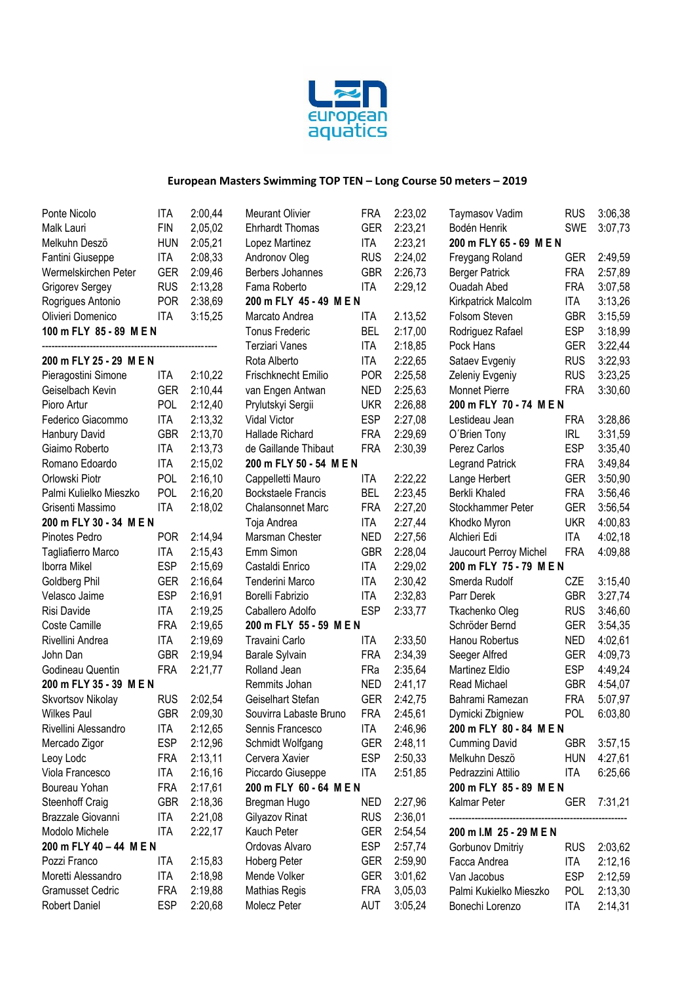

| Ponte Nicolo            | ITA        | 2:00,44 | <b>Meurant Olivier</b>    | FRA        | 2:23,02 | <b>Taymasov Vadim</b>                       | <b>RUS</b> | 3:06,38 |
|-------------------------|------------|---------|---------------------------|------------|---------|---------------------------------------------|------------|---------|
| Malk Lauri              | <b>FIN</b> | 2,05,02 | <b>Ehrhardt Thomas</b>    | <b>GER</b> | 2:23,21 | Bodén Henrik                                | <b>SWE</b> | 3:07,73 |
| Melkuhn Deszö           | <b>HUN</b> | 2:05,21 | Lopez Martinez            | <b>ITA</b> | 2:23,21 | 200 m FLY 65 - 69 M E N                     |            |         |
| Fantini Giuseppe        | <b>ITA</b> | 2:08,33 | Andronov Oleg             | <b>RUS</b> | 2:24,02 | Freygang Roland                             | <b>GER</b> | 2:49,59 |
| Wermelskirchen Peter    | <b>GER</b> | 2:09,46 | Berbers Johannes          | <b>GBR</b> | 2:26,73 | <b>Berger Patrick</b>                       | <b>FRA</b> | 2:57,89 |
| Grigorev Sergey         | <b>RUS</b> | 2:13,28 | Fama Roberto              | <b>ITA</b> | 2:29,12 | <b>Ouadah Abed</b>                          | <b>FRA</b> | 3:07,58 |
| Rogrigues Antonio       | <b>POR</b> | 2:38,69 | 200 m FLY 45 - 49 M E N   |            |         | Kirkpatrick Malcolm                         | ITA        | 3:13,26 |
| Olivieri Domenico       | <b>ITA</b> | 3:15,25 | Marcato Andrea            | ITA        | 2.13,52 | Folsom Steven                               | <b>GBR</b> | 3:15,59 |
| 100 m FLY 85 - 89 M E N |            |         | <b>Tonus Frederic</b>     | <b>BEL</b> | 2:17,00 | Rodriguez Rafael                            | <b>ESP</b> | 3:18,99 |
|                         |            |         | Terziari Vanes            | <b>ITA</b> | 2:18,85 | Pock Hans                                   | <b>GER</b> | 3:22,44 |
| 200 m FLY 25 - 29 M E N |            |         | Rota Alberto              | <b>ITA</b> | 2:22,65 | Sataev Evgeniy                              | <b>RUS</b> | 3:22,93 |
| Pieragostini Simone     | ITA        | 2:10,22 | Frischknecht Emilio       | <b>POR</b> | 2:25,58 | Zeleniy Evgeniy                             | <b>RUS</b> | 3:23,25 |
| Geiselbach Kevin        | <b>GER</b> | 2:10,44 | van Engen Antwan          | <b>NED</b> | 2:25,63 | <b>Monnet Pierre</b>                        | <b>FRA</b> | 3:30,60 |
| Pioro Artur             | <b>POL</b> | 2:12,40 | Prylutskyi Sergii         | <b>UKR</b> | 2:26,88 | 200 m FLY 70 - 74 M E N                     |            |         |
| Federico Giacommo       | ITA        | 2:13,32 | Vidal Victor              | <b>ESP</b> | 2:27,08 | Lestideau Jean                              | <b>FRA</b> | 3:28,86 |
| Hanbury David           | <b>GBR</b> | 2:13,70 | Hallade Richard           | <b>FRA</b> | 2:29,69 | O'Brien Tony                                | IRL        | 3:31,59 |
| Giaimo Roberto          | <b>ITA</b> | 2:13,73 | de Gaillande Thibaut      | <b>FRA</b> | 2:30,39 | Perez Carlos                                | <b>ESP</b> | 3:35,40 |
| Romano Edoardo          | <b>ITA</b> | 2:15,02 | 200 m FLY 50 - 54 M E N   |            |         | <b>Legrand Patrick</b>                      | <b>FRA</b> | 3:49,84 |
| Orlowski Piotr          | POL        | 2:16,10 | Cappelletti Mauro         | <b>ITA</b> | 2:22,22 | Lange Herbert                               | <b>GER</b> | 3:50,90 |
| Palmi Kulielko Mieszko  | POL        | 2:16,20 | <b>Bockstaele Francis</b> | <b>BEL</b> | 2:23,45 | Berkli Khaled                               | <b>FRA</b> | 3:56,46 |
| Grisenti Massimo        | <b>ITA</b> | 2:18,02 | <b>Chalansonnet Marc</b>  | <b>FRA</b> | 2:27,20 | Stockhammer Peter                           | <b>GER</b> | 3:56,54 |
| 200 m FLY 30 - 34 M E N |            |         | Toja Andrea               | <b>ITA</b> | 2:27,44 | <b>UKR</b><br>Khodko Myron                  |            | 4:00,83 |
| Pinotes Pedro           | <b>POR</b> | 2:14,94 | Marsman Chester           | <b>NED</b> | 2:27,56 | Alchieri Edi                                | <b>ITA</b> | 4:02,18 |
| Tagliafierro Marco      | <b>ITA</b> | 2:15,43 | Emm Simon                 | <b>GBR</b> | 2:28,04 | Jaucourt Perroy Michel                      | <b>FRA</b> | 4:09,88 |
| Iborra Mikel            | <b>ESP</b> | 2:15,69 | Castaldi Enrico           | <b>ITA</b> | 2:29,02 | 200 m FLY 75 - 79 M E N                     |            |         |
| Goldberg Phil           | <b>GER</b> | 2:16,64 | Tenderini Marco           | <b>ITA</b> | 2:30,42 | Smerda Rudolf                               | CZE        | 3:15,40 |
| Velasco Jaime           | <b>ESP</b> | 2:16,91 | Borelli Fabrizio          | <b>ITA</b> | 2:32,83 | Parr Derek                                  | <b>GBR</b> | 3:27,74 |
| Risi Davide             | <b>ITA</b> | 2:19,25 | Caballero Adolfo          | <b>ESP</b> | 2:33,77 | Tkachenko Oleg                              | <b>RUS</b> | 3:46,60 |
| Coste Camille           | <b>FRA</b> | 2:19,65 | 200 m FLY 55 - 59 M E N   |            |         | Schröder Bernd                              | <b>GER</b> | 3:54,35 |
| Rivellini Andrea        | <b>ITA</b> | 2:19,69 | Travaini Carlo            | ITA        | 2:33,50 | Hanou Robertus                              | <b>NED</b> | 4:02,61 |
| John Dan                | <b>GBR</b> | 2:19,94 | Barale Sylvain            | <b>FRA</b> | 2:34,39 | Seeger Alfred                               | <b>GER</b> | 4:09,73 |
| Godineau Quentin        | <b>FRA</b> | 2:21,77 | Rolland Jean              | FRa        | 2:35,64 | Martinez Eldio                              | <b>ESP</b> | 4:49,24 |
| 200 m FLY 35 - 39 M E N |            |         | Remmits Johan             | <b>NED</b> | 2:41,17 | Read Michael                                | <b>GBR</b> | 4:54,07 |
| Skvortsov Nikolay       | <b>RUS</b> | 2:02,54 | Geiselhart Stefan         | <b>GER</b> | 2:42,75 | Bahrami Ramezan                             | <b>FRA</b> | 5:07,97 |
| <b>Wilkes Paul</b>      | <b>GBR</b> | 2:09,30 |                           | <b>FRA</b> | 2:45,61 |                                             | <b>POL</b> |         |
|                         |            |         | Souvirra Labaste Bruno    |            |         | Dymicki Zbigniew<br>200 m FLY 80 - 84 M E N |            | 6:03,80 |
| Rivellini Alessandro    | ITA        | 2:12,65 | Sennis Francesco          | ITA        | 2:46,96 |                                             |            |         |
| Mercado Zigor           | <b>ESP</b> | 2:12,96 | Schmidt Wolfgang          | <b>GER</b> | 2:48,11 | <b>Cumming David</b>                        | <b>GBR</b> | 3:57,15 |
| Leoy Lodc               | <b>FRA</b> | 2:13,11 | Cervera Xavier            | <b>ESP</b> | 2:50,33 | Melkuhn Deszö                               | <b>HUN</b> | 4:27,61 |
| Viola Francesco         | <b>ITA</b> | 2:16,16 | Piccardo Giuseppe         | <b>ITA</b> | 2:51,85 | Pedrazzini Attilio                          | ITA        | 6:25,66 |
| Boureau Yohan           | <b>FRA</b> | 2:17,61 | 200 m FLY 60 - 64 M E N   |            |         | 200 m FLY 85 - 89 M E N                     |            |         |
| Steenhoff Craig         | <b>GBR</b> | 2:18,36 | Bregman Hugo              | NED        | 2:27,96 | Kalmar Peter                                | <b>GER</b> | 7:31,21 |
| Brazzale Giovanni       | <b>ITA</b> | 2:21,08 | Gilyazov Rinat            | <b>RUS</b> | 2:36,01 |                                             |            |         |
| Modolo Michele          | <b>ITA</b> | 2:22,17 | Kauch Peter               | <b>GER</b> | 2:54,54 | 200 m I.M 25 - 29 M E N                     |            |         |
| 200 m FLY 40 - 44 M E N |            |         | Ordovas Alvaro            | <b>ESP</b> | 2:57,74 | Gorbunov Dmitriy                            | <b>RUS</b> | 2:03,62 |
| Pozzi Franco            | ITA        | 2:15,83 | Hoberg Peter              | <b>GER</b> | 2:59,90 | Facca Andrea                                | ITA        | 2:12,16 |
| Moretti Alessandro      | <b>ITA</b> | 2:18,98 | Mende Volker              | <b>GER</b> | 3:01,62 | Van Jacobus                                 | <b>ESP</b> | 2:12,59 |
| <b>Gramusset Cedric</b> | <b>FRA</b> | 2:19,88 | <b>Mathias Regis</b>      | <b>FRA</b> | 3,05,03 | Palmi Kukielko Mieszko                      | <b>POL</b> | 2:13,30 |
| <b>Robert Daniel</b>    | <b>ESP</b> | 2:20,68 | Molecz Peter              | AUT        | 3:05,24 | Bonechi Lorenzo                             | <b>ITA</b> | 2:14,31 |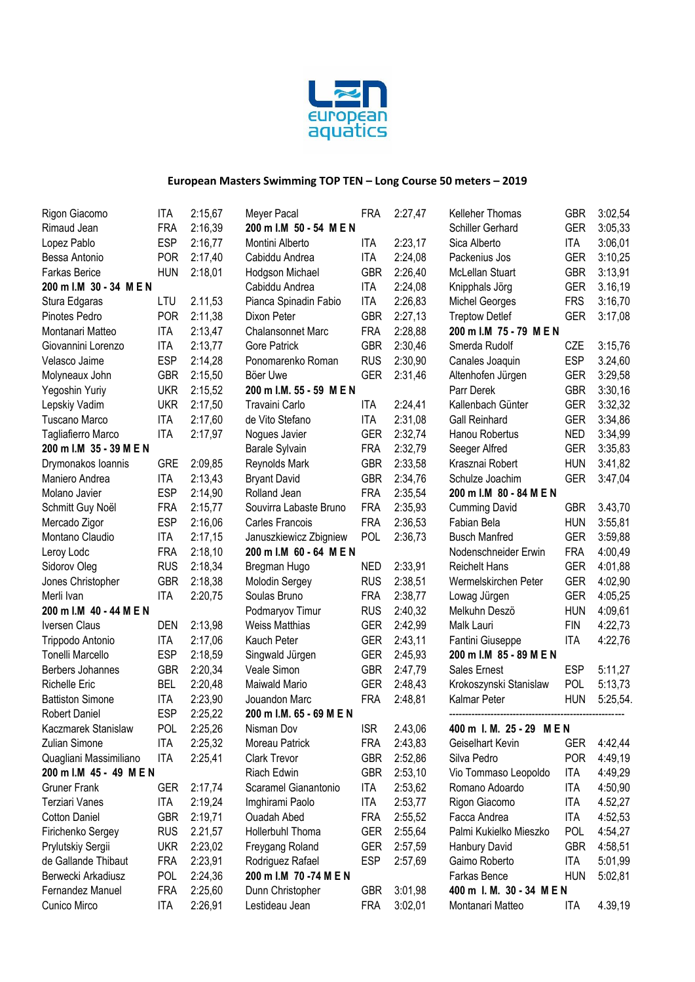

| Rigon Giacomo           | ITA        | 2:15,67 | Meyer Pacal              | FRA        | 2:27,47          | Kelleher Thomas           | <b>GBR</b> | 3:02,54  |
|-------------------------|------------|---------|--------------------------|------------|------------------|---------------------------|------------|----------|
| Rimaud Jean             | <b>FRA</b> | 2:16,39 | 200 m I.M 50 - 54 M E N  |            | Schiller Gerhard | <b>GER</b>                | 3:05,33    |          |
| Lopez Pablo             | <b>ESP</b> | 2:16,77 | Montini Alberto          | ITA        | 2:23,17          | Sica Alberto              | ITA        | 3:06,01  |
| Bessa Antonio           | <b>POR</b> | 2:17,40 | Cabiddu Andrea           | <b>ITA</b> | 2:24,08          | Packenius Jos             | <b>GER</b> | 3:10,25  |
| <b>Farkas Berice</b>    | <b>HUN</b> | 2:18,01 | Hodgson Michael          | <b>GBR</b> | 2:26,40          | McLellan Stuart           | <b>GBR</b> | 3:13,91  |
| 200 m I.M 30 - 34 M E N |            |         | Cabiddu Andrea           | <b>ITA</b> | 2:24,08          | Knipphals Jörg            | <b>GER</b> | 3.16,19  |
| Stura Edgaras           | LTU        | 2.11,53 | Pianca Spinadin Fabio    | <b>ITA</b> | 2:26,83          | <b>Michel Georges</b>     | <b>FRS</b> | 3:16,70  |
| Pinotes Pedro           | <b>POR</b> | 2:11,38 | Dixon Peter              | <b>GBR</b> | 2:27,13          | <b>Treptow Detlef</b>     | <b>GER</b> | 3:17,08  |
| Montanari Matteo        | <b>ITA</b> | 2:13,47 | <b>Chalansonnet Marc</b> | <b>FRA</b> | 2:28,88          | 200 m I.M 75 - 79 M E N   |            |          |
| Giovannini Lorenzo      | <b>ITA</b> | 2:13,77 | Gore Patrick             | <b>GBR</b> | 2:30,46          | Smerda Rudolf             | CZE        | 3:15,76  |
| Velasco Jaime           | <b>ESP</b> | 2:14,28 | Ponomarenko Roman        | <b>RUS</b> | 2:30,90          | Canales Joaquin           | <b>ESP</b> | 3.24,60  |
| Molyneaux John          | <b>GBR</b> | 2:15,50 | Böer Uwe                 | <b>GER</b> | 2:31,46          | Altenhofen Jürgen         | <b>GER</b> | 3:29,58  |
| Yegoshin Yuriy          | <b>UKR</b> | 2:15,52 | 200 m I.M. 55 - 59 M E N |            |                  | Parr Derek                | <b>GBR</b> | 3:30,16  |
| Lepskiy Vadim           | <b>UKR</b> | 2:17,50 | Travaini Carlo           | <b>ITA</b> | 2:24,41          | Kallenbach Günter         | <b>GER</b> | 3:32,32  |
| Tuscano Marco           | <b>ITA</b> | 2:17,60 | de Vito Stefano          | <b>ITA</b> | 2:31,08          | <b>Gall Reinhard</b>      | <b>GER</b> | 3:34,86  |
| Tagliafierro Marco      | <b>ITA</b> | 2:17,97 | Nogues Javier            | <b>GER</b> | 2:32,74          | Hanou Robertus            | <b>NED</b> | 3:34,99  |
| 200 m I.M 35 - 39 M E N |            |         | Barale Sylvain           | <b>FRA</b> | 2:32,79          | Seeger Alfred             | <b>GER</b> | 3:35,83  |
| Drymonakos Ioannis      | <b>GRE</b> | 2:09,85 | Reynolds Mark            | <b>GBR</b> | 2:33,58          | Krasznai Robert           | <b>HUN</b> | 3:41,82  |
| Maniero Andrea          | <b>ITA</b> | 2:13,43 | <b>Bryant David</b>      | <b>GBR</b> | 2:34,76          | Schulze Joachim           | <b>GER</b> | 3:47,04  |
| Molano Javier           | <b>ESP</b> | 2:14,90 | Rolland Jean             | <b>FRA</b> | 2:35,54          | 200 m I.M 80 - 84 M E N   |            |          |
| Schmitt Guy Noël        | <b>FRA</b> | 2:15,77 | Souvirra Labaste Bruno   | <b>FRA</b> | 2:35,93          | <b>Cumming David</b>      | <b>GBR</b> | 3.43,70  |
| Mercado Zigor           | <b>ESP</b> | 2:16,06 | Carles Francois          | <b>FRA</b> | 2:36,53          | Fabian Bela               | <b>HUN</b> | 3:55,81  |
| Montano Claudio         | <b>ITA</b> | 2:17,15 | Januszkiewicz Zbigniew   | <b>POL</b> | 2:36,73          | <b>Busch Manfred</b>      | <b>GER</b> | 3:59,88  |
| Leroy Lodc              | <b>FRA</b> | 2:18,10 | 200 m I.M 60 - 64 M E N  |            |                  | Nodenschneider Erwin      | <b>FRA</b> | 4:00,49  |
| Sidorov Oleg            | <b>RUS</b> | 2:18,34 | Bregman Hugo             | <b>NED</b> | 2:33,91          | <b>Reichelt Hans</b>      | <b>GER</b> | 4:01,88  |
| Jones Christopher       | <b>GBR</b> | 2:18,38 | <b>Molodin Sergey</b>    | <b>RUS</b> | 2:38,51          | Wermelskirchen Peter      | <b>GER</b> | 4:02,90  |
| Merli Ivan              | <b>ITA</b> | 2:20,75 | Soulas Bruno             | <b>FRA</b> | 2:38,77          | Lowag Jürgen              | <b>GER</b> | 4:05,25  |
| 200 m I.M 40 - 44 M E N |            |         | Podmaryov Timur          | <b>RUS</b> | 2:40,32          | Melkuhn Deszö             | <b>HUN</b> | 4:09,61  |
| Iversen Claus           | <b>DEN</b> | 2:13,98 | <b>Weiss Matthias</b>    | <b>GER</b> | 2:42,99          | Malk Lauri                | <b>FIN</b> | 4:22,73  |
| Trippodo Antonio        | <b>ITA</b> | 2:17,06 | Kauch Peter              | <b>GER</b> | 2:43,11          | Fantini Giuseppe          | <b>ITA</b> | 4:22,76  |
| Tonelli Marcello        | <b>ESP</b> | 2:18,59 | Singwald Jürgen          | <b>GER</b> | 2:45,93          | 200 m I.M 85 - 89 M E N   |            |          |
| Berbers Johannes        | <b>GBR</b> | 2:20,34 | Veale Simon              | <b>GBR</b> | 2:47,79          | Sales Ernest              | <b>ESP</b> | 5:11,27  |
| <b>Richelle Eric</b>    | <b>BEL</b> | 2:20,48 | Maiwald Mario            | <b>GER</b> | 2:48,43          | Krokoszynski Stanislaw    | <b>POL</b> | 5:13.73  |
| <b>Battiston Simone</b> | <b>ITA</b> | 2:23,90 | Jouandon Marc            | <b>FRA</b> | 2:48,81          | Kalmar Peter              | <b>HUN</b> | 5:25,54. |
| <b>Robert Daniel</b>    | <b>ESP</b> | 2:25,22 | 200 m I.M. 65 - 69 M E N |            |                  |                           |            |          |
| Kaczmarek Stanislaw     | <b>POL</b> | 2:25,26 | Nisman Dov               | <b>ISR</b> | 2.43,06          | 400 m I. M. 25 - 29 MEN   |            |          |
| Zulian Simone           | <b>ITA</b> | 2:25,32 | Moreau Patrick           | <b>FRA</b> | 2:43,83          | Geiselhart Kevin          | <b>GER</b> | 4:42,44  |
| Quagliani Massimiliano  | <b>ITA</b> | 2:25,41 | Clark Trevor             | <b>GBR</b> | 2:52,86          | Silva Pedro               | <b>POR</b> | 4:49,19  |
| 200 m l.M 45 - 49 M E N |            |         | Riach Edwin              | <b>GBR</b> | 2:53,10          | Vio Tommaso Leopoldo      | <b>ITA</b> | 4:49,29  |
| <b>Gruner Frank</b>     | <b>GER</b> | 2:17,74 | Scaramel Gianantonio     | <b>ITA</b> | 2:53,62          | Romano Adoardo            | <b>ITA</b> | 4:50,90  |
| <b>Terziari Vanes</b>   | ITA        | 2:19,24 | Imghirami Paolo          | ITA        | 2:53,77          | Rigon Giacomo             | <b>ITA</b> | 4.52,27  |
| <b>Cotton Daniel</b>    | <b>GBR</b> | 2:19,71 | Ouadah Abed              | <b>FRA</b> | 2:55,52          | Facca Andrea              | ITA        | 4:52,53  |
| Firichenko Sergey       | <b>RUS</b> | 2.21,57 | Hollerbuhl Thoma         | <b>GER</b> | 2:55,64          | Palmi Kukielko Mieszko    | <b>POL</b> | 4:54,27  |
| Prylutskiy Sergii       | <b>UKR</b> | 2:23,02 | Freygang Roland          | <b>GER</b> | 2:57,59          | Hanbury David             | <b>GBR</b> | 4:58,51  |
| de Gallande Thibaut     | <b>FRA</b> | 2:23,91 | Rodriguez Rafael         | <b>ESP</b> | 2:57,69          | Gaimo Roberto             | ITA        | 5:01,99  |
| Berwecki Arkadiusz      | <b>POL</b> | 2:24,36 | 200 m I.M 70 -74 M E N   |            |                  | Farkas Bence              | <b>HUN</b> | 5:02,81  |
| Fernandez Manuel        | <b>FRA</b> | 2:25,60 | Dunn Christopher         | <b>GBR</b> | 3:01,98          | 400 m I. M. 30 - 34 M E N |            |          |
| Cunico Mirco            | <b>ITA</b> | 2:26,91 | Lestideau Jean           | <b>FRA</b> | 3:02,01          | Montanari Matteo          | ITA        | 4.39,19  |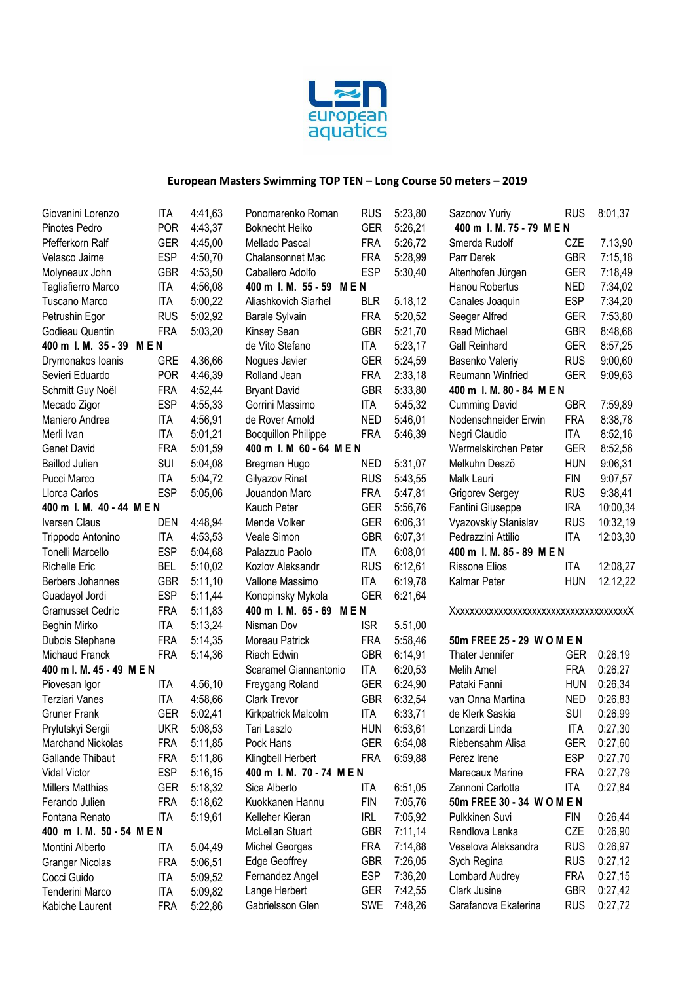

| Giovanini Lorenzo          | <b>ITA</b> | 4:41,63 | Ponomarenko Roman          | <b>RUS</b> | 5:23,80 | Sazonov Yuriy                    | <b>RUS</b> | 8:01,37  |
|----------------------------|------------|---------|----------------------------|------------|---------|----------------------------------|------------|----------|
| Pinotes Pedro              | <b>POR</b> | 4:43,37 | <b>Boknecht Heiko</b>      | <b>GER</b> | 5:26,21 | 400 m I. M. 75 - 79 M E N        |            |          |
| Pfefferkorn Ralf           | <b>GER</b> | 4:45.00 | Mellado Pascal             | <b>FRA</b> | 5:26,72 | Smerda Rudolf                    | CZE        | 7.13,90  |
| Velasco Jaime              | <b>ESP</b> | 4:50,70 | Chalansonnet Mac           | <b>FRA</b> | 5:28,99 | Parr Derek                       | <b>GBR</b> | 7:15,18  |
| Molyneaux John             | <b>GBR</b> | 4:53,50 | Caballero Adolfo           | <b>ESP</b> | 5:30,40 | Altenhofen Jürgen                | <b>GER</b> | 7:18,49  |
| Tagliafierro Marco         | <b>ITA</b> | 4:56,08 | 400 m I. M. 55 - 59 MEN    |            |         | Hanou Robertus                   | <b>NED</b> | 7:34,02  |
| Tuscano Marco              | <b>ITA</b> | 5:00,22 | Aliashkovich Siarhel       | <b>BLR</b> | 5.18,12 | Canales Joaquin                  | <b>ESP</b> | 7:34,20  |
| Petrushin Egor             | <b>RUS</b> | 5:02,92 | Barale Sylvain             | <b>FRA</b> | 5:20,52 | Seeger Alfred                    | <b>GER</b> | 7:53,80  |
| Godieau Quentin            | <b>FRA</b> | 5:03,20 | Kinsey Sean                | <b>GBR</b> | 5:21,70 | Read Michael                     | <b>GBR</b> | 8:48,68  |
| 400 m l. M. 35 - 39<br>MEN |            |         | de Vito Stefano            | <b>ITA</b> | 5:23,17 | <b>Gall Reinhard</b>             | <b>GER</b> | 8:57,25  |
| Drymonakos Ioanis          | <b>GRE</b> | 4.36,66 | Nogues Javier              | <b>GER</b> | 5:24,59 | Basenko Valeriy                  | <b>RUS</b> | 9:00,60  |
| Sevieri Eduardo            | <b>POR</b> | 4:46,39 | Rolland Jean               | <b>FRA</b> | 2:33,18 | Reumann Winfried                 | <b>GER</b> | 9:09,63  |
| Schmitt Guy Noël           | <b>FRA</b> | 4:52,44 | <b>Bryant David</b>        | <b>GBR</b> | 5:33,80 | 400 m I. M. 80 - 84 M E N        |            |          |
| Mecado Zigor               | <b>ESP</b> | 4:55,33 | Gorrini Massimo            | <b>ITA</b> | 5:45,32 | <b>Cumming David</b>             | <b>GBR</b> | 7:59,89  |
| Maniero Andrea             | <b>ITA</b> | 4:56,91 | de Rover Arnold            | <b>NED</b> | 5:46,01 | Nodenschneider Erwin             | <b>FRA</b> | 8:38,78  |
| Merli Ivan                 | <b>ITA</b> | 5:01,21 | <b>Bocquillon Philippe</b> | <b>FRA</b> | 5:46,39 | Negri Claudio                    | <b>ITA</b> | 8:52,16  |
| <b>Genet David</b>         | <b>FRA</b> | 5:01,59 | 400 m I. M 60 - 64 M E N   |            |         | Wermelskirchen Peter             | <b>GER</b> | 8:52,56  |
| <b>Baillod Julien</b>      | SUI        | 5:04,08 | Bregman Hugo               | <b>NED</b> | 5:31,07 | Melkuhn Deszö                    | <b>HUN</b> | 9:06,31  |
| Pucci Marco                | <b>ITA</b> | 5:04,72 | Gilyazov Rinat             | <b>RUS</b> | 5:43,55 | Malk Lauri                       | <b>FIN</b> | 9:07,57  |
| Llorca Carlos              | <b>ESP</b> | 5:05,06 | Jouandon Marc              | <b>FRA</b> | 5:47,81 | <b>Grigorev Sergey</b>           | <b>RUS</b> | 9:38,41  |
| 400 m I. M. 40 - 44 MEN    |            |         | Kauch Peter                | <b>GER</b> | 5:56,76 | <b>IRA</b><br>Fantini Giuseppe   |            | 10:00,34 |
| Iversen Claus              | <b>DEN</b> | 4:48,94 | Mende Volker               | <b>GER</b> | 6:06,31 | Vyazovskiy Stanislav             | <b>RUS</b> | 10:32,19 |
| Trippodo Antonino          | <b>ITA</b> | 4:53,53 | Veale Simon                | <b>GBR</b> | 6:07,31 | Pedrazzini Attilio               | <b>ITA</b> | 12:03,30 |
| Tonelli Marcello           | <b>ESP</b> | 5:04,68 | Palazzuo Paolo             | <b>ITA</b> | 6:08,01 | 400 m I. M. 85 - 89 M E N        |            |          |
| <b>Richelle Eric</b>       | <b>BEL</b> | 5:10,02 | Kozlov Aleksandr           | <b>RUS</b> | 6:12,61 | <b>Rissone Elios</b>             | ITA        | 12:08,27 |
| Berbers Johannes           | <b>GBR</b> | 5:11,10 | Vallone Massimo            | <b>ITA</b> | 6:19,78 | Kalmar Peter                     | <b>HUN</b> | 12.12,22 |
| Guadayol Jordi             | <b>ESP</b> | 5:11,44 | Konopinsky Mykola          | <b>GER</b> | 6:21,64 |                                  |            |          |
| <b>Gramusset Cedric</b>    | <b>FRA</b> | 5:11,83 | 400 m I. M. 65 - 69 MEN    |            |         | Xxxxxxxxxxxxxxxxxxxxxxxxxxxxxxxx |            |          |
| Beghin Mirko               | <b>ITA</b> | 5:13,24 | Nisman Dov                 | <b>ISR</b> | 5.51,00 |                                  |            |          |
| Dubois Stephane            | <b>FRA</b> | 5:14,35 | Moreau Patrick             | <b>FRA</b> | 5:58,46 | 50m FREE 25 - 29 W O M E N       |            |          |
| Michaud Franck             | <b>FRA</b> | 5:14,36 | Riach Edwin                | <b>GBR</b> | 6:14,91 | Thater Jennifer                  | GER        | 0:26,19  |
| 400 m l. M. 45 - 49 M E N  |            |         | Scaramel Giannantonio      | <b>ITA</b> | 6:20,53 | Melih Amel                       | <b>FRA</b> | 0:26,27  |
| Piovesan Igor              | ITA        | 4.56,10 | Freygang Roland            | <b>GER</b> | 6:24,90 | Pataki Fanni                     | <b>HUN</b> | 0:26,34  |
| <b>Terziari Vanes</b>      | <b>ITA</b> | 4:58,66 | <b>Clark Trevor</b>        | <b>GBR</b> | 6:32,54 | van Onna Martina                 | <b>NED</b> | 0:26,83  |
| <b>Gruner Frank</b>        | <b>GER</b> | 5:02,41 | Kirkpatrick Malcolm        | <b>ITA</b> | 6:33,71 | de Klerk Saskia                  | <b>SUI</b> | 0:26,99  |
| Prylutskyi Sergii          | <b>UKR</b> | 5:08,53 | Tari Laszlo                | <b>HUN</b> | 6:53,61 | Lonzardi Linda                   | ITA        | 0:27,30  |
| Marchand Nickolas          | <b>FRA</b> | 5:11,85 | Pock Hans                  | <b>GER</b> | 6:54,08 | Riebensahm Alisa                 | <b>GER</b> | 0:27,60  |
| Gallande Thibaut           | <b>FRA</b> | 5:11,86 | Klingbell Herbert          | <b>FRA</b> | 6:59,88 | Perez Irene                      | <b>ESP</b> | 0:27,70  |
| Vidal Victor               | <b>ESP</b> | 5:16,15 | 400 m I. M. 70 - 74 MEN    |            |         | Marecaux Marine                  | FRA        | 0:27,79  |
| <b>Millers Matthias</b>    | <b>GER</b> | 5:18,32 | Sica Alberto               | <b>ITA</b> | 6:51,05 | Zannoni Carlotta                 | <b>ITA</b> | 0:27,84  |
| Ferando Julien             | <b>FRA</b> | 5:18,62 | Kuokkanen Hannu            | <b>FIN</b> | 7:05,76 | 50m FREE 30 - 34 W O M E N       |            |          |
| Fontana Renato             | ITA        | 5:19,61 | Kelleher Kieran            | <b>IRL</b> | 7:05,92 | Pulkkinen Suvi                   | FIN        | 0:26,44  |
| 400 m l. M. 50 - 54 M E N  |            |         | <b>McLellan Stuart</b>     | <b>GBR</b> | 7:11,14 | Rendlova Lenka                   | CZE        | 0:26,90  |
| Montini Alberto            | ITA        | 5.04,49 | <b>Michel Georges</b>      | <b>FRA</b> | 7:14,88 | Veselova Aleksandra              | <b>RUS</b> | 0:26,97  |
| <b>Granger Nicolas</b>     | <b>FRA</b> | 5:06,51 | Edge Geoffrey              | <b>GBR</b> | 7:26,05 | Sych Regina                      | <b>RUS</b> | 0:27,12  |
| Cocci Guido                | <b>ITA</b> | 5:09,52 | Fernandez Angel            | <b>ESP</b> | 7:36,20 | Lombard Audrey                   | <b>FRA</b> | 0:27,15  |
| Tenderini Marco            | <b>ITA</b> | 5:09,82 | Lange Herbert              | <b>GER</b> | 7:42,55 | Clark Jusine                     | <b>GBR</b> | 0:27,42  |
| Kabiche Laurent            | <b>FRA</b> | 5:22,86 | Gabrielsson Glen           | <b>SWE</b> | 7:48,26 | Sarafanova Ekaterina             | <b>RUS</b> | 0:27,72  |
|                            |            |         |                            |            |         |                                  |            |          |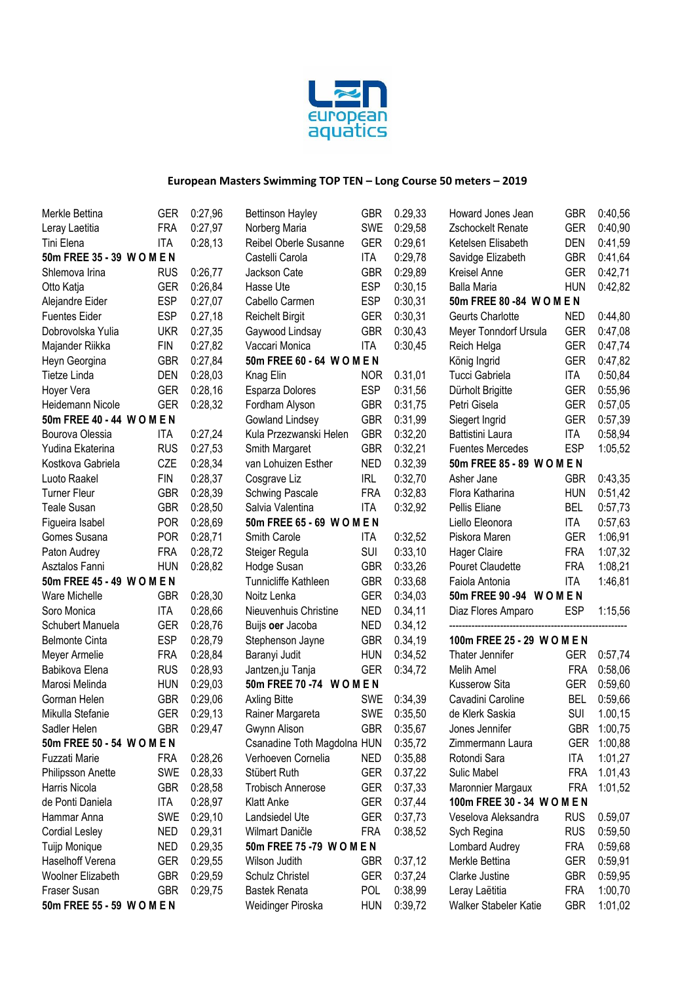

| Merkle Bettina             | GER        | 0:27,96  | <b>Bettinson Hayley</b>     | <b>GBR</b> | 0.29,33  | Howard Jones Jean            | <b>GBR</b> | 0:40,56     |
|----------------------------|------------|----------|-----------------------------|------------|----------|------------------------------|------------|-------------|
| Leray Laetitia             | <b>FRA</b> | 0:27,97  | Norberg Maria               | SWE        | 0:29,58  | Zschockelt Renate            | <b>GER</b> | 0:40,90     |
| Tini Elena                 | <b>ITA</b> | 0:28,13  | Reibel Oberle Susanne       | <b>GER</b> | 0:29,61  | Ketelsen Elisabeth           | <b>DEN</b> | 0:41,59     |
| 50m FREE 35 - 39 W O M E N |            |          | Castelli Carola             | ITA        | 0:29,78  | Savidge Elizabeth            | <b>GBR</b> | 0:41,64     |
| Shlemova Irina             | <b>RUS</b> | 0:26,77  | Jackson Cate                | <b>GBR</b> | 0:29,89  | Kreisel Anne                 | <b>GER</b> | 0:42,71     |
| Otto Katja                 | <b>GER</b> | 0:26,84  | Hasse Ute                   | <b>ESP</b> | 0:30,15  | <b>Balla Maria</b>           | <b>HUN</b> | 0:42,82     |
| Alejandre Eider            | <b>ESP</b> | 0:27,07  | Cabello Carmen              | <b>ESP</b> | 0:30,31  | 50m FREE 80 -84 WOMEN        |            |             |
| <b>Fuentes Eider</b>       | <b>ESP</b> | 0.27, 18 | <b>Reichelt Birgit</b>      | <b>GER</b> | 0:30,31  | Geurts Charlotte             | <b>NED</b> | 0:44,80     |
| Dobrovolska Yulia          | <b>UKR</b> | 0:27,35  | Gaywood Lindsay             | <b>GBR</b> | 0:30,43  | Meyer Tonndorf Ursula        | <b>GER</b> | 0:47,08     |
| Majander Riikka            | <b>FIN</b> | 0:27,82  | Vaccari Monica              | <b>ITA</b> | 0:30,45  | Reich Helga                  | <b>GER</b> | 0:47,74     |
| Heyn Georgina              | <b>GBR</b> | 0:27,84  | 50m FREE 60 - 64 W O M E N  |            |          | König Ingrid                 | <b>GER</b> | 0:47,82     |
| Tietze Linda               | <b>DEN</b> | 0:28,03  | Knag Elin                   | <b>NOR</b> | 0.31,01  | Tucci Gabriela               | <b>ITA</b> | 0:50,84     |
| Hoyer Vera                 | <b>GER</b> | 0:28,16  | Esparza Dolores             | <b>ESP</b> | 0:31,56  | Dürholt Brigitte             | <b>GER</b> | 0:55,96     |
| Heidemann Nicole           | <b>GER</b> | 0:28,32  | Fordham Alyson              | <b>GBR</b> | 0:31,75  | Petri Gisela                 | <b>GER</b> | 0:57,05     |
| 50m FREE 40 - 44 W O M E N |            |          | Gowland Lindsey             | <b>GBR</b> | 0:31,99  | Siegert Ingrid               | <b>GER</b> | 0:57,39     |
| Bourova Olessia            | ITA        | 0:27,24  | Kula Przezwanski Helen      | <b>GBR</b> | 0:32,20  | Battistini Laura             | ITA        | 0:58,94     |
| Yudina Ekaterina           | <b>RUS</b> | 0:27,53  | Smith Margaret              | <b>GBR</b> | 0:32,21  | <b>Fuentes Mercedes</b>      | <b>ESP</b> | 1:05,52     |
| Kostkova Gabriela          | CZE        | 0:28,34  | van Lohuizen Esther         | <b>NED</b> | 0.32,39  | 50m FREE 85 - 89 W O M E N   |            |             |
| Luoto Raakel               | <b>FIN</b> | 0:28,37  | Cosgrave Liz                | <b>IRL</b> | 0:32,70  | Asher Jane                   | <b>GBR</b> | 0:43,35     |
| <b>Turner Fleur</b>        | <b>GBR</b> | 0:28,39  | <b>Schwing Pascale</b>      | <b>FRA</b> | 0:32,83  | Flora Katharina              | <b>HUN</b> | 0:51,42     |
| <b>Teale Susan</b>         | <b>GBR</b> | 0:28,50  | Salvia Valentina            | <b>ITA</b> | 0:32,92  | Pellis Eliane                | <b>BEL</b> | 0:57,73     |
| Figueira Isabel            | <b>POR</b> | 0:28,69  | 50m FREE 65 - 69 W O M E N  |            |          | Liello Eleonora              | <b>ITA</b> | 0:57,63     |
| Gomes Susana               | <b>POR</b> | 0:28,71  | Smith Carole                | ITA        | 0:32,52  | Piskora Maren                | <b>GER</b> | 1:06,91     |
| Paton Audrey               | <b>FRA</b> | 0:28,72  | Steiger Regula              | <b>SUI</b> | 0:33,10  | <b>Hager Claire</b>          | <b>FRA</b> | 1:07,32     |
| Asztalos Fanni             | <b>HUN</b> | 0:28,82  | Hodge Susan                 | <b>GBR</b> | 0:33,26  | Pouret Claudette             | <b>FRA</b> | 1:08,21     |
| 50m FREE 45 - 49 W O M E N |            |          | Tunnicliffe Kathleen        | <b>GBR</b> | 0:33,68  | <b>ITA</b><br>Faiola Antonia |            | 1:46,81     |
| Ware Michelle              | <b>GBR</b> | 0:28,30  | Noitz Lenka                 | <b>GER</b> | 0:34,03  | 50m FREE 90 -94 WOMEN        |            |             |
| Soro Monica                | <b>ITA</b> | 0:28,66  | Nieuvenhuis Christine       | <b>NED</b> | 0.34, 11 | Diaz Flores Amparo           | <b>ESP</b> | 1:15,56     |
| Schubert Manuela           | <b>GER</b> | 0:28,76  | Buijs oer Jacoba            | <b>NED</b> | 0.34, 12 |                              |            |             |
| <b>Belmonte Cinta</b>      | <b>ESP</b> | 0:28,79  | Stephenson Jayne            | <b>GBR</b> | 0.34,19  | 100m FREE 25 - 29 W O M E N  |            |             |
| Meyer Armelie              | <b>FRA</b> | 0:28,84  | Baranyi Judit               | <b>HUN</b> | 0:34,52  | Thater Jennifer              | <b>GER</b> | 0:57,74     |
| Babikova Elena             | <b>RUS</b> | 0:28,93  | Jantzen, ju Tanja           | <b>GER</b> | 0:34,72  | Melih Amel                   | <b>FRA</b> | 0:58,06     |
| Marosi Melinda             | <b>HUN</b> | 0:29,03  | 50m FREE 70 -74 WOMEN       |            |          | <b>Kusserow Sita</b>         | <b>GER</b> | 0:59,60     |
| Gorman Helen               | <b>GBR</b> | 0:29,06  | <b>Axling Bitte</b>         | <b>SWE</b> | 0:34,39  | Cavadini Caroline            | <b>BEL</b> | 0:59,66     |
| Mikulla Stefanie           | <b>GER</b> | 0:29,13  | Rainer Margareta            | <b>SWE</b> | 0:35,50  | de Klerk Saskia              | SUI        | 1.00,15     |
| Sadler Helen               | <b>GBR</b> | 0:29,47  | Gwynn Alison                | <b>GBR</b> | 0:35,67  | Jones Jennifer               |            | GBR 1:00,75 |
| 50m FREE 50 - 54 W O M E N |            |          | Csanadine Toth Magdolna HUN |            | 0:35,72  | Zimmermann Laura             |            | GER 1:00,88 |
| Fuzzati Marie              | <b>FRA</b> | 0:28,26  | Verhoeven Cornelia          | <b>NED</b> | 0:35,88  | Rotondi Sara                 | <b>ITA</b> | 1:01,27     |
| Philipsson Anette          | SWE        | 0.28,33  | Stübert Ruth                | <b>GER</b> | 0.37,22  | Sulic Mabel                  | <b>FRA</b> | 1.01,43     |
| Harris Nicola              | <b>GBR</b> | 0:28,58  | <b>Trobisch Annerose</b>    | <b>GER</b> | 0:37,33  | Maronnier Margaux            | <b>FRA</b> | 1:01,52     |
| de Ponti Daniela           | <b>ITA</b> | 0:28,97  | <b>Klatt Anke</b>           | <b>GER</b> | 0:37,44  | 100m FREE 30 - 34 W O M E N  |            |             |
| Hammar Anna                | SWE        | 0:29,10  | Landsiedel Ute              | <b>GER</b> | 0:37,73  | Veselova Aleksandra          | <b>RUS</b> | 0.59,07     |
| <b>Cordial Lesley</b>      | <b>NED</b> | 0.29,31  | Wilmart Daničle             | <b>FRA</b> | 0:38,52  | Sych Regina                  | <b>RUS</b> | 0:59,50     |
| Tuijp Monique              | <b>NED</b> | 0.29,35  | 50m FREE 75-79 WOMEN        |            |          | Lombard Audrey               | <b>FRA</b> | 0:59,68     |
| Haselhoff Verena           | <b>GER</b> | 0:29,55  | Wilson Judith               | <b>GBR</b> | 0:37,12  | Merkle Bettina               | <b>GER</b> | 0:59,91     |
| Woolner Elizabeth          | <b>GBR</b> | 0:29,59  | Schulz Christel             | <b>GER</b> | 0:37,24  | Clarke Justine               | <b>GBR</b> | 0:59,95     |
| Fraser Susan               | <b>GBR</b> | 0:29,75  | <b>Bastek Renata</b>        | <b>POL</b> | 0:38,99  | Leray Laëtitia               | <b>FRA</b> | 1:00,70     |
| 50m FREE 55 - 59 WOMEN     |            |          | Weidinger Piroska           | <b>HUN</b> | 0:39,72  | Walker Stabeler Katie        | <b>GBR</b> | 1:01,02     |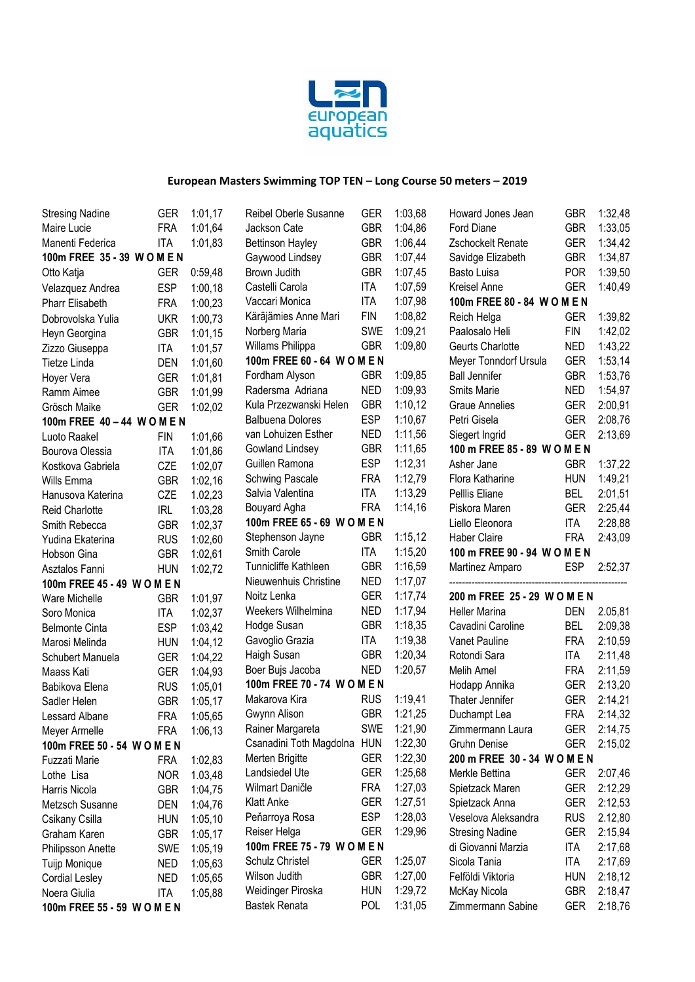

| <b>Stresing Nadine</b>      | GER        | 1:01,17 | Reibel Oberle Susanne       | <b>GER</b> | 1:03,68 | Howard Jones Jean            | <b>GBR</b> | 1:32,48 |
|-----------------------------|------------|---------|-----------------------------|------------|---------|------------------------------|------------|---------|
| Maire Lucie                 | <b>FRA</b> | 1:01,64 | Jackson Cate                | <b>GBR</b> | 1:04,86 | Ford Diane                   | <b>GBR</b> | 1:33,05 |
| Manenti Federica            | <b>ITA</b> | 1:01,83 | <b>Bettinson Hayley</b>     | <b>GBR</b> | 1:06,44 | Zschockelt Renate            | <b>GER</b> | 1:34,42 |
| 100m FREE 35 - 39 W O M E N |            |         | Gaywood Lindsey             | <b>GBR</b> | 1:07,44 | Savidge Elizabeth            | <b>GBR</b> | 1:34,87 |
| Otto Katja                  | <b>GER</b> | 0:59,48 | Brown Judith                | <b>GBR</b> | 1:07,45 | Basto Luisa                  | <b>POR</b> | 1:39,50 |
| Velazquez Andrea            | <b>ESP</b> | 1:00,18 | Castelli Carola             | ITA        | 1:07,59 | Kreisel Anne                 | <b>GER</b> | 1:40,49 |
| <b>Pharr Elisabeth</b>      | <b>FRA</b> | 1:00,23 | Vaccari Monica              | <b>ITA</b> | 1:07,98 | 100m FREE 80 - 84 W O M E N  |            |         |
| Dobrovolska Yulia           | <b>UKR</b> | 1:00,73 | Käräjämies Anne Mari        | <b>FIN</b> | 1:08,82 | Reich Helga                  | <b>GER</b> | 1:39,82 |
| Heyn Georgina               | <b>GBR</b> | 1:01,15 | Norberg Maria               | <b>SWE</b> | 1:09,21 | Paalosalo Heli               | <b>FIN</b> | 1:42,02 |
| Zizzo Giuseppa              | <b>ITA</b> | 1:01,57 | Willams Philippa            | <b>GBR</b> | 1:09,80 | Geurts Charlotte             | <b>NED</b> | 1:43,22 |
| Tietze Linda                | <b>DEN</b> | 1:01,60 | 100m FREE 60 - 64 W O M E N |            |         | Meyer Tonndorf Ursula        | <b>GER</b> | 1:53,14 |
| Hoyer Vera                  | <b>GER</b> | 1:01,81 | Fordham Alyson              | <b>GBR</b> | 1:09,85 | <b>Ball Jennifer</b>         | <b>GBR</b> | 1:53,76 |
| Ramm Aimee                  | <b>GBR</b> | 1:01,99 | Radersma Adriana            | <b>NED</b> | 1:09,93 | Smits Marie                  | <b>NED</b> | 1:54,97 |
| Grösch Maike                | <b>GER</b> | 1:02,02 | Kula Przezwanski Helen      | <b>GBR</b> | 1:10,12 | <b>Graue Annelies</b>        | <b>GER</b> | 2:00,91 |
| 100m FREE 40 - 44 WOMEN     |            |         | <b>Balbuena Dolores</b>     | <b>ESP</b> | 1:10,67 | Petri Gisela                 | <b>GER</b> | 2:08,76 |
| Luoto Raakel                | <b>FIN</b> | 1:01,66 | van Lohuizen Esther         | <b>NED</b> | 1:11,56 | Siegert Ingrid               | <b>GER</b> | 2:13,69 |
| Bourova Olessia             | <b>ITA</b> | 1:01,86 | Gowland Lindsey             | <b>GBR</b> | 1:11,65 | 100 m FREE 85 - 89 W O M E N |            |         |
| Kostkova Gabriela           | CZE        | 1:02,07 | Guillen Ramona              | <b>ESP</b> | 1:12,31 | Asher Jane                   | <b>GBR</b> | 1:37,22 |
| Wills Emma                  | <b>GBR</b> | 1:02,16 | <b>Schwing Pascale</b>      | <b>FRA</b> | 1:12,79 | Flora Katharine              | <b>HUN</b> | 1:49,21 |
| Hanusova Katerina           | CZE        | 1.02,23 | Salvia Valentina            | <b>ITA</b> | 1:13,29 | Pelllis Eliane               | <b>BEL</b> | 2:01,51 |
| <b>Reid Charlotte</b>       | <b>IRL</b> | 1:03,28 | Bouyard Agha                | <b>FRA</b> | 1:14,16 | Piskora Maren                | <b>GER</b> | 2:25,44 |
| Smith Rebecca               | <b>GBR</b> | 1:02,37 | 100m FREE 65 - 69 W O M E N |            |         | Liello Eleonora              | <b>ITA</b> | 2:28,88 |
| Yudina Ekaterina            | <b>RUS</b> | 1:02,60 | Stephenson Jayne            | <b>GBR</b> | 1:15,12 | <b>Haber Claire</b>          | <b>FRA</b> | 2:43,09 |
| Hobson Gina                 | <b>GBR</b> | 1:02,61 | Smith Carole                | <b>ITA</b> | 1:15,20 | 100 m FREE 90 - 94 W O M E N |            |         |
| Asztalos Fanni              | <b>HUN</b> | 1:02,72 | Tunnicliffe Kathleen        | <b>GBR</b> | 1:16,59 | Martinez Amparo              | <b>ESP</b> | 2:52,37 |
| 100m FREE 45 - 49 W O M E N |            |         | Nieuwenhuis Christine       | <b>NED</b> | 1:17,07 |                              |            |         |
| Ware Michelle               | <b>GBR</b> | 1:01,97 | Noitz Lenka                 | <b>GER</b> | 1:17,74 | 200 m FREE 25 - 29 W O M E N |            |         |
| Soro Monica                 | <b>ITA</b> | 1:02,37 | Weekers Wilhelmina          | <b>NED</b> | 1:17,94 | <b>Heller Marina</b>         | <b>DEN</b> | 2.05,81 |
| <b>Belmonte Cinta</b>       | <b>ESP</b> | 1:03,42 | Hodge Susan                 | <b>GBR</b> | 1:18,35 | Cavadini Caroline            | <b>BEL</b> | 2:09,38 |
| Marosi Melinda              | <b>HUN</b> | 1:04,12 | Gavoglio Grazia             | <b>ITA</b> | 1:19,38 | Vanet Pauline                | <b>FRA</b> | 2:10,59 |
| Schubert Manuela            | <b>GER</b> | 1:04,22 | Haigh Susan                 | <b>GBR</b> | 1:20,34 | Rotondi Sara                 | <b>ITA</b> | 2:11,48 |
| Maass Kati                  | <b>GER</b> | 1:04,93 | Boer Bujs Jacoba            | <b>NED</b> | 1:20,57 | Melih Amel                   | <b>FRA</b> | 2:11,59 |
| Babikova Elena              | <b>RUS</b> | 1:05,01 | 100m FREE 70 - 74 W O M E N |            |         | Hodapp Annika                | <b>GER</b> | 2:13,20 |
| Sadler Helen                | <b>GBR</b> | 1:05,17 | Makarova Kira               | <b>RUS</b> | 1:19,41 | Thater Jennifer              | <b>GER</b> | 2:14,21 |
| Lessard Albane              | <b>FRA</b> | 1:05,65 | Gwynn Alison                | <b>GBR</b> | 1:21,25 | Duchampt Lea                 | <b>FRA</b> | 2:14,32 |
| Meyer Armelle               | <b>FRA</b> | 1:06,13 | Rainer Margareta            | SWE        | 1:21,90 | Zimmermann Laura             | GER        | 2:14,75 |
| 100m FREE 50 - 54 W O M E N |            |         | Csanadini Toth Magdolna HUN |            | 1:22,30 | <b>Gruhn Denise</b>          | <b>GER</b> | 2:15,02 |
| Fuzzati Marie               | <b>FRA</b> | 1:02,83 | Merten Brigitte             | <b>GER</b> | 1:22,30 | 200 m FREE 30 - 34 WOMEN     |            |         |
| Lothe Lisa                  | <b>NOR</b> | 1.03,48 | Landsiedel Ute              | <b>GER</b> | 1:25,68 | Merkle Bettina               | <b>GER</b> | 2:07,46 |
| Harris Nicola               | <b>GBR</b> | 1:04,75 | Wilmart Daničle             | <b>FRA</b> | 1:27,03 | Spietzack Maren              | <b>GER</b> | 2:12,29 |
| Metzsch Susanne             | DEN        | 1:04,76 | <b>Klatt Anke</b>           | <b>GER</b> | 1:27,51 | Spietzack Anna               | <b>GER</b> | 2:12,53 |
| Csikany Csilla              | <b>HUN</b> | 1:05,10 | Peňarroya Rosa              | <b>ESP</b> | 1:28,03 | Veselova Aleksandra          | <b>RUS</b> | 2.12,80 |
| Graham Karen                | <b>GBR</b> | 1:05,17 | Reiser Helga                | <b>GER</b> | 1:29,96 | <b>Stresing Nadine</b>       | <b>GER</b> | 2:15,94 |
| Philipsson Anette           | <b>SWE</b> | 1:05,19 | 100m FREE 75 - 79 W O M E N |            |         | di Giovanni Marzia           | <b>ITA</b> | 2:17,68 |
| Tuijp Monique               | <b>NED</b> | 1:05,63 | Schulz Christel             | <b>GER</b> | 1:25,07 | Sicola Tania                 | <b>ITA</b> | 2:17,69 |
| <b>Cordial Lesley</b>       | <b>NED</b> | 1:05,65 | Wilson Judith               | <b>GBR</b> | 1:27,00 | Felföldi Viktoria            | <b>HUN</b> | 2:18,12 |
| Noera Giulia                | <b>ITA</b> | 1:05,88 | Weidinger Piroska           | <b>HUN</b> | 1:29,72 | McKay Nicola                 | <b>GBR</b> | 2:18,47 |
| 100m FREE 55 - 59 W O M E N |            |         | <b>Bastek Renata</b>        | <b>POL</b> | 1:31,05 | Zimmermann Sabine            | <b>GER</b> | 2:18,76 |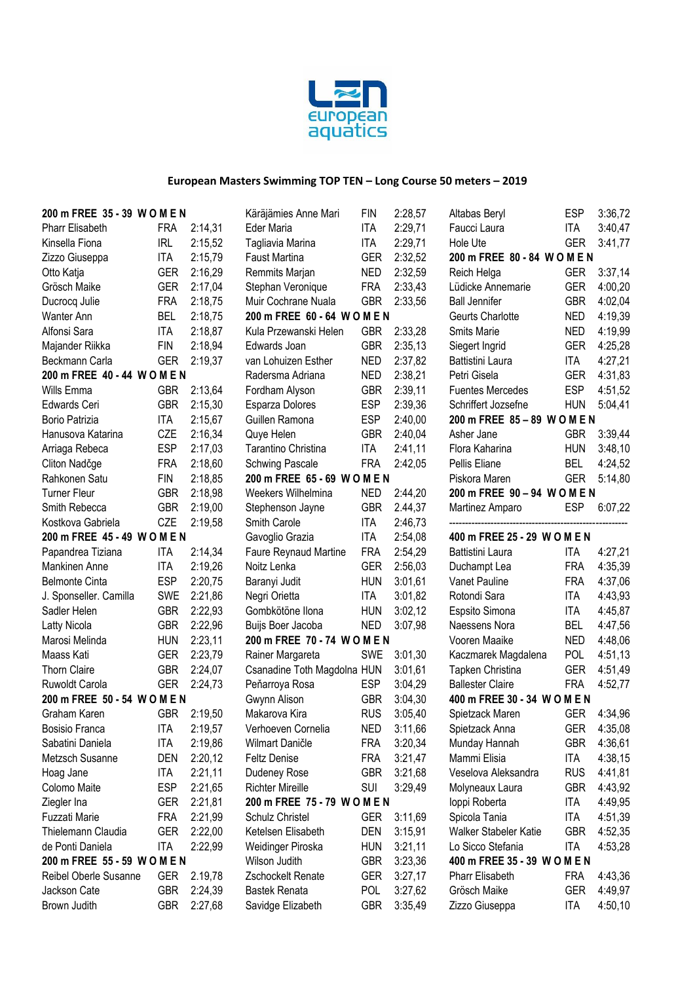

| 200 m FREE 35 - 39 W O M E N |            | Käräjämies Anne Mari | FIN                          | 2:28,57    | Altabas Beryl | ESP                          | 3:36,72    |         |
|------------------------------|------------|----------------------|------------------------------|------------|---------------|------------------------------|------------|---------|
| Pharr Elisabeth              | <b>FRA</b> | 2:14,31              | Eder Maria                   | <b>ITA</b> | 2:29,71       | Faucci Laura                 | <b>ITA</b> | 3:40,47 |
| Kinsella Fiona               | <b>IRL</b> | 2:15,52              | Tagliavia Marina             | <b>ITA</b> | 2:29,71       | Hole Ute                     | <b>GER</b> | 3:41,77 |
| Zizzo Giuseppa               | <b>ITA</b> | 2:15,79              | Faust Martina                | <b>GER</b> | 2:32,52       | 200 m FREE 80 - 84 WOMEN     |            |         |
| Otto Katja                   | <b>GER</b> | 2:16,29              | Remmits Marjan               | <b>NED</b> | 2:32,59       | Reich Helga                  | <b>GER</b> | 3:37,14 |
| Grösch Maike                 | <b>GER</b> | 2:17,04              | Stephan Veronique            | <b>FRA</b> | 2:33,43       | Lüdicke Annemarie            | <b>GER</b> | 4:00,20 |
| Ducrocq Julie                | <b>FRA</b> | 2:18,75              | Muir Cochrane Nuala          | <b>GBR</b> | 2:33,56       | <b>Ball Jennifer</b>         | <b>GBR</b> | 4:02,04 |
| Wanter Ann                   | <b>BEL</b> | 2:18,75              | 200 m FREE 60 - 64 W O M E N |            |               | Geurts Charlotte             | <b>NED</b> | 4:19,39 |
| Alfonsi Sara                 | <b>ITA</b> | 2:18,87              | Kula Przewanski Helen        | <b>GBR</b> | 2:33,28       | Smits Marie                  | <b>NED</b> | 4:19,99 |
| Majander Riikka              | <b>FIN</b> | 2:18,94              | Edwards Joan                 | <b>GBR</b> | 2:35,13       | Siegert Ingrid               | <b>GER</b> | 4:25,28 |
| Beckmann Carla               | <b>GER</b> | 2:19,37              | van Lohuizen Esther          | <b>NED</b> | 2:37,82       | Battistini Laura             | <b>ITA</b> | 4:27,21 |
| 200 m FREE 40 - 44 W O M E N |            |                      | Radersma Adriana             | <b>NED</b> | 2:38,21       | Petri Gisela                 | <b>GER</b> | 4:31,83 |
| Wills Emma                   | <b>GBR</b> | 2:13,64              | Fordham Alyson               | <b>GBR</b> | 2:39,11       | <b>Fuentes Mercedes</b>      | <b>ESP</b> | 4:51,52 |
| Edwards Ceri                 | <b>GBR</b> | 2:15,30              | Esparza Dolores              | <b>ESP</b> | 2:39,36       | Schriffert Jozsefne          | <b>HUN</b> | 5:04,41 |
| Borio Patrizia               | <b>ITA</b> | 2:15,67              | Guillen Ramona               | <b>ESP</b> | 2:40,00       | 200 m FREE 85 - 89 W O M E N |            |         |
| Hanusova Katarina            | CZE        | 2:16,34              | Quye Helen                   | <b>GBR</b> | 2:40,04       | Asher Jane                   | <b>GBR</b> | 3:39,44 |
| Arriaga Rebeca               | <b>ESP</b> | 2:17,03              | Tarantino Christina          | <b>ITA</b> | 2:41,11       | Flora Kaharina               | <b>HUN</b> | 3:48,10 |
| Cliton Nadčge                | <b>FRA</b> | 2:18,60              | <b>Schwing Pascale</b>       | <b>FRA</b> | 2:42,05       | Pellis Eliane                | <b>BEL</b> | 4:24,52 |
| Rahkonen Satu                | <b>FIN</b> | 2:18,85              | 200 m FREE 65 - 69 W O M E N |            |               | Piskora Maren                | <b>GER</b> | 5:14,80 |
| <b>Turner Fleur</b>          | <b>GBR</b> | 2:18,98              | Weekers Wilhelmina           | <b>NED</b> | 2:44,20       | 200 m FREE 90 - 94 W O M E N |            |         |
| Smith Rebecca                | <b>GBR</b> | 2:19,00              | Stephenson Jayne             | <b>GBR</b> | 2.44,37       | Martinez Amparo              | ESP        | 6:07,22 |
| Kostkova Gabriela            | CZE        | 2:19,58              | Smith Carole                 | <b>ITA</b> | 2:46,73       |                              |            |         |
| 200 m FREE 45 - 49 W O M E N |            |                      | Gavoglio Grazia              | ITA        | 2:54,08       | 400 m FREE 25 - 29 W O M E N |            |         |
| Papandrea Tiziana            | <b>ITA</b> | 2:14,34              | Faure Reynaud Martine        | <b>FRA</b> | 2:54,29       | Battistini Laura             | <b>ITA</b> | 4:27,21 |
| Mankinen Anne                | <b>ITA</b> | 2:19,26              | Noitz Lenka                  | <b>GER</b> | 2:56,03       | Duchampt Lea                 | <b>FRA</b> | 4:35,39 |
| <b>Belmonte Cinta</b>        | <b>ESP</b> | 2:20,75              | Baranyi Judit                | <b>HUN</b> | 3:01,61       | Vanet Pauline                | <b>FRA</b> | 4:37,06 |
| J. Sponseller. Camilla       | <b>SWE</b> | 2:21,86              | Negri Orietta                | ITA        | 3:01,82       | Rotondi Sara                 | <b>ITA</b> | 4:43,93 |
| Sadler Helen                 | <b>GBR</b> | 2:22,93              | Gombkötöne Ilona             | <b>HUN</b> | 3:02,12       | Espsito Simona               | <b>ITA</b> | 4:45,87 |
| Latty Nicola                 | <b>GBR</b> | 2:22,96              | Buijs Boer Jacoba            | <b>NED</b> | 3:07,98       | Naessens Nora                | <b>BEL</b> | 4:47,56 |
| Marosi Melinda               | <b>HUN</b> | 2:23,11              | 200 m FREE 70 - 74 W O M E N |            |               | Vooren Maaike                | <b>NED</b> | 4:48,06 |
| Maass Kati                   | <b>GER</b> | 2:23,79              | Rainer Margareta             | SWE        | 3:01,30       | Kaczmarek Magdalena          | <b>POL</b> | 4:51,13 |
| <b>Thorn Claire</b>          | <b>GBR</b> | 2:24,07              | Csanadine Toth Magdolna HUN  |            | 3:01,61       | Tapken Christina             | <b>GER</b> | 4:51,49 |
| Ruwoldt Carola               | <b>GER</b> | 2:24,73              | Peňarroya Rosa               | <b>ESP</b> | 3:04,29       | <b>Ballester Claire</b>      | <b>FRA</b> | 4:52,77 |
| 200 m FREE 50 - 54 W O M E N |            |                      | Gwynn Alison                 | <b>GBR</b> | 3:04,30       | 400 m FREE 30 - 34 W O M E N |            |         |
| Graham Karen                 | <b>GBR</b> | 2:19,50              | Makarova Kira                | <b>RUS</b> | 3:05,40       | Spietzack Maren              | <b>GER</b> | 4:34,96 |
| <b>Bosisio Franca</b>        | ITA        | 2:19.57              | Verhoeven Cornelia           | <b>NED</b> | 3:11,66       | Spietzack Anna               | <b>GER</b> | 4:35.08 |
| Sabatini Daniela             | <b>ITA</b> | 2:19,86              | Wilmart Daničle              | <b>FRA</b> | 3:20,34       | Munday Hannah                | GBR        | 4:36,61 |
| Metzsch Susanne              | DEN        | 2:20,12              | <b>Feltz Denise</b>          | <b>FRA</b> | 3:21,47       | Mammi Elisia                 | <b>ITA</b> | 4:38,15 |
| Hoag Jane                    | <b>ITA</b> | 2:21,11              | Dudeney Rose                 | <b>GBR</b> | 3:21,68       | Veselova Aleksandra          | <b>RUS</b> | 4:41,81 |
| Colomo Maite                 | <b>ESP</b> | 2:21,65              | <b>Richter Mireille</b>      | SUI        | 3:29,49       | Molyneaux Laura              | <b>GBR</b> | 4:43,92 |
| Ziegler Ina                  | <b>GER</b> | 2:21,81              | 200 m FREE 75 - 79 W O M E N |            |               | loppi Roberta                | <b>ITA</b> | 4:49,95 |
| Fuzzati Marie                | <b>FRA</b> | 2:21,99              | Schulz Christel              | <b>GER</b> | 3:11,69       | Spicola Tania                | <b>ITA</b> | 4:51,39 |
| Thielemann Claudia           | <b>GER</b> | 2:22,00              | Ketelsen Elisabeth           | DEN        | 3:15,91       | Walker Stabeler Katie        | <b>GBR</b> | 4:52,35 |
| de Ponti Daniela             | <b>ITA</b> | 2:22,99              | Weidinger Piroska            | <b>HUN</b> | 3:21,11       | Lo Sicco Stefania            | <b>ITA</b> | 4:53,28 |
| 200 m FREE 55 - 59 W O M E N |            |                      | Wilson Judith                | <b>GBR</b> | 3:23,36       | 400 m FREE 35 - 39 W O M E N |            |         |
| Reibel Oberle Susanne        | <b>GER</b> | 2.19,78              | Zschockelt Renate            | <b>GER</b> | 3:27,17       | <b>Pharr Elisabeth</b>       | <b>FRA</b> | 4:43,36 |
| Jackson Cate                 | <b>GBR</b> | 2:24,39              | <b>Bastek Renata</b>         | <b>POL</b> | 3:27,62       | Grösch Maike                 | <b>GER</b> | 4:49,97 |
| Brown Judith                 | <b>GBR</b> | 2:27,68              | Savidge Elizabeth            | <b>GBR</b> | 3:35,49       | Zizzo Giuseppa               | ITA        | 4:50,10 |
|                              |            |                      |                              |            |               |                              |            |         |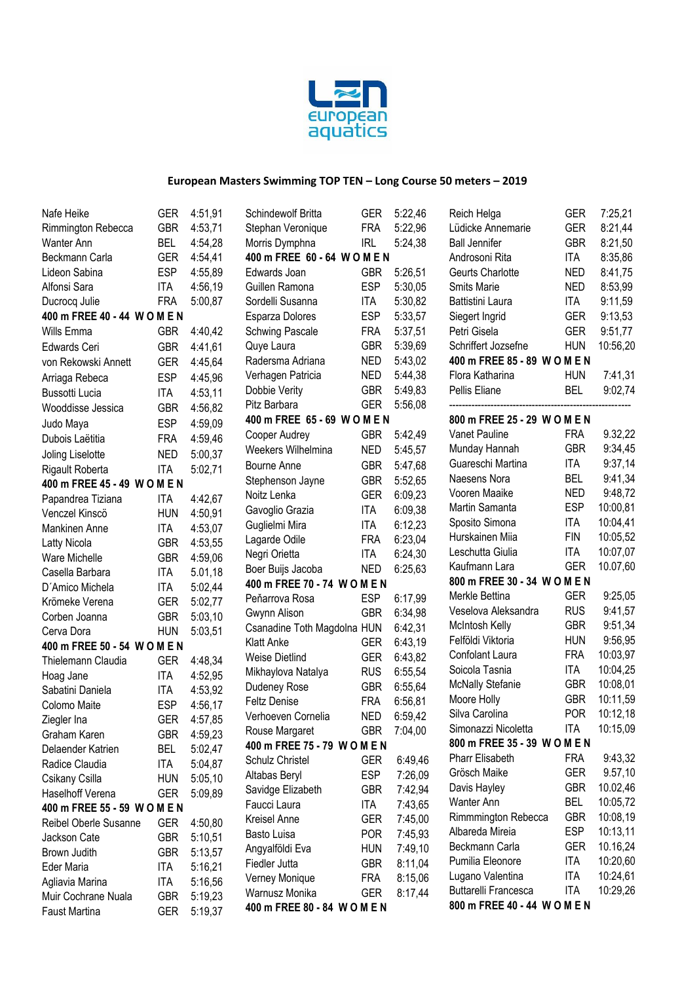

| Nafe Heike                   | <b>GER</b> | 4:51,91 | Schindewolf Britta           | <b>GER</b> |
|------------------------------|------------|---------|------------------------------|------------|
| Rimmington Rebecca           | <b>GBR</b> | 4:53,71 | Stephan Veronique            | <b>FRA</b> |
| <b>Wanter Ann</b>            | <b>BEL</b> | 4:54,28 | Morris Dymphna               | <b>IRL</b> |
| Beckmann Carla               | <b>GER</b> | 4:54,41 | 400 m FREE 60 - 64 WOMEN     |            |
| Lideon Sabina                | <b>ESP</b> | 4:55,89 | Edwards Joan                 | <b>GBR</b> |
| Alfonsi Sara                 | ITA        | 4:56,19 | Guillen Ramona               | <b>ESP</b> |
| Ducrocq Julie                | <b>FRA</b> | 5:00,87 | Sordelli Susanna             | ITA        |
| 400 m FREE 40 - 44 W O M E N |            |         | Esparza Dolores              | <b>ESP</b> |
| Wills Emma                   | <b>GBR</b> | 4:40,42 | <b>Schwing Pascale</b>       | <b>FRA</b> |
| Edwards Ceri                 | <b>GBR</b> | 4:41,61 | Quye Laura                   | <b>GBR</b> |
| von Rekowski Annett          | <b>GER</b> | 4:45,64 | Radersma Adriana             | <b>NED</b> |
| Arriaga Rebeca               | <b>ESP</b> | 4:45,96 | Verhagen Patricia            | NED        |
| Bussotti Lucia               | <b>ITA</b> | 4:53,11 | Dobbie Verity                | <b>GBR</b> |
| Wooddisse Jessica            | <b>GBR</b> | 4:56,82 | Pitz Barbara                 | <b>GER</b> |
| Judo Maya                    | <b>ESP</b> | 4:59,09 | 400 m FREE 65 - 69 W O M E N |            |
| Dubois Laëtitia              | <b>FRA</b> | 4:59,46 | Cooper Audrey                | <b>GBR</b> |
| Joling Liselotte             | <b>NED</b> | 5:00,37 | Weekers Wilhelmina           | <b>NED</b> |
| Rigault Roberta              | <b>ITA</b> | 5:02,71 | Bourne Anne                  | <b>GBR</b> |
| 400 m FREE 45 - 49 W O M E N |            |         | Stephenson Jayne             | <b>GBR</b> |
| Papandrea Tiziana            | <b>ITA</b> | 4:42,67 | Noitz Lenka                  | <b>GER</b> |
| Venczel Kinscö               | <b>HUN</b> | 4:50,91 | Gavoglio Grazia              | <b>ITA</b> |
| <b>Mankinen Anne</b>         | ITA        | 4:53,07 | Guglielmi Mira               | ITA        |
| Latty Nicola                 | <b>GBR</b> | 4:53,55 | Lagarde Odile                | FRA        |
| <b>Ware Michelle</b>         | <b>GBR</b> | 4:59,06 | Negri Orietta                | ITA        |
| Casella Barbara              | <b>ITA</b> | 5.01,18 | Boer Buijs Jacoba            | <b>NED</b> |
| D'Amico Michela              | <b>ITA</b> | 5:02,44 | 400 m FREE 70 - 74 W O M E N |            |
| Krömeke Verena               | <b>GER</b> | 5:02,77 | Peňarrova Rosa               | <b>ESP</b> |
| Corben Joanna                | <b>GBR</b> | 5:03,10 | Gwynn Alison                 | <b>GBR</b> |
| Cerva Dora                   | <b>HUN</b> | 5:03,51 | Csanadine Toth Magdolna HUN  |            |
| 400 m FREE 50 - 54 W O M E N |            |         | Klatt Anke                   | <b>GER</b> |
| Thielemann Claudia           | <b>GER</b> | 4:48,34 | <b>Weise Dietlind</b>        | <b>GER</b> |
| Hoag Jane                    | <b>ITA</b> | 4:52,95 | Mikhaylova Natalya           | <b>RUS</b> |
| Sabatini Daniela             | ITA        | 4:53,92 | Dudeney Rose                 | <b>GBR</b> |
| Colomo Maite                 | <b>ESP</b> | 4:56,17 | <b>Feltz Denise</b>          | <b>FRA</b> |
| Ziegler Ina                  | GER        | 4:57,85 | Verhoeven Cornelia           | <b>NED</b> |
| Graham Karen                 | <b>GBR</b> | 4:59,23 | Rouse Margaret               | <b>GBR</b> |
| Delaender Katrien            | <b>BEL</b> | 5:02,47 | 400 m FREE 75 - 79 W O M E N |            |
| Radice Claudia               | <b>ITA</b> | 5:04,87 | Schulz Christel              | <b>GER</b> |
| Csikany Csilla               | <b>HUN</b> | 5:05,10 | Altabas Beryl                | ESP        |
| Haselhoff Verena             | <b>GER</b> | 5:09,89 | Savidge Elizabeth            | <b>GBR</b> |
| 400 m FREE 55 - 59 W O M E N |            |         | Faucci Laura                 | <b>ITA</b> |
| Reibel Oberle Susanne        | <b>GER</b> | 4:50,80 | Kreisel Anne                 | <b>GER</b> |
| Jackson Cate                 | <b>GBR</b> | 5:10,51 | Basto Luisa                  | <b>POR</b> |
| Brown Judith                 | <b>GBR</b> | 5:13,57 | Angyalföldi Eva              | <b>HUN</b> |
| Eder Maria                   | <b>ITA</b> | 5:16,21 | Fiedler Jutta                | <b>GBR</b> |
| Agliavia Marina              | <b>ITA</b> | 5:16,56 | Verney Monique               | FRA        |
| Muir Cochrane Nuala          | <b>GBR</b> | 5:19,23 | Warnusz Monika               | <b>GER</b> |
| Faust Martina                | GER        | 5:19,37 | 400 m FREE 80 - 84 W O M E N |            |

| Schindewolf Britta                             | GER               | 5:22,46            |
|------------------------------------------------|-------------------|--------------------|
| Stephan Veronique                              | <b>FRA</b>        | 5:22,96            |
| Morris Dymphna                                 | <b>IRL</b>        | 5:24,38            |
| 400 m FREE 60 - 64 W O M E N                   |                   |                    |
| Edwards Joan                                   | GBR               | 5:26,51            |
| Guillen Ramona<br>Sordelli Susanna             | <b>ESP</b>        | 5:30,05            |
| Esparza Dolores                                | ITA<br><b>ESP</b> | 5:30,82<br>5:33,57 |
| <b>Schwing Pascale</b>                         | FRA               | 5:37,51            |
| Quye Laura                                     | <b>GBR</b>        | 5:39,69            |
| Radersma Adriana                               | <b>NED</b>        | 5:43,02            |
| Verhagen Patricia                              | <b>NED</b>        | 5:44,38            |
| Dobbie Verity                                  | <b>GBR</b>        | 5:49,83            |
| Pitz Barbara                                   | <b>GER</b>        | 5:56,08            |
| 400 m FREE 65 - 69 W O M E N                   |                   |                    |
| Cooper Audrey                                  | <b>GBR</b>        | 5:42,49            |
| Weekers Wilhelmina                             | <b>NED</b>        | 5:45,57            |
| Bourne Anne                                    | GBR               | 5:47,68            |
| Stephenson Jayne                               | <b>GBR</b>        | 5:52,65            |
| Noitz Lenka                                    | <b>GER</b>        | 6:09,23            |
| Gavoglio Grazia<br>Guglielmi Mira              | ITA               | 6:09,38<br>6:12,23 |
| Lagarde Odile                                  | ITA<br><b>FRA</b> | 6:23,04            |
| Negri Orietta                                  | ITA               | 6:24,30            |
| Boer Buijs Jacoba                              | ned               | 6:25,63            |
| 400 m FREE 70 - 74 W O                         | <b>MEN</b>        |                    |
| Peňarrova Rosa                                 | <b>ESP</b>        | 6:17,99            |
| Gwynn Alison                                   | <b>GBR</b>        | 6:34,98            |
| Csanadine Toth Magdolna                        | <b>HUN</b>        | 6:42,31            |
| <b>Klatt Anke</b>                              | <b>GER</b>        | 6:43,19            |
| <b>Weise Dietlind</b>                          | <b>GER</b>        | 6:43,82            |
| Mikhaylova Natalya                             | <b>RUS</b>        | 6:55,54            |
| Dudeney Rose                                   | <b>GBR</b>        | 6:55,64            |
| <b>Feltz Denise</b>                            | FRA               | 6:56,81            |
| Verhoeven Cornelia                             | <b>NED</b><br>GBR | 6:59,42<br>7:04,00 |
| Rouse Margaret<br>400 m FREE 75 - 79 W O M E N |                   |                    |
| Schulz Christel                                | <b>GER</b>        | 6:49,46            |
| Altabas Beryl                                  | ESP               | 7:26,09            |
| Savidge Elizabeth                              | GBR               | 7:42,94            |
| Faucci Laura                                   | ITA               | 7:43,65            |
| <b>Kreisel Anne</b>                            | GER               | 7:45,00            |
| Basto Luisa                                    | POR.              | 7:45,93            |
| Angyalföldi Eva                                | hun               | 7:49,10            |
| Fiedler Jutta                                  | GBR               | 8:11,04            |
| Verney Monique                                 | FRA               | 8:15,06            |
| Warnusz Monika                                 | GER.              | 8:17,44            |
| 400 m FREE 80 - 84 W O M E N                   |                   |                    |

| <b>GER</b><br><b>GER</b><br><b>GBR</b><br><b>ITA</b><br><b>NED</b><br><b>NED</b><br>ITA<br><b>GER</b><br><b>GER</b><br><b>HUN</b><br>400 m FREE 85 - 89 W O M E N<br><b>HUN</b> | 7:25,21<br>8:21,44<br>8:21,50<br>8:35,86<br>8:41,75<br>8:53,99<br>9:11,59<br>9:13,53<br>9:51,77<br>10:56,20<br>7:41,31                                                                                                                                                                                                                     |
|---------------------------------------------------------------------------------------------------------------------------------------------------------------------------------|--------------------------------------------------------------------------------------------------------------------------------------------------------------------------------------------------------------------------------------------------------------------------------------------------------------------------------------------|
| <b>BEL</b>                                                                                                                                                                      | 9:02,74                                                                                                                                                                                                                                                                                                                                    |
|                                                                                                                                                                                 |                                                                                                                                                                                                                                                                                                                                            |
|                                                                                                                                                                                 | 9.32,22                                                                                                                                                                                                                                                                                                                                    |
| <b>GBR</b>                                                                                                                                                                      | 9:34,45                                                                                                                                                                                                                                                                                                                                    |
| <b>ITA</b>                                                                                                                                                                      | 9:37,14                                                                                                                                                                                                                                                                                                                                    |
| <b>BEL</b>                                                                                                                                                                      | 9:41,34                                                                                                                                                                                                                                                                                                                                    |
| <b>NED</b>                                                                                                                                                                      | 9:48,72                                                                                                                                                                                                                                                                                                                                    |
| <b>ESP</b>                                                                                                                                                                      | 10:00,81                                                                                                                                                                                                                                                                                                                                   |
| <b>ITA</b>                                                                                                                                                                      | 10:04,41                                                                                                                                                                                                                                                                                                                                   |
| FIN                                                                                                                                                                             | 10:05,52                                                                                                                                                                                                                                                                                                                                   |
| ITA                                                                                                                                                                             | 10:07,07                                                                                                                                                                                                                                                                                                                                   |
| <b>GER</b>                                                                                                                                                                      | 10.07,60                                                                                                                                                                                                                                                                                                                                   |
|                                                                                                                                                                                 |                                                                                                                                                                                                                                                                                                                                            |
|                                                                                                                                                                                 | 9:25,05                                                                                                                                                                                                                                                                                                                                    |
|                                                                                                                                                                                 | 9:41,57                                                                                                                                                                                                                                                                                                                                    |
|                                                                                                                                                                                 | 9:51,34                                                                                                                                                                                                                                                                                                                                    |
|                                                                                                                                                                                 | 9:56,95                                                                                                                                                                                                                                                                                                                                    |
|                                                                                                                                                                                 | 10:03,97                                                                                                                                                                                                                                                                                                                                   |
|                                                                                                                                                                                 | 10:04,25                                                                                                                                                                                                                                                                                                                                   |
|                                                                                                                                                                                 | 10:08,01                                                                                                                                                                                                                                                                                                                                   |
|                                                                                                                                                                                 | 10:11,59                                                                                                                                                                                                                                                                                                                                   |
|                                                                                                                                                                                 | 10:12,18                                                                                                                                                                                                                                                                                                                                   |
|                                                                                                                                                                                 | 10:15,09                                                                                                                                                                                                                                                                                                                                   |
|                                                                                                                                                                                 |                                                                                                                                                                                                                                                                                                                                            |
|                                                                                                                                                                                 | 9:43,32<br>9.57,10                                                                                                                                                                                                                                                                                                                         |
|                                                                                                                                                                                 | 10.02,46                                                                                                                                                                                                                                                                                                                                   |
|                                                                                                                                                                                 | 10:05,72                                                                                                                                                                                                                                                                                                                                   |
|                                                                                                                                                                                 | 10:08,19                                                                                                                                                                                                                                                                                                                                   |
|                                                                                                                                                                                 | 10:13,11                                                                                                                                                                                                                                                                                                                                   |
|                                                                                                                                                                                 | 10.16,24                                                                                                                                                                                                                                                                                                                                   |
|                                                                                                                                                                                 | 10:20,60                                                                                                                                                                                                                                                                                                                                   |
|                                                                                                                                                                                 | 10:24,61                                                                                                                                                                                                                                                                                                                                   |
|                                                                                                                                                                                 | 10:29,26                                                                                                                                                                                                                                                                                                                                   |
| 800 m FREE 40 - 44 W O M E N                                                                                                                                                    |                                                                                                                                                                                                                                                                                                                                            |
|                                                                                                                                                                                 | 800 m FREE 25 - 29 W O M E N<br><b>FRA</b><br>800 m FREE 30 - 34 W O M E N<br><b>GER</b><br><b>RUS</b><br><b>GBR</b><br><b>HUN</b><br><b>FRA</b><br>ITA<br>GBR<br><b>GBR</b><br><b>POR</b><br>ITA<br>800 m FREE 35 - 39 W O M E N<br><b>FRA</b><br><b>GER</b><br>GBR<br>BEL<br>GBR<br><b>ESP</b><br><b>GER</b><br><b>ITA</b><br>ITA<br>ITA |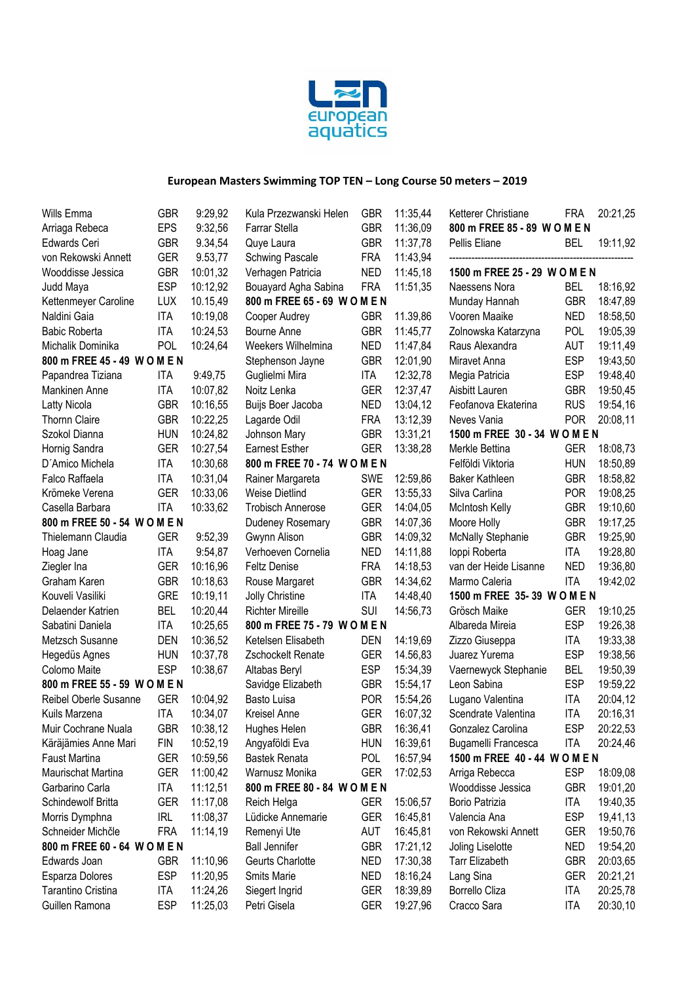

| Wills Emma                   | GBR        | 9:29,92  | Kula Przezwanski Helen       | <b>GBR</b> | 11:35,44 | Ketterer Christiane           | <b>FRA</b> | 20:21,25 |
|------------------------------|------------|----------|------------------------------|------------|----------|-------------------------------|------------|----------|
| Arriaga Rebeca               | <b>EPS</b> | 9:32,56  | <b>Farrar Stella</b>         | <b>GBR</b> | 11:36,09 | 800 m FREE 85 - 89 W O M E N  |            |          |
| Edwards Ceri                 | <b>GBR</b> | 9.34,54  | Quye Laura                   | <b>GBR</b> | 11:37.78 | Pellis Eliane                 | BEL        | 19:11,92 |
| von Rekowski Annett          | <b>GER</b> | 9.53,77  | <b>Schwing Pascale</b>       | <b>FRA</b> | 11:43,94 |                               |            |          |
| Wooddisse Jessica            | <b>GBR</b> | 10:01,32 | Verhagen Patricia            | <b>NED</b> | 11:45,18 | 1500 m FREE 25 - 29 W O M E N |            |          |
| Judd Maya                    | <b>ESP</b> | 10:12,92 | Bouayard Agha Sabina         | <b>FRA</b> | 11:51,35 | Naessens Nora                 | BEL        | 18:16,92 |
| Kettenmeyer Caroline         | <b>LUX</b> | 10.15,49 | 800 m FREE 65 - 69 W O M E N |            |          | Munday Hannah                 | <b>GBR</b> | 18:47,89 |
| Naldini Gaia                 | <b>ITA</b> | 10:19,08 | Cooper Audrey                | <b>GBR</b> | 11.39,86 | Vooren Maaike                 | <b>NED</b> | 18:58,50 |
| <b>Babic Roberta</b>         | <b>ITA</b> | 10:24,53 | Bourne Anne                  | <b>GBR</b> | 11:45,77 | Zolnowska Katarzyna           | <b>POL</b> | 19:05,39 |
| Michalik Dominika            | POL        | 10:24,64 | Weekers Wilhelmina           | <b>NED</b> | 11:47,84 | Raus Alexandra                | <b>AUT</b> | 19:11,49 |
| 800 m FREE 45 - 49 W O M E N |            |          | Stephenson Jayne             | <b>GBR</b> | 12:01,90 | Miravet Anna                  | <b>ESP</b> | 19:43,50 |
| Papandrea Tiziana            | ITA        | 9:49,75  | Guglielmi Mira               | <b>ITA</b> | 12:32,78 | Megia Patricia                | <b>ESP</b> | 19:48,40 |
| Mankinen Anne                | <b>ITA</b> | 10:07,82 | Noitz Lenka                  | <b>GER</b> | 12:37,47 | Aisbitt Lauren                | <b>GBR</b> | 19:50,45 |
| Latty Nicola                 | <b>GBR</b> | 10:16,55 | Buijs Boer Jacoba            | <b>NED</b> | 13:04,12 | Feofanova Ekaterina           | <b>RUS</b> | 19:54,16 |
| Thornn Claire                | <b>GBR</b> | 10:22,25 | Lagarde Odil                 | <b>FRA</b> | 13:12,39 | Neves Vania                   | <b>POR</b> | 20:08,11 |
| Szokol Dianna                | <b>HUN</b> | 10:24,82 | Johnson Mary                 | <b>GBR</b> | 13:31,21 | 1500 m FREE 30 - 34 W O M E N |            |          |
| Hornig Sandra                | <b>GER</b> | 10:27,54 | <b>Earnest Esther</b>        | <b>GER</b> | 13:38,28 | Merkle Bettina                | <b>GER</b> | 18:08,73 |
| D'Amico Michela              | <b>ITA</b> | 10:30,68 | 800 m FREE 70 - 74 W O M E N |            |          | Felföldi Viktoria             | <b>HUN</b> | 18:50,89 |
| Falco Raffaela               | <b>ITA</b> | 10:31,04 | Rainer Margareta             | <b>SWE</b> | 12:59,86 | <b>Baker Kathleen</b>         | <b>GBR</b> | 18:58,82 |
| Krömeke Verena               | <b>GER</b> | 10:33,06 | <b>Weise Dietlind</b>        | <b>GER</b> | 13:55,33 | Silva Carlina                 | <b>POR</b> | 19:08,25 |
| Casella Barbara              | <b>ITA</b> | 10:33,62 | <b>Trobisch Annerose</b>     | <b>GER</b> | 14:04,05 | McIntosh Kelly                | <b>GBR</b> | 19:10,60 |
| 800 m FREE 50 - 54 W O M E N |            |          | Dudeney Rosemary             | <b>GBR</b> | 14:07,36 | Moore Holly                   | <b>GBR</b> | 19:17,25 |
| Thielemann Claudia           | <b>GER</b> | 9:52,39  | Gwynn Alison                 | <b>GBR</b> | 14:09,32 | <b>McNally Stephanie</b>      | <b>GBR</b> | 19:25,90 |
| Hoag Jane                    | <b>ITA</b> | 9:54,87  | Verhoeven Cornelia           | <b>NED</b> | 14:11,88 | loppi Roberta                 | ITA        | 19:28,80 |
| Ziegler Ina                  | <b>GER</b> | 10:16,96 | <b>Feltz Denise</b>          | <b>FRA</b> | 14:18,53 | van der Heide Lisanne         | <b>NED</b> | 19:36,80 |
| Graham Karen                 | <b>GBR</b> | 10:18,63 | Rouse Margaret               | <b>GBR</b> | 14:34,62 | Marmo Caleria                 | <b>ITA</b> | 19:42,02 |
| Kouveli Vasiliki             | <b>GRE</b> | 10:19,11 | Jolly Christine              | <b>ITA</b> | 14:48,40 | 1500 m FREE 35-39 W O M E N   |            |          |
| Delaender Katrien            | <b>BEL</b> | 10:20,44 | <b>Richter Mireille</b>      | SUI        | 14:56,73 | Grösch Maike                  | <b>GER</b> | 19:10,25 |
| Sabatini Daniela             | <b>ITA</b> | 10:25,65 | 800 m FREE 75 - 79 W O M E N |            |          | Albareda Mireia               | <b>ESP</b> | 19:26,38 |
| Metzsch Susanne              | <b>DEN</b> | 10:36,52 | Ketelsen Elisabeth           | <b>DEN</b> | 14:19,69 | Zizzo Giuseppa                | <b>ITA</b> | 19:33,38 |
| Hegedüs Agnes                | <b>HUN</b> | 10:37,78 | Zschockelt Renate            | <b>GER</b> | 14.56,83 | Juarez Yurema                 | <b>ESP</b> | 19:38,56 |
| Colomo Maite                 | <b>ESP</b> | 10:38,67 | Altabas Beryl                | <b>ESP</b> | 15:34,39 | Vaernewyck Stephanie          | <b>BEL</b> | 19:50,39 |
| 800 m FREE 55 - 59 W O M E N |            |          | Savidge Elizabeth            | <b>GBR</b> | 15:54,17 | Leon Sabina                   | <b>ESP</b> | 19:59,22 |
| Reibel Oberle Susanne        | <b>GER</b> | 10:04,92 | Basto Luisa                  | <b>POR</b> | 15:54,26 | Lugano Valentina              | ITA        | 20:04,12 |
| Kuils Marzena                | <b>ITA</b> | 10:34,07 | Kreisel Anne                 | <b>GER</b> | 16:07,32 | Scendrate Valentina           | <b>ITA</b> | 20:16,31 |
| Muir Cochrane Nuala          | <b>GBR</b> | 10:38,12 | Hughes Helen                 | <b>GBR</b> | 16:36,41 | Gonzalez Carolina             | <b>ESP</b> | 20:22,53 |
| Käräjämies Anne Mari         | FIN        | 10:52,19 | Angyaföldi Eva               | <b>HUN</b> | 16:39,61 | Bugamelli Francesca           | <b>ITA</b> | 20:24,46 |
| Faust Martina                | <b>GER</b> | 10:59,56 | <b>Bastek Renata</b>         | <b>POL</b> | 16:57,94 | 1500 m FREE 40 - 44 W O M E N |            |          |
| Maurischat Martina           | <b>GER</b> | 11:00,42 | Warnusz Monika               | <b>GER</b> | 17:02,53 | Arriga Rebecca                | <b>ESP</b> | 18:09,08 |
| Garbarino Carla              | <b>ITA</b> | 11:12,51 | 800 m FREE 80 - 84 W O M E N |            |          | Wooddisse Jessica             | <b>GBR</b> | 19:01,20 |
| Schindewolf Britta           | <b>GER</b> | 11:17,08 | Reich Helga                  | GER        | 15:06,57 | Borio Patrizia                | ITA        | 19:40,35 |
| Morris Dymphna               | <b>IRL</b> | 11:08,37 | Lüdicke Annemarie            | <b>GER</b> | 16:45,81 | Valencia Ana                  | <b>ESP</b> | 19,41,13 |
| Schneider Michčle            | <b>FRA</b> | 11:14,19 | Remenyi Ute                  | <b>AUT</b> | 16:45,81 | von Rekowski Annett           | <b>GER</b> | 19:50,76 |
| 800 m FREE 60 - 64 W O M E N |            |          | <b>Ball Jennifer</b>         | <b>GBR</b> | 17:21,12 | Joling Liselotte              | <b>NED</b> | 19:54,20 |
| Edwards Joan                 | <b>GBR</b> | 11:10,96 | Geurts Charlotte             | <b>NED</b> | 17:30,38 | Tarr Elizabeth                | <b>GBR</b> | 20:03,65 |
| Esparza Dolores              | <b>ESP</b> | 11:20,95 | <b>Smits Marie</b>           | <b>NED</b> | 18:16,24 | Lang Sina                     | <b>GER</b> | 20:21,21 |
| Tarantino Cristina           | <b>ITA</b> | 11:24,26 | Siegert Ingrid               | <b>GER</b> | 18:39,89 | Borrello Cliza                | ITA        | 20:25,78 |
| Guillen Ramona               | <b>ESP</b> | 11:25,03 | Petri Gisela                 | <b>GER</b> | 19:27,96 | Cracco Sara                   | <b>ITA</b> | 20:30,10 |
|                              |            |          |                              |            |          |                               |            |          |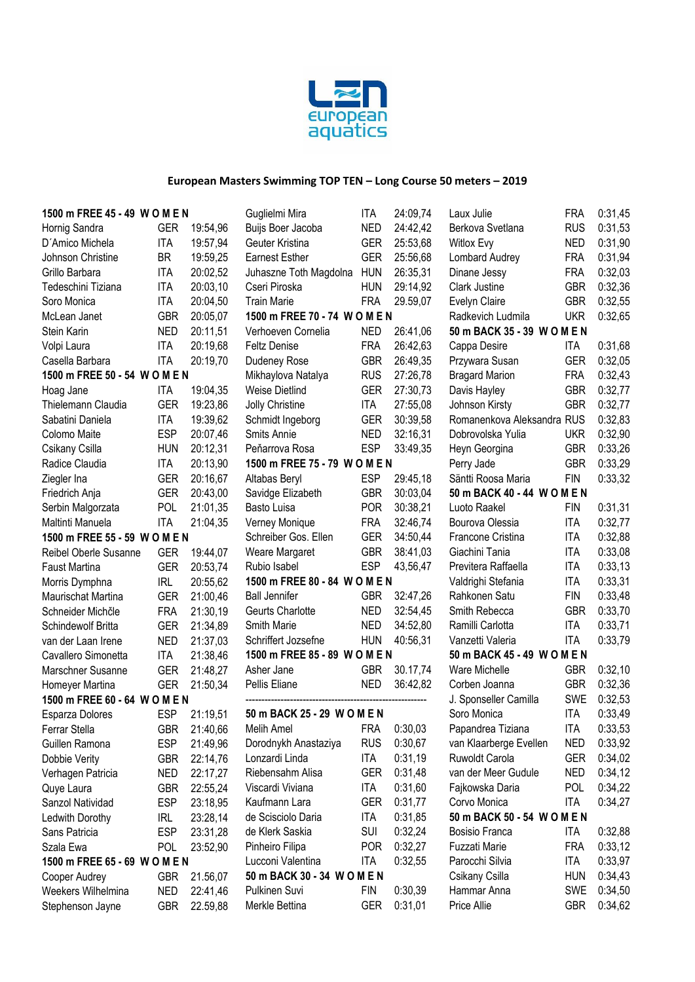

| 1500 m FREE 45 - 49 W O M E N         |            |          | Guglielmi Mira                | <b>ITA</b> | 24:09,74 | Laux Julie                  | <b>FRA</b> | 0:31,45 |
|---------------------------------------|------------|----------|-------------------------------|------------|----------|-----------------------------|------------|---------|
| Hornig Sandra                         | <b>GER</b> | 19:54,96 | Buijs Boer Jacoba             | <b>NED</b> | 24:42,42 | Berkova Svetlana            | <b>RUS</b> | 0:31,53 |
| D'Amico Michela                       | <b>ITA</b> | 19:57,94 | Geuter Kristina               | <b>GER</b> | 25:53,68 | Witlox Evy                  | <b>NED</b> | 0:31,90 |
| Johnson Christine                     | <b>BR</b>  | 19:59,25 | <b>Earnest Esther</b>         | <b>GER</b> | 25:56,68 | Lombard Audrey              | <b>FRA</b> | 0:31,94 |
| Grillo Barbara                        | <b>ITA</b> | 20:02,52 | Juhaszne Toth Magdolna        | <b>HUN</b> | 26:35,31 | Dinane Jessy                | <b>FRA</b> | 0:32,03 |
| Tedeschini Tiziana                    | <b>ITA</b> | 20:03,10 | Cseri Piroska                 | <b>HUN</b> | 29:14,92 | Clark Justine               | <b>GBR</b> | 0:32,36 |
| Soro Monica                           | <b>ITA</b> | 20:04,50 | <b>Train Marie</b>            | <b>FRA</b> | 29.59,07 | Evelyn Claire               | <b>GBR</b> | 0:32,55 |
| McLean Janet                          | <b>GBR</b> | 20:05,07 | 1500 m FREE 70 - 74 W O M E N |            |          | Radkevich Ludmila           | <b>UKR</b> | 0:32,65 |
| Stein Karin                           | <b>NED</b> | 20:11,51 | Verhoeven Cornelia            | <b>NED</b> | 26:41,06 | 50 m BACK 35 - 39 W O M E N |            |         |
| Volpi Laura                           | <b>ITA</b> | 20:19,68 | <b>Feltz Denise</b>           | <b>FRA</b> | 26:42,63 | Cappa Desire                | <b>ITA</b> | 0:31,68 |
| Casella Barbara                       | <b>ITA</b> | 20:19,70 | Dudeney Rose                  | <b>GBR</b> | 26:49,35 | Przywara Susan              | <b>GER</b> | 0:32,05 |
| 1500 m FREE 50 - 54 W O M E N         |            |          | Mikhaylova Natalya            | <b>RUS</b> | 27:26,78 | <b>Bragard Marion</b>       | <b>FRA</b> | 0:32,43 |
| Hoag Jane                             | <b>ITA</b> | 19:04,35 | <b>Weise Dietlind</b>         | <b>GER</b> | 27:30,73 | Davis Hayley                | <b>GBR</b> | 0:32,77 |
| Thielemann Claudia                    | <b>GER</b> | 19:23,86 | Jolly Christine               | <b>ITA</b> | 27:55,08 | Johnson Kirsty              | <b>GBR</b> | 0:32,77 |
| Sabatini Daniela                      | <b>ITA</b> | 19:39,62 | Schmidt Ingeborg              | <b>GER</b> | 30:39,58 | Romanenkova Aleksandra RUS  |            | 0:32,83 |
| Colomo Maite                          | <b>ESP</b> | 20:07,46 | Smits Annie                   | <b>NED</b> | 32:16,31 | Dobrovolska Yulia           | <b>UKR</b> | 0:32,90 |
| Csikany Csilla                        | <b>HUN</b> | 20:12,31 | Peňarrova Rosa                | <b>ESP</b> | 33:49,35 | Heyn Georgina               | <b>GBR</b> | 0:33,26 |
| Radice Claudia                        | <b>ITA</b> | 20:13,90 | 1500 m FREE 75 - 79 W O M E N |            |          | Perry Jade                  | <b>GBR</b> | 0:33,29 |
| Ziegler Ina                           | <b>GER</b> | 20:16,67 | Altabas Beryl                 | <b>ESP</b> | 29:45,18 | Säntti Roosa Maria          | <b>FIN</b> | 0:33,32 |
| Friedrich Anja                        | <b>GER</b> | 20:43,00 | Savidge Elizabeth             | <b>GBR</b> | 30:03,04 | 50 m BACK 40 - 44 W O M E N |            |         |
|                                       | <b>POL</b> | 21:01,35 | Basto Luisa                   | <b>POR</b> | 30:38,21 | Luoto Raakel                | <b>FIN</b> | 0:31,31 |
| Serbin Malgorzata<br>Maltinti Manuela | <b>ITA</b> | 21:04,35 | Verney Monique                | <b>FRA</b> | 32:46,74 | Bourova Olessia             | <b>ITA</b> | 0:32,77 |
|                                       |            |          | Schreiber Gos. Ellen          | <b>GER</b> |          |                             | <b>ITA</b> |         |
| 1500 m FREE 55 - 59 W O M E N         |            |          |                               |            | 34:50,44 | Francone Cristina           |            | 0:32,88 |
| Reibel Oberle Susanne                 | <b>GER</b> | 19:44,07 | Weare Margaret                | <b>GBR</b> | 38:41,03 | Giachini Tania              | <b>ITA</b> | 0:33,08 |
| <b>Faust Martina</b>                  | <b>GER</b> | 20:53,74 | Rubio Isabel                  | <b>ESP</b> | 43,56,47 | Previtera Raffaella         | <b>ITA</b> | 0:33,13 |
| Morris Dymphna                        | <b>IRL</b> | 20:55,62 | 1500 m FREE 80 - 84 W O M E N |            |          | Valdrighi Stefania          | <b>ITA</b> | 0:33,31 |
| Maurischat Martina                    | <b>GER</b> | 21:00,46 | <b>Ball Jennifer</b>          | <b>GBR</b> | 32:47,26 | Rahkonen Satu               | <b>FIN</b> | 0:33,48 |
| Schneider Michčle                     | <b>FRA</b> | 21:30,19 | Geurts Charlotte              | <b>NED</b> | 32:54,45 | Smith Rebecca               | <b>GBR</b> | 0:33,70 |
| Schindewolf Britta                    | <b>GER</b> | 21:34,89 | Smith Marie                   | <b>NED</b> | 34:52,80 | Ramilli Carlotta            | <b>ITA</b> | 0:33,71 |
| van der Laan Irene                    | <b>NED</b> | 21:37,03 | Schriffert Jozsefne           | <b>HUN</b> | 40:56,31 | Vanzetti Valeria            | <b>ITA</b> | 0:33,79 |
| Cavallero Simonetta                   | <b>ITA</b> | 21:38,46 | 1500 m FREE 85 - 89 W O M E N |            |          | 50 m BACK 45 - 49 W O M E N |            |         |
| Marschner Susanne                     | <b>GER</b> | 21:48,27 | Asher Jane                    | <b>GBR</b> | 30.17,74 | Ware Michelle               | <b>GBR</b> | 0:32,10 |
| Homeyer Martina                       | <b>GER</b> | 21:50,34 | Pellis Eliane                 | <b>NED</b> | 36:42,82 | Corben Joanna               | <b>GBR</b> | 0:32,36 |
| 1500 m FREE 60 - 64 W O M E N         |            |          |                               |            |          | J. Sponseller Camilla       | <b>SWE</b> | 0:32,53 |
| Esparza Dolores                       | <b>ESP</b> | 21:19,51 | 50 m BACK 25 - 29 W O M E N   |            |          | Soro Monica                 | <b>ITA</b> | 0:33,49 |
| Ferrar Stella                         | GBR        | 21:40,66 | Melih Amel                    | <b>FRA</b> | 0:30,03  | Papandrea Tiziana           | ITA        | 0:33,53 |
| Guillen Ramona                        | <b>ESP</b> | 21:49,96 | Dorodnykh Anastaziya          | <b>RUS</b> | 0:30,67  | van Klaarberge Evellen      | <b>NED</b> | 0:33,92 |
| Dobbie Verity                         | <b>GBR</b> | 22:14,76 | Lonzardi Linda                | <b>ITA</b> | 0:31,19  | Ruwoldt Carola              | <b>GER</b> | 0:34,02 |
| Verhagen Patricia                     | NED        | 22:17,27 | Riebensahm Alisa              | <b>GER</b> | 0:31,48  | van der Meer Gudule         | <b>NED</b> | 0:34,12 |
| Quye Laura                            | <b>GBR</b> | 22:55,24 | Viscardi Viviana              | <b>ITA</b> | 0:31,60  | Fajkowska Daria             | <b>POL</b> | 0:34,22 |
| Sanzol Natividad                      | <b>ESP</b> | 23:18,95 | Kaufmann Lara                 | <b>GER</b> | 0:31,77  | Corvo Monica                | <b>ITA</b> | 0:34,27 |
| Ledwith Dorothy                       | <b>IRL</b> | 23:28,14 | de Scisciolo Daria            | <b>ITA</b> | 0:31,85  | 50 m BACK 50 - 54 W O M E N |            |         |
| Sans Patricia                         | <b>ESP</b> | 23:31,28 | de Klerk Saskia               | <b>SUI</b> | 0:32,24  | Bosisio Franca              | ITA        | 0:32,88 |
| Szala Ewa                             | <b>POL</b> | 23:52,90 | Pinheiro Filipa               | <b>POR</b> | 0:32,27  | Fuzzati Marie               | <b>FRA</b> | 0:33,12 |
| 1500 m FREE 65 - 69 W O M E N         |            |          | Lucconi Valentina             | ITA        | 0:32,55  | Parocchi Silvia             | ITA        | 0:33,97 |
| Cooper Audrey                         | <b>GBR</b> | 21.56,07 | 50 m BACK 30 - 34 W O M E N   |            |          | Csikany Csilla              | <b>HUN</b> | 0:34,43 |
| Weekers Wilhelmina                    | <b>NED</b> | 22:41,46 | Pulkinen Suvi                 | <b>FIN</b> | 0:30,39  | Hammar Anna                 | SWE        | 0:34,50 |
| Stephenson Jayne                      | <b>GBR</b> | 22.59,88 | Merkle Bettina                | <b>GER</b> | 0:31,01  | Price Allie                 | <b>GBR</b> | 0:34,62 |
|                                       |            |          |                               |            |          |                             |            |         |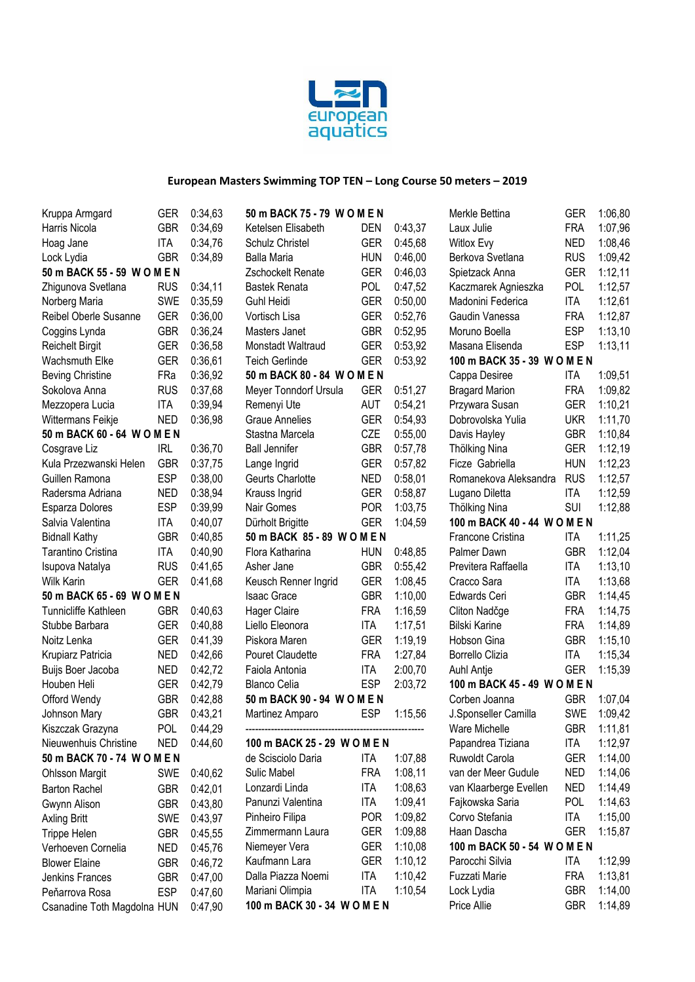

| Kruppa Armgard              | <b>GER</b> | 0:34,63 | 50 m BACK 75 - 79 W O M E N  |            |         | Merkle Bettina               | <b>GER</b> | 1:06,80 |
|-----------------------------|------------|---------|------------------------------|------------|---------|------------------------------|------------|---------|
| Harris Nicola               | <b>GBR</b> | 0:34,69 | Ketelsen Elisabeth           | <b>DEN</b> | 0:43,37 | Laux Julie                   | <b>FRA</b> | 1:07,96 |
| Hoag Jane                   | <b>ITA</b> | 0:34,76 | Schulz Christel              | <b>GER</b> | 0:45,68 | Witlox Evy                   | <b>NED</b> | 1:08,46 |
| Lock Lydia                  | <b>GBR</b> | 0:34,89 | <b>Balla Maria</b>           | <b>HUN</b> | 0:46,00 | Berkova Svetlana             | <b>RUS</b> | 1:09,42 |
| 50 m BACK 55 - 59 W O M E N |            |         | Zschockelt Renate            | <b>GER</b> | 0:46,03 | Spietzack Anna               | <b>GER</b> | 1:12,11 |
| Zhigunova Svetlana          | <b>RUS</b> | 0:34,11 | <b>Bastek Renata</b>         | <b>POL</b> | 0:47,52 | Kaczmarek Agnieszka          | <b>POL</b> | 1:12,57 |
| Norberg Maria               | SWE        | 0:35,59 | <b>Guhl Heidi</b>            | <b>GER</b> | 0:50,00 | Madonini Federica            | <b>ITA</b> | 1:12,61 |
| Reibel Oberle Susanne       | <b>GER</b> | 0:36,00 | Vortisch Lisa                | <b>GER</b> | 0:52,76 | Gaudin Vanessa               | <b>FRA</b> | 1:12,87 |
| Coggins Lynda               | <b>GBR</b> | 0:36,24 | Masters Janet                | <b>GBR</b> | 0:52,95 | Moruno Boella                | <b>ESP</b> | 1:13,10 |
| <b>Reichelt Birgit</b>      | <b>GER</b> | 0:36,58 | Monstadt Waltraud            | <b>GER</b> | 0:53,92 | Masana Elisenda              | <b>ESP</b> | 1:13,11 |
| Wachsmuth Elke              | <b>GER</b> | 0:36,61 | <b>Teich Gerlinde</b>        | <b>GER</b> | 0:53,92 | 100 m BACK 35 - 39 W O M E N |            |         |
| <b>Beving Christine</b>     | FRa        | 0:36,92 | 50 m BACK 80 - 84 W O M E N  |            |         | Cappa Desiree                | <b>ITA</b> | 1:09,51 |
| Sokolova Anna               | <b>RUS</b> | 0:37,68 | Meyer Tonndorf Ursula        | <b>GER</b> | 0:51,27 | <b>Bragard Marion</b>        | <b>FRA</b> | 1:09,82 |
| Mezzopera Lucia             | <b>ITA</b> | 0:39,94 | Remenyi Ute                  | <b>AUT</b> | 0:54,21 | Przywara Susan               | <b>GER</b> | 1:10,21 |
| Wittermans Feikje           | <b>NED</b> | 0:36,98 | <b>Graue Annelies</b>        | <b>GER</b> | 0:54,93 | Dobrovolska Yulia            | <b>UKR</b> | 1:11,70 |
| 50 m BACK 60 - 64 W O M E N |            |         | Stastna Marcela              | CZE        | 0:55,00 | Davis Hayley                 | <b>GBR</b> | 1:10,84 |
| Cosgrave Liz                | <b>IRL</b> | 0:36,70 | <b>Ball Jennifer</b>         | <b>GBR</b> | 0:57,78 | Thölking Nina                | <b>GER</b> | 1:12,19 |
| Kula Przezwanski Helen      | <b>GBR</b> | 0:37,75 | Lange Ingrid                 | <b>GER</b> | 0:57,82 | Ficze Gabriella              | <b>HUN</b> | 1:12,23 |
| Guillen Ramona              | <b>ESP</b> | 0:38,00 | Geurts Charlotte             | <b>NED</b> | 0:58,01 | Romanekova Aleksandra        | <b>RUS</b> | 1:12,57 |
| Radersma Adriana            | <b>NED</b> | 0:38,94 | Krauss Ingrid                | <b>GER</b> | 0:58,87 | Lugano Diletta               | <b>ITA</b> | 1:12,59 |
| Esparza Dolores             | <b>ESP</b> | 0:39,99 | Nair Gomes                   | <b>POR</b> | 1:03,75 | Thölking Nina                | <b>SUI</b> | 1:12,88 |
| Salvia Valentina            | <b>ITA</b> | 0:40,07 | Dürholt Brigitte             | <b>GER</b> | 1:04,59 | 100 m BACK 40 - 44 W O M E N |            |         |
| <b>Bidnall Kathy</b>        | <b>GBR</b> | 0:40,85 | 50 m BACK 85 - 89 W O M E N  |            |         | Francone Cristina            | <b>ITA</b> | 1:11,25 |
| Tarantino Cristina          | <b>ITA</b> | 0:40,90 | Flora Katharina              | <b>HUN</b> | 0:48,85 | Palmer Dawn                  | <b>GBR</b> | 1:12,04 |
| Isupova Natalya             | <b>RUS</b> | 0:41,65 | Asher Jane                   | <b>GBR</b> | 0:55,42 | Previtera Raffaella          | <b>ITA</b> | 1:13,10 |
| <b>Wilk Karin</b>           | <b>GER</b> | 0:41,68 | Keusch Renner Ingrid         | <b>GER</b> | 1:08,45 | Cracco Sara                  | <b>ITA</b> | 1:13,68 |
| 50 m BACK 65 - 69 W O M E N |            |         | <b>Isaac Grace</b>           | <b>GBR</b> | 1:10,00 | Edwards Ceri                 | <b>GBR</b> | 1:14,45 |
| Tunnicliffe Kathleen        | <b>GBR</b> | 0:40,63 | <b>Hager Claire</b>          | <b>FRA</b> | 1:16,59 | Cliton Nadčge                | <b>FRA</b> | 1:14,75 |
| Stubbe Barbara              | <b>GER</b> | 0:40,88 | Liello Eleonora              | <b>ITA</b> | 1:17,51 | <b>Bilski Karine</b>         | <b>FRA</b> | 1:14,89 |
| Noitz Lenka                 | <b>GER</b> | 0:41,39 | Piskora Maren                | <b>GER</b> | 1:19,19 | Hobson Gina                  | <b>GBR</b> | 1:15,10 |
| Krupiarz Patricia           | <b>NED</b> | 0:42,66 | Pouret Claudette             | <b>FRA</b> | 1:27,84 | <b>Borrello Clizia</b>       | <b>ITA</b> | 1:15,34 |
| Buijs Boer Jacoba           | <b>NED</b> | 0:42,72 | Faiola Antonia               | <b>ITA</b> | 2:00,70 | Auhl Antje                   | <b>GER</b> | 1:15,39 |
| Houben Heli                 | <b>GER</b> | 0:42,79 | <b>Blanco Celia</b>          | <b>ESP</b> | 2:03,72 | 100 m BACK 45 - 49 W O M E N |            |         |
| Offord Wendy                | <b>GBR</b> | 0:42,88 | 50 m BACK 90 - 94 W O M E N  |            |         | Corben Joanna                | <b>GBR</b> | 1:07,04 |
| Johnson Mary                | <b>GBR</b> | 0:43,21 | Martinez Amparo              | <b>ESP</b> | 1:15,56 | J.Sponseller Camilla         | SWE        | 1:09,42 |
| Kiszczak Grazyna            | <b>POL</b> | 0:44,29 |                              |            |         | Ware Michelle                | <b>GBR</b> | 1:11,81 |
| Nieuwenhuis Christine       | <b>NED</b> | 0:44,60 | 100 m BACK 25 - 29 W O M E N |            |         | Papandrea Tiziana            | ITA        | 1:12,97 |
| 50 m BACK 70 - 74 W O M E N |            |         | de Scisciolo Daria           | <b>ITA</b> | 1:07,88 | Ruwoldt Carola               | <b>GER</b> | 1:14,00 |
| <b>Ohlsson Margit</b>       | <b>SWE</b> | 0:40,62 | Sulic Mabel                  | <b>FRA</b> | 1:08,11 | van der Meer Gudule          | <b>NED</b> | 1:14,06 |
| <b>Barton Rachel</b>        | <b>GBR</b> | 0:42,01 | Lonzardi Linda               | <b>ITA</b> | 1:08,63 | van Klaarberge Evellen       | <b>NED</b> | 1:14,49 |
| Gwynn Alison                | <b>GBR</b> | 0:43,80 | Panunzi Valentina            | <b>ITA</b> | 1:09,41 | Fajkowska Saria              | <b>POL</b> | 1:14,63 |
| <b>Axling Britt</b>         | <b>SWE</b> | 0:43,97 | Pinheiro Filipa              | <b>POR</b> | 1:09,82 | Corvo Stefania               | <b>ITA</b> | 1:15,00 |
| Trippe Helen                | <b>GBR</b> | 0:45,55 | Zimmermann Laura             | <b>GER</b> | 1:09,88 | Haan Dascha                  | <b>GER</b> | 1:15,87 |
| Verhoeven Cornelia          | <b>NED</b> | 0:45,76 | Niemeyer Vera                | <b>GER</b> | 1:10,08 | 100 m BACK 50 - 54 W O M E N |            |         |
| <b>Blower Elaine</b>        | <b>GBR</b> | 0:46,72 | Kaufmann Lara                | <b>GER</b> | 1:10,12 | Parocchi Silvia              | ITA        | 1:12,99 |
| Jenkins Frances             | <b>GBR</b> | 0:47,00 | Dalla Piazza Noemi           | <b>ITA</b> | 1:10,42 | Fuzzati Marie                | <b>FRA</b> | 1:13,81 |
| Peňarrova Rosa              | <b>ESP</b> | 0:47,60 | Mariani Olimpia              | <b>ITA</b> | 1:10,54 | Lock Lydia                   | <b>GBR</b> | 1:14,00 |
| Csanadine Toth Magdolna HUN |            | 0:47,90 | 100 m BACK 30 - 34 W O M E N |            |         | Price Allie                  | <b>GBR</b> | 1:14,89 |
|                             |            |         |                              |            |         |                              |            |         |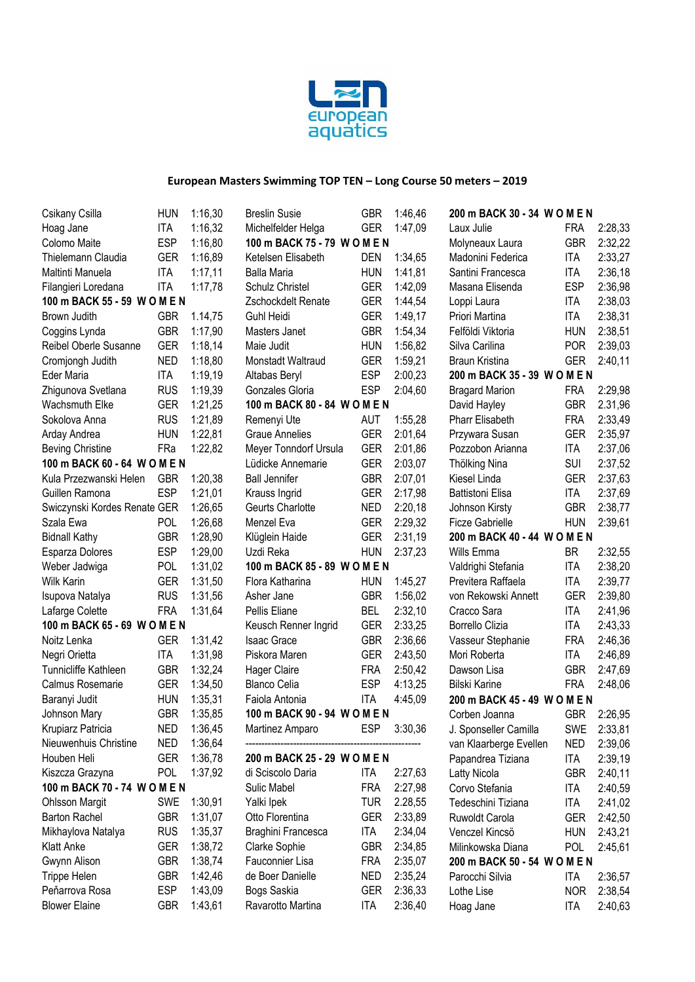

| Csikany Csilla                            | <b>HUN</b> | 1:16,30 |
|-------------------------------------------|------------|---------|
| Hoag Jane                                 | <b>ITA</b> | 1:16,32 |
| Colomo Maite                              | ESP        | 1:16,80 |
| Thielemann Claudia                        | GER        | 1:16,89 |
| Maltinti Manuela                          | ITA        | 1:17,11 |
| Filangieri Loredana                       | <b>ITA</b> | 1:17,78 |
| 100 m BACK 55 - 59 W O M E N              |            |         |
| Brown Judith                              | GBR        | 1.14,75 |
| Coggins Lynda                             | GBR        | 1:17,90 |
| Reibel Oberle Susanne                     | GER        | 1:18,14 |
| Cromjongh Judith                          | <b>NED</b> | 1:18,80 |
| Eder Maria                                | <b>ITA</b> | 1:19,19 |
| Zhigunova Svetlana                        | <b>RUS</b> | 1:19,39 |
| <b>Wachsmuth Elke</b>                     | GER        | 1:21,25 |
| Sokolova Anna                             | <b>RUS</b> | 1:21,89 |
| Arday Andrea                              | <b>HUN</b> | 1:22,81 |
| <b>Beving Christine</b>                   | FRa        | 1:22,82 |
| 100 m BACK 60 - 64 W O M E N              |            |         |
| Kula Przezwanski Helen                    | <b>GBR</b> | 1:20,38 |
| Guillen Ramona                            | ESP        | 1:21,01 |
|                                           |            |         |
| Swiczynski Kordes Renate GER<br>Szala Ewa |            | 1:26,65 |
|                                           | <b>POL</b> | 1:26,68 |
| <b>Bidnall Kathy</b>                      | GBR        | 1:28,90 |
| Esparza Dolores                           | ESP        | 1:29,00 |
| Weber Jadwiga                             | POL        | 1:31,02 |
| <b>Wilk Karin</b>                         | GER        | 1:31,50 |
| Isupova Natalya                           | <b>RUS</b> | 1:31,56 |
| Lafarge Colette                           | FRA        | 1:31,64 |
| 100 m BACK 65 - 69 W O M E N              |            |         |
| Noitz Lenka                               | <b>GER</b> | 1:31,42 |
| Negri Orietta                             | <b>ITA</b> | 1:31,98 |
| <b>Tunnicliffe Kathleen</b>               | GBR        | 1:32,24 |
| Calmus Rosemarie                          | <b>GER</b> | 1:34,50 |
| Baranyi Judit                             | <b>HUN</b> | 1:35,31 |
| Johnson Mary                              | <b>GBR</b> | 1:35,85 |
| Krupiarz Patricia                         | NED        | 1:36,45 |
| Nieuwenhuis Christine                     | NED        | 1:36,64 |
| Houben Heli                               | GER        | 1:36,78 |
| Kiszcza Grazyna                           | <b>POL</b> | 1:37,92 |
| 100 m BACK 70 - 74 W O M E N              |            |         |
| <b>Ohlsson Margit</b>                     | SWE        | 1:30,91 |
| <b>Barton Rachel</b>                      | GBR        | 1:31,07 |
| Mikhaylova Natalya                        | rus        | 1:35,37 |
| <b>Klatt Anke</b>                         | GER        | 1:38,72 |
| Gwynn Alison                              | GBR        | 1:38,74 |
| <b>Trippe Helen</b>                       | GBR        | 1:42,46 |
| Peňarrova Rosa                            | ESP        | 1:43,09 |
| <b>Blower Elaine</b>                      | GBR        | 1:43,61 |
|                                           |            |         |

| <b>Breslin Susie</b>             | <b>GBR</b> | 1:46,46            |
|----------------------------------|------------|--------------------|
| Michelfelder Helga               | GER        | 1:47,09            |
| 100 m BACK 75 - 79 W O M E N     |            |                    |
| Ketelsen Elisabeth               | DEN        | 1:34,65            |
| <b>Balla Maria</b>               | HUN        | 1:41,81            |
| Schulz Christel                  | <b>GER</b> | 1:42,09            |
| Zschockdelt Renate               | <b>GER</b> | 1:44,54            |
| Guhl Heidi                       | <b>GER</b> | 1:49,17            |
| Masters Janet                    | <b>GBR</b> | 1:54,34            |
| Maie Judit                       | HUN        | 1:56,82            |
| Monstadt Waltraud                | GER        | 1:59,21            |
| Altabas Beryl                    | <b>ESP</b> | 2:00,23            |
| Gonzales Gloria                  | <b>ESP</b> | 2:04,60            |
| 100 m BACK 80 - 84 W O M E N     |            |                    |
| Remenyi Ute                      | AUT        | 1:55,28            |
| <b>Graue Annelies</b>            | GER        | 2:01,64            |
| Meyer Tonndorf Ursula            | <b>GER</b> | 2:01,86            |
| Lüdicke Annemarie                | <b>GER</b> | 2:03,07            |
| <b>Ball Jennifer</b>             | <b>GBR</b> | 2:07,01            |
| Krauss Ingrid                    | <b>GER</b> | 2:17,98            |
| Geurts Charlotte                 | NED        | 2:20,18            |
| Menzel Eva                       | <b>GER</b> | 2:29,32            |
| Klüglein Haide                   | GER        | 2:31,19            |
| Uzdi Reka                        | HUN        | 2:37,23            |
| 100 m BACK 85 - 89 W O M E N     |            |                    |
| Flora Katharina                  | <b>HUN</b> | 1:45,27            |
| Asher Jane                       | <b>GBR</b> | 1:56,02            |
| Pellis Eliane                    | BEL        | 2:32,10            |
| Keusch Renner Ingrid             | GER        | 2:33,25            |
| <b>Isaac Grace</b>               | <b>GBR</b> | 2:36,66            |
| Piskora Maren                    | <b>GER</b> | 2:43,50            |
| <b>Hager Claire</b>              | <b>FRA</b> | 2:50,42            |
| <b>Blanco Celia</b>              | <b>ESP</b> | 4:13,25            |
| Faiola Antonia                   | ITA        | 4:45,09            |
| 100 m BACK 90 - 94 W O M E N     |            |                    |
| Martinez Amparo                  | <b>ESP</b> | 3:30,36            |
| 200 m BACK 25 - 29 W O M E N     |            |                    |
| di Sciscolo Daria                | <b>ITA</b> | 2:27,63            |
| <b>Sulic Mabel</b>               | <b>FRA</b> | 2:27,98            |
| Yalki Ipek                       | <b>TUR</b> | 2.28,55            |
| Otto Florentina                  | <b>GER</b> | 2:33,89            |
| Braghini Francesca               | <b>ITA</b> | 2:34,04            |
| Clarke Sophie                    | GBR        | 2:34,85            |
| Fauconnier Lisa                  | FRA        | 2:35,07            |
| de Boer Danielle                 | NED        | 2:35,24            |
|                                  |            |                    |
|                                  | <b>GER</b> |                    |
| Bogs Saskia<br>Ravarotto Martina | <b>ITA</b> | 2:36,33<br>2:36,40 |

| 200 m BACK 30 - 34 W O M E N |            |         |
|------------------------------|------------|---------|
| Laux Julie                   | FRA        | 2:28,33 |
| Molyneaux Laura              | <b>GBR</b> | 2:32,22 |
| Madonini Federica            | ITA        | 2:33,27 |
| Santini Francesca            | ITA        | 2:36,18 |
| Masana Elisenda              | <b>ESP</b> | 2:36,98 |
| Loppi Laura                  | <b>ITA</b> | 2:38,03 |
| Priori Martina               | <b>ITA</b> | 2:38,31 |
| Felföldi Viktoria            | hun        | 2:38,51 |
| Silva Carilina               | <b>POR</b> | 2:39,03 |
| Braun Kristina               | <b>GER</b> | 2:40,11 |
| 200 m BACK 35 - 39 W O M E N |            |         |
| <b>Bragard Marion</b>        | <b>FRA</b> | 2:29,98 |
| David Hayley                 | <b>GBR</b> | 2.31,96 |
| <b>Pharr Elisabeth</b>       | FRA        | 2:33,49 |
| Przywara Susan               | GER        | 2:35,97 |
| Pozzobon Arianna             | <b>ITA</b> | 2:37,06 |
| Thölking Nina                | <b>SUI</b> | 2:37,52 |
| Kiesel Linda                 | <b>GER</b> | 2:37,63 |
| <b>Battistoni Elisa</b>      | <b>ITA</b> | 2:37,69 |
| Johnson Kirsty               | <b>GBR</b> | 2:38,77 |
| <b>Ficze Gabrielle</b>       | <b>HUN</b> | 2:39,61 |
| 200 m BACK 40 - 44 W O M E N |            |         |
| Wills Emma                   | BR         | 2:32,55 |
| Valdrighi Stefania           | <b>ITA</b> | 2:38,20 |
| Previtera Raffaela           | ITA        | 2:39,77 |
| von Rekowski Annett          | <b>GER</b> | 2:39,80 |
| Cracco Sara                  | <b>ITA</b> | 2:41,96 |
| <b>Borrello Clizia</b>       | <b>ITA</b> | 2:43,33 |
| Vasseur Stephanie            | <b>FRA</b> | 2:46,36 |
| Mori Roberta                 | <b>ITA</b> | 2:46,89 |
| Dawson Lisa                  | <b>GBR</b> | 2:47,69 |
| <b>Bilski Karine</b>         | FRA        | 2:48,06 |
| 200 m BACK 45 - 49 W O M E N |            |         |
| Corben Joanna                | GBR        | 2:26,95 |
| J. Sponseller Camilla        | <b>SWE</b> | 2:33,81 |
| van Klaarberge Evellen       | NED        | 2:39,06 |
| Papandrea Tiziana            | ITA        | 2:39,19 |
| Latty Nicola                 | <b>GBR</b> | 2:40,11 |
| Corvo Stefania               | ITA        | 2:40,59 |
| Tedeschini Tiziana           | ITA        | 2:41,02 |
| Ruwoldt Carola               | GER        | 2:42,50 |
| Venczel Kincsö               | <b>HUN</b> | 2:43,21 |
| Milinkowska Diana            | POL        | 2:45,61 |
| 200 m BACK 50 - 54 W O M E N |            |         |
| Parocchi Silvia              | ITA        | 2:36,57 |
| Lothe Lise                   | NOR        | 2:38,54 |
| Hoag Jane                    | ITA        | 2:40,63 |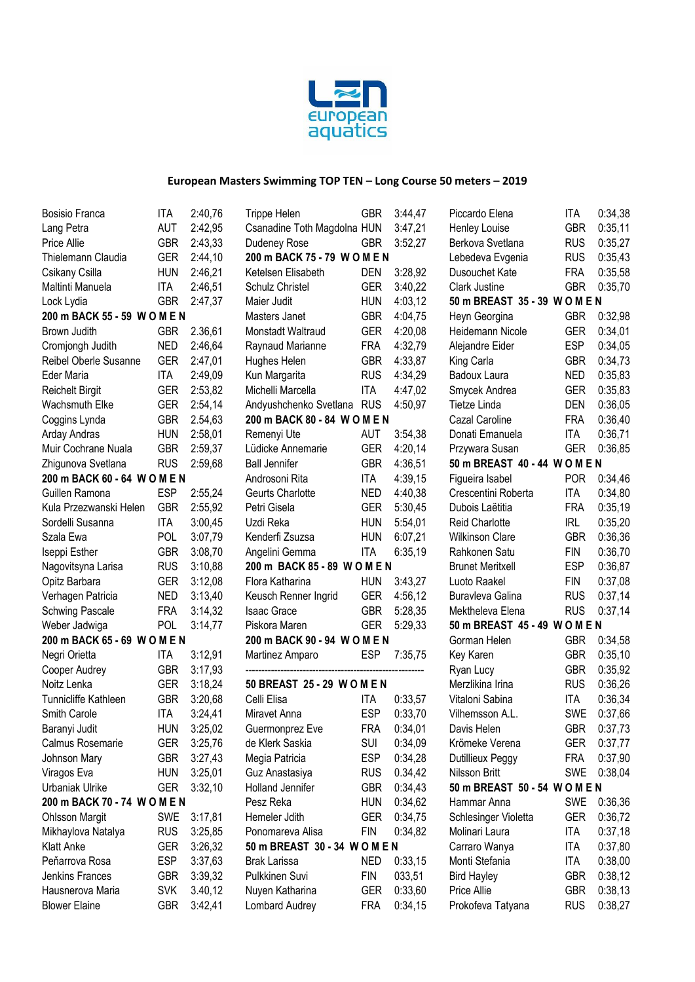

Trippe Helen GBR 3:44,47

| <b>Bosisio Franca</b>        | ITA        | 2:40,76 |
|------------------------------|------------|---------|
| Lang Petra                   | <b>AUT</b> | 2:42,95 |
| Price Allie                  | GBR        | 2:43,33 |
| Thielemann Claudia           | GER        | 2:44,10 |
| Csikany Csilla               | HUN        | 2:46,21 |
| Maltinti Manuela             | ITA        | 2:46,51 |
| Lock Lydia                   | GBR        | 2:47,37 |
| 200 m BACK 55 - 59 W O M E N |            |         |
| Brown Judith                 | <b>GBR</b> | 2.36,61 |
| Cromjongh Judith             | NED        | 2:46,64 |
| Reibel Oberle Susanne        | GER        | 2:47,01 |
| Eder Maria                   | ITA        | 2:49,09 |
| <b>Reichelt Birgit</b>       | GER        | 2:53,82 |
| <b>Wachsmuth Elke</b>        | GER        | 2:54,14 |
| Coggins Lynda                | GBR        | 2.54,63 |
| Arday Andras                 | hun        | 2:58,01 |
| Muir Cochrane Nuala          | GBR        | 2:59,37 |
| Zhigunova Svetlana           | RUS        | 2:59,68 |
| 200 m BACK 60 - 64 W O M E N |            |         |
| Guillen Ramona               | ESP        | 2:55,24 |
| Kula Przezwanski Helen       | GBR        | 2:55,92 |
| Sordelli Susanna             | ita        | 3:00,45 |
| Szala Ewa                    | POL        | 3:07,79 |
| Iseppi Esther                | GBR        | 3:08,70 |
| Nagovitsyna Larisa           | RUS        | 3:10,88 |
| Opitz Barbara                | GER        | 3:12,08 |
| Verhagen Patricia            | NED        | 3:13,40 |
| <b>Schwing Pascale</b>       | FRA        | 3:14,32 |
| Weber Jadwiga                | POL        | 3:14,77 |
| 200 m BACK 65 - 69 W O M E N |            |         |
| Negri Orietta                | <b>ITA</b> | 3:12,91 |
| Cooper Audrey                | GBR        | 3:17,93 |
| Noitz Lenka                  | GER        | 3:18,24 |
| <b>Tunnicliffe Kathleen</b>  | GBR        | 3:20,68 |
| Smith Carole                 | <b>ITA</b> | 3:24,41 |
| Baranyi Judit                | hun        | 3:25,02 |
| Calmus Rosemarie             | GER        | 3:25,76 |
| Johnson Mary                 | GBR        | 3:27,43 |
| Viragos Eva                  | hun        | 3:25,01 |
| <b>Urbaniak Ulrike</b>       | GER        | 3:32,10 |
| 200 m BACK 70 - 74 W O M E N |            |         |
| <b>Ohlsson Margit</b>        | <b>SWE</b> | 3:17,81 |
| Mikhaylova Natalya           | RUS        | 3:25,85 |
| <b>Klatt Anke</b>            | GER        | 3:26,32 |
| Peňarrova Rosa               | ESP        | 3:37,63 |
| Jenkins Frances              | GBR.       | 3:39,32 |
| Hausnerova Maria             | <b>SVK</b> | 3.40,12 |
| <b>Blower Elaine</b>         | GBR        | 3:42,41 |
|                              |            |         |

| Csanadine Toth Magdolna HUN   |            | 3:47,21 |
|-------------------------------|------------|---------|
| Dudeney Rose                  | <b>GBR</b> | 3:52,27 |
| 200 m BACK 75 - 79 W O M E N  |            |         |
| Ketelsen Elisabeth            | DEN        | 3:28,92 |
| <b>Schulz Christel</b>        | GER        | 3:40,22 |
| Maier Judit                   | <b>HUN</b> | 4:03,12 |
| <b>Masters Janet</b>          | <b>GBR</b> | 4:04,75 |
| Monstadt Waltraud             | GER        | 4:20,08 |
| Raynaud Marianne              | FRA        | 4:32,79 |
| Hughes Helen                  | GBR        | 4:33,87 |
| Kun Margarita                 | <b>RUS</b> | 4:34,29 |
| Michelli Marcella             | ITA        | 4:47,02 |
| Andyushchenko Svetlana        | <b>RUS</b> | 4:50,97 |
| 200 m BACK 80 - 84 W O M E N  |            |         |
| Remenyi Ute                   | AUT        | 3:54,38 |
| Lüdicke Annemarie             | <b>GER</b> | 4:20,14 |
| <b>Ball Jennifer</b>          | <b>GBR</b> | 4:36,51 |
| Androsoni Rita                | <b>ITA</b> | 4:39,15 |
| Geurts Charlotte              | NED        | 4:40,38 |
| Petri Gisela                  | <b>GER</b> | 5:30,45 |
| Uzdi Reka                     | <b>HUN</b> | 5:54,01 |
| Kenderfi Zsuzsa               | hun        | 6:07,21 |
| Angelini Gemma                | ITA        | 6:35,19 |
| 200 m BACK 85 - 89 WOMEN      |            |         |
| Flora Katharina               | <b>HUN</b> | 3:43,27 |
| Keusch Renner Ingrid          | GER        | 4:56,12 |
| <b>Isaac Grace</b>            | GBR        | 5:28,35 |
| Piskora Maren                 | <b>GER</b> | 5:29,33 |
| 200 m BACK 90 - 94 W O M E N  |            |         |
| Martinez Amparo               | <b>ESP</b> | 7:35,75 |
|                               |            |         |
| 50 BREAST 25 - 29 WOMEN       |            |         |
| Celli Elisa                   | <b>ITA</b> | 0:33,57 |
| Miravet Anna                  | ESP        | 0:33,70 |
| Guermonprez Eve               | <b>FRA</b> | 0:34,01 |
| de Klerk Saskia .             | SUI        | 0:34,09 |
| Megia Patricia                | ESP        | 0:34,28 |
| Guz Anastasiya                | RUS        | 0.34,42 |
| <b>Holland Jennifer</b>       | GBR        | 0:34,43 |
| Pesz Reka                     | HUN        | 0:34,62 |
| Hemeler Jdith                 | GER        | 0:34,75 |
| Ponomareva Alisa              | <b>FIN</b> | 0:34,82 |
| 50 m BREAST 30 - 34 W O M E N |            |         |
| <b>Brak Larissa</b>           | <b>NED</b> | 0:33,15 |
| Pulkkinen Suvi                | <b>FIN</b> | 033,51  |
| Nuyen Katharina               | GER        | 0:33,60 |
| Lombard Audrey                | FRA        | 0:34,15 |

| Piccardo Elena                | ITA        | 0:34,38 |
|-------------------------------|------------|---------|
| <b>Henley Louise</b>          | <b>GBR</b> | 0:35,11 |
| Berkova Svetlana              | <b>RUS</b> | 0:35,27 |
| Lebedeva Evgenia              | <b>RUS</b> | 0:35,43 |
| Dusouchet Kate                | <b>FRA</b> | 0:35,58 |
| Clark Justine                 | GBR        | 0:35,70 |
| 50 m BREAST 35 - 39 W O M E N |            |         |
| Heyn Georgina                 | GBR        | 0:32,98 |
| Heidemann Nicole              | <b>GER</b> | 0:34,01 |
| Alejandre Eider               | <b>ESP</b> | 0:34,05 |
| King Carla                    | <b>GBR</b> | 0:34,73 |
| <b>Badoux Laura</b>           | NED        | 0:35,83 |
| Smycek Andrea                 | <b>GER</b> | 0:35,83 |
| <b>Tietze Linda</b>           | DEN        | 0:36,05 |
| Cazal Caroline                | <b>FRA</b> | 0:36,40 |
| Donati Emanuela               | ITA        | 0:36,71 |
| Przywara Susan                | GER        | 0:36,85 |
| 50 m BREAST 40 - 44 W O M E N |            |         |
| Figueira Isabel               | POR        | 0:34,46 |
| Crescentini Roberta           | <b>ITA</b> | 0:34,80 |
| Dubois Laëtitia               | FRA        | 0:35,19 |
| <b>Reid Charlotte</b>         | IRL        | 0:35,20 |
| <b>Wilkinson Clare</b>        | GBR        | 0:36,36 |
| Rahkonen Satu                 | <b>FIN</b> | 0:36,70 |
| <b>Brunet Meritxell</b>       | ESP        | 0:36,87 |
| Luoto Raakel                  | FIN        | 0:37,08 |
| Buravleva Galina              | <b>RUS</b> | 0:37,14 |
| Mektheleva Elena              | <b>RUS</b> | 0:37,14 |
| 50 m BREAST 45 - 49 W O M E N |            |         |
| Gorman Helen                  | GBR        | 0:34,58 |
| Key Karen                     | <b>GBR</b> | 0:35,10 |
| Ryan Lucy                     | <b>GBR</b> | 0:35,92 |
| Merzlikina Irina              | <b>RUS</b> | 0:36,26 |
| Vitaloni Sabina               | <b>ITA</b> | 0:36,34 |
| Vilhemsson A.L.               | <b>SWE</b> | 0:37,66 |
| Davis Helen                   | GBR        | 0:37,73 |
| Krömeke Verena                | GER        | 0:37,77 |
| Dutillieux Peggy              | FRA        | 0:37,90 |
| Nilsson Britt                 | SWE        | 0:38,04 |
| 50 m BREAST 50 - 54 W O M E N |            |         |
| Hammar Anna                   | SWE        | 0:36,36 |
| Schlesinger Violetta          | GER        | 0:36,72 |
| Molinari Laura                | <b>ITA</b> | 0:37,18 |
| Carraro Wanya                 | <b>ITA</b> | 0:37,80 |
| Monti Stefania                | ITA        | 0:38,00 |
| <b>Bird Hayley</b>            | <b>GBR</b> | 0:38,12 |
| Price Allie                   | GBR        | 0:38,13 |
| Prokofeva Tatyana             | <b>RUS</b> | 0:38,27 |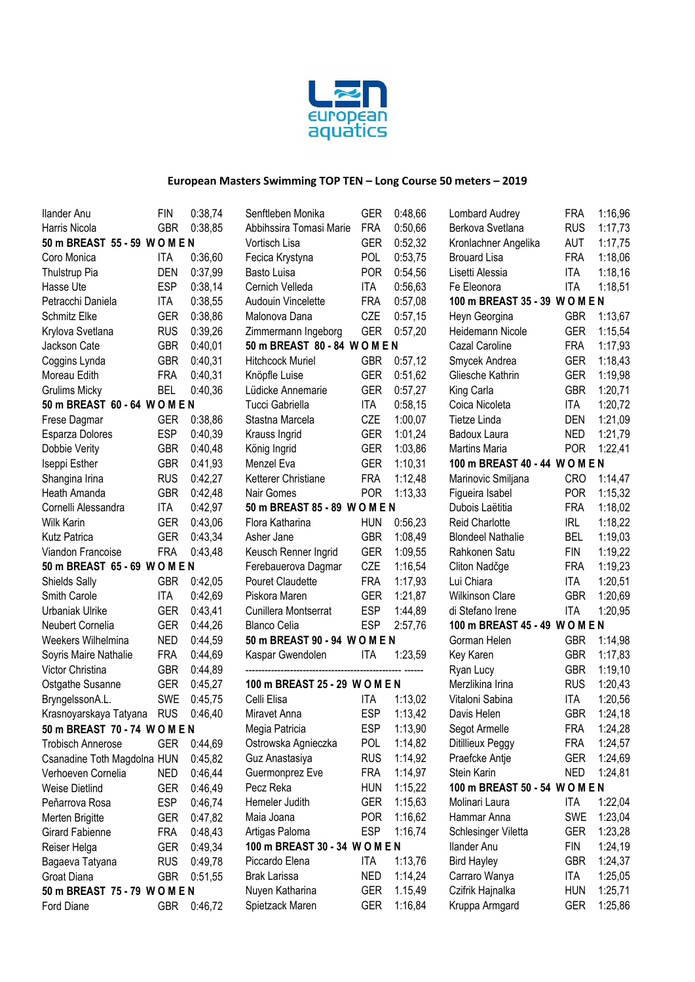

| Ilander Anu                   | <b>FIN</b> | 0:38,74 | Senftleben Monika              | <b>GER</b> | 0:48,66 | Lombard Audrey                 | <b>FRA</b> | 1:16,96 |
|-------------------------------|------------|---------|--------------------------------|------------|---------|--------------------------------|------------|---------|
| Harris Nicola                 | <b>GBR</b> | 0:38,85 | Abbihssira Tomasi Marie        | <b>FRA</b> | 0:50.66 | Berkova Svetlana               | <b>RUS</b> | 1:17,73 |
| 50 m BREAST 55 - 59 W O M E N |            |         | Vortisch Lisa                  | <b>GER</b> | 0:52,32 | Kronlachner Angelika           | AUT        | 1:17,75 |
| Coro Monica                   | <b>ITA</b> | 0:36,60 | Fecica Krystyna                | <b>POL</b> | 0:53,75 | <b>Brouard Lisa</b>            | <b>FRA</b> | 1:18,06 |
| Thulstrup Pia                 | <b>DEN</b> | 0:37,99 | Basto Luisa                    | <b>POR</b> | 0:54,56 | Lisetti Alessia                | <b>ITA</b> | 1:18,16 |
| Hasse Ute                     | <b>ESP</b> | 0:38,14 | Cernich Velleda                | <b>ITA</b> | 0:56,63 | Fe Eleonora                    | <b>ITA</b> | 1:18,51 |
| Petracchi Daniela             | <b>ITA</b> | 0:38,55 | Audouin Vincelette             | <b>FRA</b> | 0:57,08 | 100 m BREAST 35 - 39 W O M E N |            |         |
| Schmitz Elke                  | <b>GER</b> | 0:38,86 | Malonova Dana                  | CZE        | 0:57,15 | Heyn Georgina                  | <b>GBR</b> | 1:13,67 |
| Krylova Svetlana              | <b>RUS</b> | 0:39,26 | Zimmermann Ingeborg            | <b>GER</b> | 0:57,20 | Heidemann Nicole               | <b>GER</b> | 1:15,54 |
| Jackson Cate                  | <b>GBR</b> | 0:40,01 | 50 m BREAST 80 - 84 W O M E N  |            |         | Cazal Caroline                 | <b>FRA</b> | 1:17,93 |
| Coggins Lynda                 | <b>GBR</b> | 0:40,31 | <b>Hitchcock Muriel</b>        | <b>GBR</b> | 0:57,12 | Smycek Andrea                  | <b>GER</b> | 1:18,43 |
| Moreau Edith                  | <b>FRA</b> | 0:40,31 | Knöpfle Luise                  | <b>GER</b> | 0:51,62 | Gliesche Kathrin               | <b>GER</b> | 1:19,98 |
| <b>Grulims Micky</b>          | <b>BEL</b> | 0:40,36 | Lüdicke Annemarie              | <b>GER</b> | 0:57,27 | King Carla                     | <b>GBR</b> | 1:20,71 |
| 50 m BREAST 60 - 64 W O M E N |            |         | Tucci Gabriella                | <b>ITA</b> | 0:58,15 | Coica Nicoleta                 | ITA        | 1:20,72 |
| Frese Dagmar                  | <b>GER</b> | 0:38,86 | Stastna Marcela                | CZE        | 1:00,07 | Tietze Linda                   | <b>DEN</b> | 1:21,09 |
| Esparza Dolores               | <b>ESP</b> | 0:40,39 | Krauss Ingrid                  | <b>GER</b> | 1:01,24 | Badoux Laura                   | <b>NED</b> | 1:21,79 |
| Dobbie Verity                 | <b>GBR</b> | 0:40,48 | König Ingrid                   | <b>GER</b> | 1:03,86 | Martins Maria                  | <b>POR</b> | 1:22,41 |
| Iseppi Esther                 | <b>GBR</b> | 0:41,93 | Menzel Eva                     | <b>GER</b> | 1:10,31 | 100 m BREAST 40 - 44 W O M E N |            |         |
| Shangina Irina                | <b>RUS</b> | 0:42,27 | Ketterer Christiane            | <b>FRA</b> | 1:12,48 | Marinovic Smiljana             | <b>CRO</b> | 1:14,47 |
| Heath Amanda                  | <b>GBR</b> | 0:42,48 | Nair Gomes                     | <b>POR</b> | 1:13,33 | Figueira Isabel                | <b>POR</b> | 1:15,32 |
| Cornelli Alessandra           | <b>ITA</b> | 0:42,97 | 50 m BREAST 85 - 89 W O M E N  |            |         | Dubois Laëtitia                | <b>FRA</b> | 1:18,02 |
| Wilk Karin                    | <b>GER</b> | 0:43,06 | Flora Katharina                | <b>HUN</b> | 0:56,23 | Reid Charlotte                 | <b>IRL</b> | 1:18,22 |
| Kutz Patrica                  | <b>GER</b> | 0:43,34 | Asher Jane                     | <b>GBR</b> | 1:08.49 | <b>Blondeel Nathalie</b>       | <b>BEL</b> | 1:19,03 |
| Viandon Francoise             | <b>FRA</b> | 0:43,48 | Keusch Renner Ingrid           | <b>GER</b> | 1:09,55 | Rahkonen Satu                  | <b>FIN</b> | 1:19,22 |
| 50 m BREAST 65 - 69 W O M E N |            |         | Ferebauerova Dagmar            | CZE        | 1:16,54 | Cliton Nadčge                  | <b>FRA</b> | 1:19,23 |
| Shields Sally                 | <b>GBR</b> | 0:42,05 | Pouret Claudette               | <b>FRA</b> | 1:17,93 | Lui Chiara                     | <b>ITA</b> | 1:20,51 |
| Smith Carole                  | <b>ITA</b> | 0:42,69 | Piskora Maren                  | <b>GER</b> | 1:21,87 | <b>Wilkinson Clare</b>         | <b>GBR</b> | 1:20,69 |
| Urbaniak Ulrike               | <b>GER</b> | 0:43,41 | Cunillera Montserrat           | <b>ESP</b> | 1:44,89 | di Stefano Irene               | <b>ITA</b> | 1:20,95 |
| Neubert Cornelia              | <b>GER</b> | 0:44,26 | <b>Blanco Celia</b>            | <b>ESP</b> | 2:57,76 | 100 m BREAST 45 - 49 W O M E N |            |         |
| Weekers Wilhelmina            | <b>NED</b> | 0:44,59 | 50 m BREAST 90 - 94 W O M E N  |            |         | Gorman Helen                   | <b>GBR</b> | 1:14,98 |
| Soyris Maire Nathalie         | <b>FRA</b> | 0:44,69 | Kaspar Gwendolen               | ITA        | 1:23,59 | Key Karen                      | <b>GBR</b> | 1:17,83 |
| Victor Christina              | <b>GBR</b> | 0:44,89 |                                |            |         | Ryan Lucy                      | <b>GBR</b> | 1:19,10 |
| Ostgathe Susanne              | <b>GER</b> | 0:45,27 | 100 m BREAST 25 - 29 W O M E N |            |         | Merzlikina Irina               | <b>RUS</b> | 1:20,43 |
| BryngelssonA.L.               | <b>SWE</b> | 0:45,75 | Celli Elisa                    | ITA        | 1:13,02 | Vitaloni Sabina                | ITA        | 1:20,56 |
| Krasnoyarskaya Tatyana        | <b>RUS</b> | 0:46,40 | Miravet Anna                   | <b>ESP</b> | 1:13,42 | Davis Helen                    | <b>GBR</b> | 1:24,18 |
| 50 m BREAST 70 - 74 W O M E N |            |         | Megia Patricia                 | <b>ESP</b> | 1:13,90 | Segot Armelle                  | <b>FRA</b> | 1:24,28 |
| <b>Trobisch Annerose</b>      | <b>GER</b> | 0:44,69 | Ostrowska Agnieczka            | <b>POL</b> | 1:14,82 | Ditillieux Peggy               | <b>FRA</b> | 1:24,57 |
| Csanadine Toth Magdolna HUN   |            | 0:45,82 | Guz Anastasiya                 | <b>RUS</b> | 1:14,92 | Praefcke Antje                 | <b>GER</b> | 1:24,69 |
| Verhoeven Cornelia            | NED        | 0:46,44 | Guermonprez Eve                | <b>FRA</b> | 1:14,97 | Stein Karin                    | <b>NED</b> | 1:24,81 |
| <b>Weise Dietlind</b>         | <b>GER</b> | 0:46,49 | Pecz Reka                      | <b>HUN</b> | 1:15,22 | 100 m BREAST 50 - 54 W O M E N |            |         |
| Peňarrova Rosa                | <b>ESP</b> | 0:46,74 | Hemeler Judith                 | <b>GER</b> | 1:15,63 | Molinari Laura                 | ITA        | 1:22,04 |
| Merten Brigitte               | <b>GER</b> | 0:47,82 | Maia Joana                     | <b>POR</b> | 1:16,62 | Hammar Anna                    | <b>SWE</b> | 1:23,04 |
| Girard Fabienne               | <b>FRA</b> | 0:48,43 | Artigas Paloma                 | <b>ESP</b> | 1:16,74 | Schlesinger Viletta            | <b>GER</b> | 1:23,28 |
| Reiser Helga                  | <b>GER</b> | 0:49,34 | 100 m BREAST 30 - 34 W O M E N |            |         | <b>Ilander Anu</b>             | <b>FIN</b> | 1:24,19 |
| Bagaeva Tatyana               | <b>RUS</b> | 0:49,78 | Piccardo Elena                 | <b>ITA</b> | 1:13,76 | <b>Bird Hayley</b>             | <b>GBR</b> | 1:24,37 |
| Groat Diana                   | <b>GBR</b> | 0:51,55 | <b>Brak Larissa</b>            | <b>NED</b> | 1:14,24 | Carraro Wanya                  | ITA        | 1:25,05 |
| 50 m BREAST 75 - 79 W O M E N |            |         | Nuyen Katharina                | <b>GER</b> | 1.15,49 | Czifrik Hajnalka               | <b>HUN</b> | 1:25,71 |
| Ford Diane                    | <b>GBR</b> | 0:46,72 | Spietzack Maren                | <b>GER</b> | 1:16,84 | Kruppa Armgard                 | GER        | 1:25,86 |
|                               |            |         |                                |            |         |                                |            |         |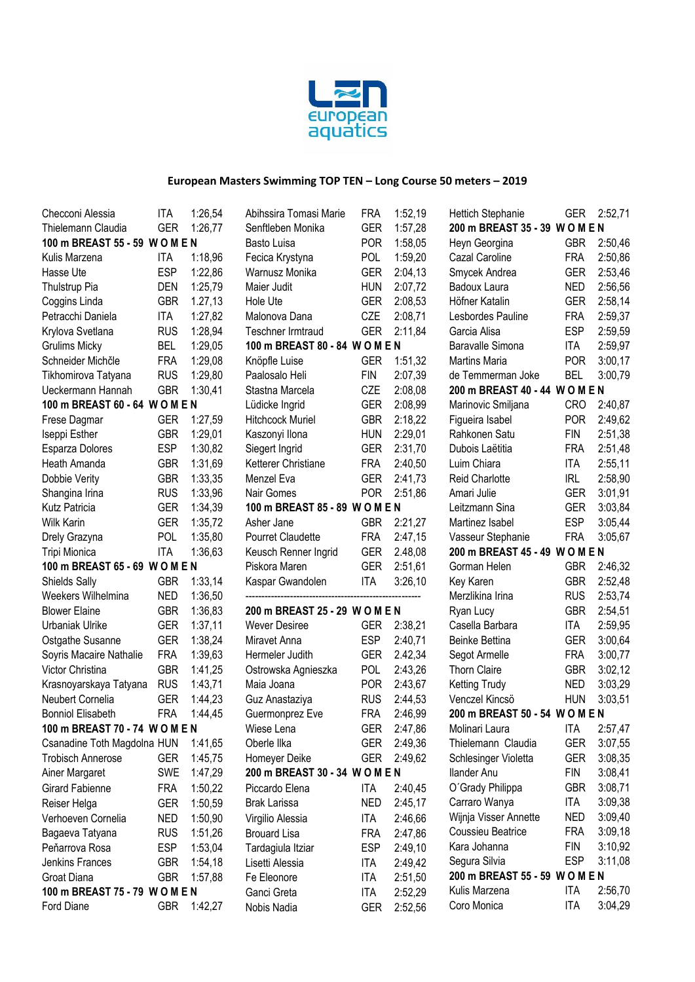

| Checconi Alessia               | <b>ITA</b> | 1:26,54  | Abihssira Tomasi Marie         | <b>FRA</b> | 1:52,19 | Hettich Stephanie              | <b>GER</b> | 2:52,71 |
|--------------------------------|------------|----------|--------------------------------|------------|---------|--------------------------------|------------|---------|
| Thielemann Claudia             | <b>GER</b> | 1:26,77  | Senftleben Monika              | <b>GER</b> | 1:57,28 | 200 m BREAST 35 - 39 W O M E N |            |         |
| 100 m BREAST 55 - 59 W O M E N |            |          | Basto Luisa                    | <b>POR</b> | 1:58,05 | Heyn Georgina                  | <b>GBR</b> | 2:50,46 |
| Kulis Marzena                  | ITA        | 1:18,96  | Fecica Krystyna                | POL        | 1:59,20 | Cazal Caroline                 | <b>FRA</b> | 2:50,86 |
| Hasse Ute                      | <b>ESP</b> | 1:22,86  | Warnusz Monika                 | <b>GER</b> | 2:04,13 | Smycek Andrea                  | <b>GER</b> | 2:53,46 |
| Thulstrup Pia                  | <b>DEN</b> | 1:25,79  | Maier Judit                    | <b>HUN</b> | 2:07,72 | Badoux Laura                   | <b>NED</b> | 2:56,56 |
| Coggins Linda                  | <b>GBR</b> | 1.27, 13 | Hole Ute                       | <b>GER</b> | 2:08,53 | Höfner Katalin                 | <b>GER</b> | 2:58,14 |
| Petracchi Daniela              | ITA        | 1:27,82  | Malonova Dana                  | CZE        | 2:08,71 | Lesbordes Pauline              | <b>FRA</b> | 2:59,37 |
| Krylova Svetlana               | <b>RUS</b> | 1:28,94  | <b>Teschner Irmtraud</b>       | <b>GER</b> | 2:11,84 | Garcia Alisa                   | <b>ESP</b> | 2:59,59 |
| <b>Grulims Micky</b>           | <b>BEL</b> | 1:29,05  | 100 m BREAST 80 - 84 W O M E N |            |         | <b>Baravalle Simona</b>        | ITA        | 2:59,97 |
| Schneider Michčle              | <b>FRA</b> | 1:29,08  | Knöpfle Luise                  | <b>GER</b> | 1:51,32 | <b>Martins Maria</b>           | <b>POR</b> | 3:00,17 |
| Tikhomirova Tatyana            | <b>RUS</b> | 1:29,80  | Paalosalo Heli                 | <b>FIN</b> | 2:07,39 | de Temmerman Joke              | <b>BEL</b> | 3:00,79 |
| Ueckermann Hannah              | <b>GBR</b> | 1:30,41  | Stastna Marcela                | CZE        | 2:08,08 | 200 m BREAST 40 - 44 W O M E N |            |         |
| 100 m BREAST 60 - 64 W O M E N |            |          | Lüdicke Ingrid                 | <b>GER</b> | 2:08,99 | Marinovic Smiljana             | <b>CRO</b> | 2:40,87 |
| Frese Dagmar                   | <b>GER</b> | 1:27,59  | <b>Hitchcock Muriel</b>        | <b>GBR</b> | 2:18,22 | Figueira Isabel                | <b>POR</b> | 2:49,62 |
| Iseppi Esther                  | <b>GBR</b> | 1:29,01  | Kaszonyi Ilona                 | <b>HUN</b> | 2:29,01 | Rahkonen Satu                  | <b>FIN</b> | 2:51,38 |
| Esparza Dolores                | <b>ESP</b> | 1:30,82  | Siegert Ingrid                 | <b>GER</b> | 2:31,70 | Dubois Laëtitia                | <b>FRA</b> | 2:51,48 |
| Heath Amanda                   | <b>GBR</b> | 1:31,69  | Ketterer Christiane            | <b>FRA</b> | 2:40,50 | Luim Chiara                    | <b>ITA</b> | 2:55,11 |
| Dobbie Verity                  | <b>GBR</b> | 1:33,35  | Menzel Eva                     | <b>GER</b> | 2:41,73 | <b>Reid Charlotte</b>          | <b>IRL</b> | 2:58,90 |
| Shangina Irina                 | <b>RUS</b> | 1:33,96  | Nair Gomes                     | <b>POR</b> | 2:51,86 | Amari Julie                    | <b>GER</b> | 3:01,91 |
| Kutz Patricia                  | <b>GER</b> | 1:34,39  | 100 m BREAST 85 - 89 W O M E N |            |         | Leitzmann Sina                 | <b>GER</b> | 3:03,84 |
| Wilk Karin                     | <b>GER</b> | 1:35,72  | Asher Jane                     | <b>GBR</b> | 2:21,27 | Martinez Isabel                | <b>ESP</b> | 3:05,44 |
| Drely Grazyna                  | POL        | 1:35,80  | <b>Pourret Claudette</b>       | <b>FRA</b> | 2:47,15 | Vasseur Stephanie              | <b>FRA</b> | 3:05,67 |
| Tripi Mionica                  | <b>ITA</b> | 1:36,63  | Keusch Renner Ingrid           | <b>GER</b> | 2.48,08 | 200 m BREAST 45 - 49 W O M E N |            |         |
| 100 m BREAST 65 - 69 W O M E N |            |          | Piskora Maren                  | <b>GER</b> | 2:51,61 | Gorman Helen                   |            | 2:46,32 |
| <b>Shields Sally</b>           | <b>GBR</b> | 1:33,14  | Kaspar Gwandolen               | ITA        | 3:26,10 | Key Karen                      | <b>GBR</b> | 2:52,48 |
| Weekers Wilhelmina             | <b>NED</b> | 1:36,50  |                                |            |         | Merzlikina Irina               | <b>RUS</b> | 2:53,74 |
| <b>Blower Elaine</b>           | <b>GBR</b> | 1:36,83  | 200 m BREAST 25 - 29 W O M E N |            |         | Ryan Lucy                      | <b>GBR</b> | 2:54,51 |
| Urbaniak Ulrike                | <b>GER</b> | 1:37,11  | Wever Desiree                  | <b>GER</b> | 2:38,21 | Casella Barbara                | <b>ITA</b> | 2:59,95 |
| Ostgathe Susanne               | <b>GER</b> | 1:38,24  | Miravet Anna                   | <b>ESP</b> | 2:40,71 | Beinke Bettina                 | <b>GER</b> | 3:00,64 |
| Soyris Macaire Nathalie        | <b>FRA</b> | 1:39,63  | Hermeler Judith                | <b>GER</b> | 2.42,34 | Segot Armelle                  | <b>FRA</b> | 3:00,77 |
| Victor Christina               | <b>GBR</b> | 1:41,25  | Ostrowska Agnieszka            | <b>POL</b> | 2:43,26 | <b>Thorn Claire</b>            | <b>GBR</b> | 3:02,12 |
| Krasnoyarskaya Tatyana         | <b>RUS</b> | 1:43,71  | Maia Joana                     | <b>POR</b> | 2:43,67 | <b>Ketting Trudy</b>           | <b>NED</b> | 3:03,29 |
| Neubert Cornelia               | <b>GER</b> | 1:44,23  | Guz Anastaziya                 | <b>RUS</b> | 2:44,53 | Venczel Kincsö                 | <b>HUN</b> | 3:03,51 |
| <b>Bonniol Elisabeth</b>       | <b>FRA</b> | 1:44,45  | Guermonprez Eve                | <b>FRA</b> | 2:46,99 | 200 m BREAST 50 - 54 W O M E N |            |         |
| 100 m BREAST 70 - 74 W O M E N |            |          | Wiese Lena                     | <b>GER</b> | 2:47,86 | Molinari Laura                 | ITA        | 2:57,47 |
| Csanadine Toth Magdolna HUN    |            | 1:41,65  | Oberle Ilka                    | <b>GER</b> | 2:49,36 | Thielemann Claudia             | <b>GER</b> | 3:07,55 |
| <b>Trobisch Annerose</b>       | GER        | 1:45,75  | Homeyer Deike                  | <b>GER</b> | 2:49,62 | Schlesinger Violetta           | GER        | 3:08,35 |
| Ainer Margaret                 | <b>SWE</b> | 1:47,29  | 200 m BREAST 30 - 34 W O M E N |            |         | llander Anu                    | FIN        | 3:08,41 |
| Girard Fabienne                | <b>FRA</b> | 1:50,22  | Piccardo Elena                 | ITA        | 2:40,45 | O'Grady Philippa               | <b>GBR</b> | 3:08,71 |
| Reiser Helga                   | <b>GER</b> | 1:50,59  | <b>Brak Larissa</b>            | <b>NED</b> | 2:45,17 | Carraro Wanya                  | ITA        | 3:09,38 |
| Verhoeven Cornelia             | <b>NED</b> | 1:50,90  | Virgilio Alessia               | ITA        | 2:46,66 | Wijnja Visser Annette          | NED        | 3:09,40 |
| Bagaeva Tatyana                | <b>RUS</b> | 1:51,26  | <b>Brouard Lisa</b>            | <b>FRA</b> | 2:47,86 | Coussieu Beatrice              | <b>FRA</b> | 3:09,18 |
| Peňarrova Rosa                 | <b>ESP</b> | 1:53,04  | Tardagiula Itziar              | <b>ESP</b> | 2:49,10 | Kara Johanna                   | FIN        | 3:10,92 |
| Jenkins Frances                | <b>GBR</b> | 1:54,18  | Lisetti Alessia                | ITA        | 2:49,42 | Segura Silvia                  | <b>ESP</b> | 3:11,08 |
| Groat Diana                    | <b>GBR</b> | 1:57,88  | Fe Eleonore                    | ITA        | 2:51,50 | 200 m BREAST 55 - 59 W O M E N |            |         |
| 100 m BREAST 75 - 79 W O M E N |            |          | Ganci Greta                    | ITA        | 2:52,29 | Kulis Marzena                  | ITA        | 2:56,70 |
| Ford Diane                     | <b>GBR</b> | 1:42,27  | Nobis Nadia                    | <b>GER</b> | 2:52,56 | Coro Monica                    | <b>ITA</b> | 3:04,29 |
|                                |            |          |                                |            |         |                                |            |         |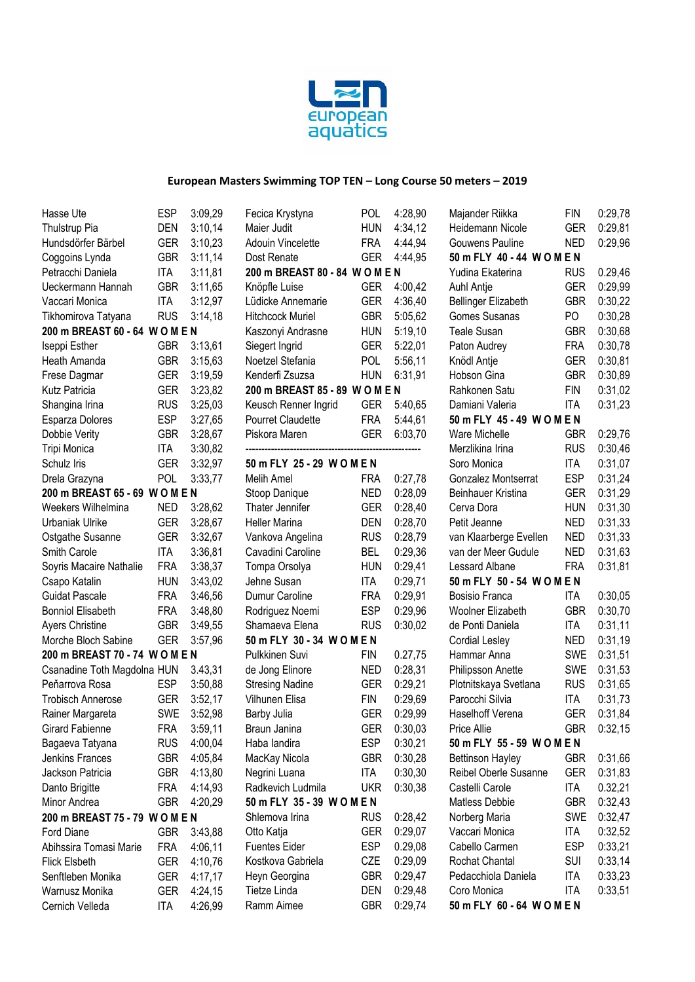

Fecica Krystyna POL 4:28,90

| Hasse Ute                      | ESP        | 3:09,29 |
|--------------------------------|------------|---------|
| Thulstrup Pia                  | DEN        | 3:10,14 |
| Hundsdörfer Bärbel             | GER        | 3:10,23 |
| Coggoins Lynda                 | GBR        | 3:11,14 |
| Petracchi Daniela              | <b>ITA</b> | 3:11,81 |
| Ueckermann Hannah              | GBR        | 3:11,65 |
| Vaccari Monica                 | ITA        | 3:12,97 |
| Tikhomirova Tatyana            | RUS        | 3:14,18 |
| 200 m BREAST 60 - 64           | WOMEN      |         |
| Iseppi Esther                  | <b>GBR</b> | 3:13,61 |
| Heath Amanda                   | GBR        | 3:15,63 |
| Frese Dagmar                   | GER        | 3:19,59 |
| Kutz Patricia                  | GER        | 3:23,82 |
| Shangina Irina                 | RUS        | 3:25,03 |
| Esparza Dolores                | ESP        | 3:27,65 |
| Dobbie Verity                  | GBR        | 3:28,67 |
| Tripi Monica                   | <b>ITA</b> | 3:30,82 |
| Schulz Iris                    | <b>GER</b> | 3:32,97 |
| Drela Grazyna                  | POL        | 3:33,77 |
| 200 m BREAST 65 - 69           | WOMEN      |         |
| Weekers Wilhelmina             | NED        | 3:28,62 |
| Urbaniak Ulrike                | GER        | 3:28,67 |
| Ostgathe Susanne               | GER        | 3:32,67 |
| Smith Carole                   | <b>ITA</b> |         |
|                                |            | 3:36,81 |
| Soyris Macaire Nathalie        | FRA        | 3:38,37 |
| Csapo Katalin                  | hun        | 3:43,02 |
| <b>Guidat Pascale</b>          | FRA        | 3:46,56 |
| <b>Bonniol Elisabeth</b>       | FRA        | 3:48,80 |
| <b>Ayers Christine</b>         | GBR        | 3:49,55 |
| Morche Bloch Sabine            | GER        | 3:57,96 |
| 200 m BREAST 70 - 74 W O M E N |            |         |
| Csanadine Toth Magdolna HUN    |            | 3.43,31 |
| Peňarrova Rosa                 | ESP        | 3:50,88 |
| <b>Trobisch Annerose</b>       | GER        | 3:52,17 |
| Rainer Margareta               | <b>SWE</b> | 3:52,98 |
| Girard Fabienne                | FRA        | 3:59,11 |
| Bagaeva Tatyana                | rus        | 4:00,04 |
| Jenkins Frances                | GBR        | 4:05,84 |
| Jackson Patricia               | GBR        | 4:13,80 |
| Danto Brigitte                 | FRA        | 4:14,93 |
| Minor Andrea                   | GBR        | 4:20,29 |
| 200 m BREAST 75 - 79 W O M E N |            |         |
| <b>Ford Diane</b>              | GBR        | 3:43,88 |
| Abihssira Tomasi Marie         | FRA        | 4:06,11 |
| <b>Flick Elsbeth</b>           | GER        | 4:10,76 |
| Senftleben Monika              | GER        | 4:17,17 |
| Warnusz Monika                 | GER        | 4:24,15 |
| Cernich Velleda                | ITA        | 4:26,99 |

| Maier Judit                        | hun               | 4:34,12            |  |  |
|------------------------------------|-------------------|--------------------|--|--|
| <b>Adouin Vincelette</b>           | <b>FRA</b>        | 4:44,94            |  |  |
| Dost Renate                        | <b>GER</b>        | 4:44,95            |  |  |
| 200 m BREAST 80 - 84 W O M E N     |                   |                    |  |  |
| Knöpfle Luise                      | <b>GER</b>        | 4:00,42            |  |  |
| Lüdicke Annemarie                  | GER               | 4:36,40            |  |  |
| <b>Hitchcock Muriel</b>            | GBR               | 5:05,62            |  |  |
| Kaszonyi Andrasne                  | HUN               | 5:19,10<br>5:22,01 |  |  |
| Siegert Ingrid                     | GER               |                    |  |  |
| Noetzel Stefania                   | POL               | 5:56,11            |  |  |
| Kenderfi Zsuzsa                    | hun               | 6:31,91            |  |  |
| 200 m BREAST 85 - 89 W O M E N     |                   |                    |  |  |
| Keusch Renner Ingrid               | GER               | 5:40,65            |  |  |
| <b>Pourret Claudette</b>           | FRA               | 5:44,61            |  |  |
| Piskora Maren                      | <b>GER</b>        | 6:03,70            |  |  |
| 50 m FLY 25 - 29 WOMEN             |                   |                    |  |  |
| Melih Amel                         | <b>FRA</b>        | 0:27,78            |  |  |
| Stoop Danique                      | <b>NED</b>        | 0:28,09            |  |  |
| Thater Jennifer                    | GER               | 0:28,40            |  |  |
| <b>Heller Marina</b>               | DEN               | 0:28,70            |  |  |
| Vankova Angelina                   | <b>RUS</b>        | 0:28,79            |  |  |
| Cavadini Caroline                  | BEL               | 0:29,36            |  |  |
| Tompa Orsolya                      | HUN               | 0:29,41            |  |  |
| Jehne Susan                        | ITA               | 0:29,71            |  |  |
| Dumur Caroline                     | FRA               | 0:29,91            |  |  |
| Rodriguez Noemi                    | ESP               | 0:29,96            |  |  |
| Shamaeva Elena                     | RUS               | 0:30,02            |  |  |
| 50 m FLY 30 - 34 WOMEN             |                   |                    |  |  |
| Pulkkinen Suvi                     | FIN               | 0.27,75            |  |  |
| de Jong Elinore                    | NED               | 0:28,31            |  |  |
| <b>Stresing Nadine</b>             | <b>GER</b>        | 0:29,21            |  |  |
| Vilhunen Elisa                     | <b>FIN</b>        | 0:29,69            |  |  |
| <b>Barby Julia</b>                 | GER               | 0:29,99            |  |  |
| Braun Janina                       | <b>GER</b>        | 0:30,03            |  |  |
| Haba landira                       | ESP               | 0:30,21            |  |  |
| MacKay Nicola                      | GBR<br><b>ITA</b> | 0:30,28<br>0:30,30 |  |  |
| Negrini Luana<br>Radkevich Ludmila |                   |                    |  |  |
| 50 m FLY 35 - 39 WOMEN             | <b>UKR</b>        | 0:30,38            |  |  |
|                                    | <b>RUS</b>        |                    |  |  |
| Shlemova Irina                     | GER               | 0:28,42<br>0:29,07 |  |  |
| Otto Katja<br><b>Fuentes Eider</b> | ESP               | 0.29,08            |  |  |
| Kostkova Gabriela                  | CZE               | 0:29,09            |  |  |
| Heyn Georgina                      | GBR               | 0:29,47            |  |  |
| <b>Tietze Linda</b>                | DEN               | 0:29,48            |  |  |
| Ramm Aimee                         | <b>GBR</b>        | 0:29,74            |  |  |
|                                    |                   |                    |  |  |

| Majander Riikka                           | FIN                      | 0:29,78            |
|-------------------------------------------|--------------------------|--------------------|
| Heidemann Nicole                          | GER                      | 0:29,81            |
| Gouwens Pauline                           | ned                      | 0:29,96            |
| 50 m FLY 40 - 44 WOMEN                    |                          |                    |
| Yudina Ekaterina                          | <b>RUS</b>               | 0.29,46            |
| Auhl Antje                                | <b>GER</b>               | 0:29,99            |
| <b>Bellinger Elizabeth</b>                | <b>GBR</b>               | 0:30,22            |
| <b>Gomes Susanas</b>                      | PO                       | 0:30,28            |
| <b>Teale Susan</b>                        | <b>GBR</b>               | 0:30,68            |
| Paton Audrey                              | <b>FRA</b>               | 0:30,78            |
| Knödl Antje<br><b>Hobson Gina</b>         | <b>GER</b>               | 0:30,81            |
| Rahkonen Satu                             | <b>GBR</b><br><b>FIN</b> | 0:30,89<br>0:31,02 |
| Damiani Valeria                           | ITA                      | 0:31,23            |
| 50 m FLY 45 - 49 WOMEN                    |                          |                    |
| <b>Ware Michelle</b>                      | <b>GBR</b>               | 0:29,76            |
| Merzlikina Irina                          | RUS                      | 0:30,46            |
| Soro Monica                               | <b>ITA</b>               | 0:31,07            |
| Gonzalez Montserrat                       | ESP                      | 0:31,24            |
| Beinhauer Kristina                        | <b>GER</b>               | 0:31,29            |
| Cerva Dora                                | <b>HUN</b>               | 0:31,30            |
| Petit Jeanne                              | <b>NED</b>               | 0:31,33            |
| van Klaarberge Evellen                    | <b>NED</b>               | 0:31,33            |
| van der Meer Gudule                       | <b>NED</b>               | 0:31,63            |
| Lessard Albane                            | <b>FRA</b>               | 0:31,81            |
| 50 m FLY 50 - 54 WOMEN                    |                          |                    |
| <b>Bosisio Franca</b>                     | <b>ITA</b>               | 0:30,05            |
| <b>Woolner Elizabeth</b>                  | <b>GBR</b>               | 0:30,70            |
| de Ponti Daniela                          | <b>ITA</b>               | 0:31,11            |
| <b>Cordial Lesley</b>                     | <b>NED</b>               | 0:31,19            |
| Hammar Anna                               | <b>SWE</b>               | 0:31,51            |
| Philipsson Anette                         | <b>SWE</b>               | 0:31,53            |
| Plotnitskaya Svetlana                     | <b>RUS</b>               | 0:31,65            |
| Parocchi Silvia                           | <b>ITA</b>               | 0:31,73            |
| Haselhoff Verena                          | <b>GER</b>               | 0:31,84            |
| Price Allie<br>50 m FLY 55 - 59 W O M E N | <b>GBR</b>               | 0:32,15            |
| <b>Bettinson Hayley</b>                   | <b>GBR</b>               | 0:31,66            |
| Reibel Oberle Susanne                     | <b>GER</b>               | 0:31,83            |
| Castelli Carole                           | ITA                      | 0.32,21            |
| <b>Matless Debbie</b>                     | <b>GBR</b>               | 0:32,43            |
| Norberg Maria                             | <b>SWE</b>               | 0:32,47            |
| Vaccari Monica                            | ITA                      | 0:32,52            |
| Cabello Carmen                            | <b>ESP</b>               | 0:33,21            |
| Rochat Chantal                            | <b>SUI</b>               | 0:33,14            |
| Pedacchiola Daniela                       | <b>ITA</b>               | 0:33,23            |
| Coro Monica                               | ITA                      | 0:33,51            |
| 50 m FLY 60 - 64 WOMEN                    |                          |                    |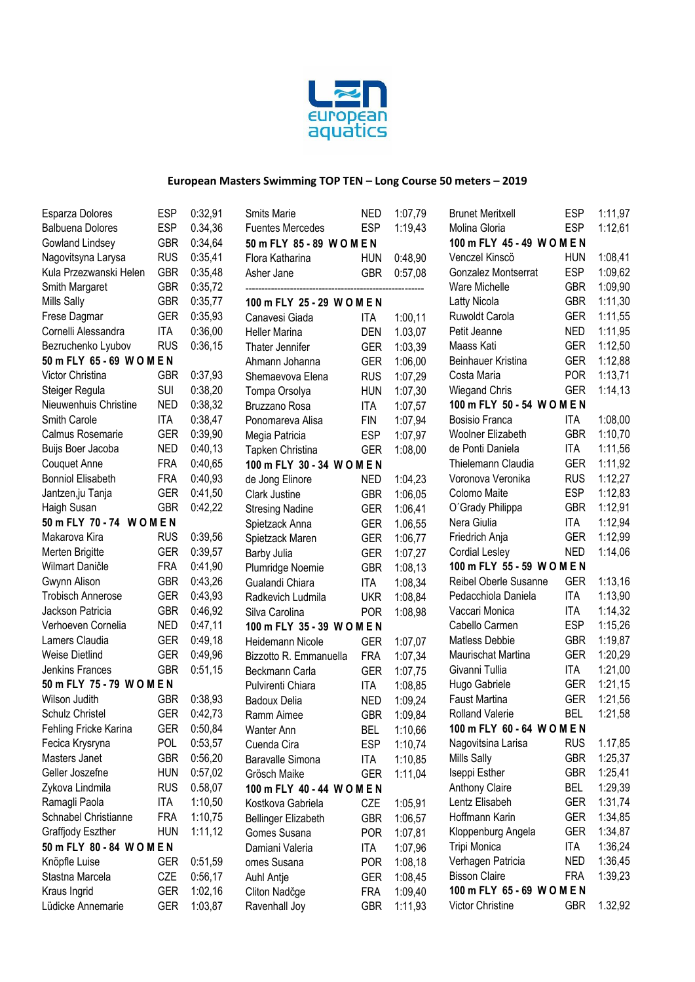

| Esparza Dolores          | <b>ESP</b> | 0:32,91 | Smits Marie                                      | <b>NED</b> | 1:07,79       | <b>Brunet Meritxell</b> | <b>ESP</b> | 1:11,97 |
|--------------------------|------------|---------|--------------------------------------------------|------------|---------------|-------------------------|------------|---------|
| <b>Balbuena Dolores</b>  | <b>ESP</b> | 0.34,36 | <b>ESP</b><br>1:19,43<br><b>Fuentes Mercedes</b> |            | Molina Gloria | <b>ESP</b>              | 1:12,61    |         |
| Gowland Lindsey          | <b>GBR</b> | 0:34,64 | 50 m FLY 85 - 89 WOMEN                           |            |               | 100 m FLY 45 - 49 WOMEN |            |         |
| Nagovitsyna Larysa       | <b>RUS</b> | 0:35,41 | Flora Katharina                                  | <b>HUN</b> | 0:48,90       | Venczel Kinscö          | <b>HUN</b> | 1:08,41 |
| Kula Przezwanski Helen   | <b>GBR</b> | 0:35,48 | Asher Jane                                       | <b>GBR</b> | 0:57,08       | Gonzalez Montserrat     | <b>ESP</b> | 1:09,62 |
| Smith Margaret           | <b>GBR</b> | 0:35,72 |                                                  |            |               | Ware Michelle           | <b>GBR</b> | 1:09,90 |
| <b>Mills Sally</b>       | <b>GBR</b> | 0:35,77 | 100 m FLY 25 - 29 WOMEN                          |            |               | Latty Nicola            | <b>GBR</b> | 1:11,30 |
| Frese Dagmar             | <b>GER</b> | 0:35,93 | Canavesi Giada                                   | <b>ITA</b> | 1:00,11       | Ruwoldt Carola          | <b>GER</b> | 1:11,55 |
| Cornelli Alessandra      | <b>ITA</b> | 0:36,00 | <b>Heller Marina</b>                             | <b>DEN</b> | 1.03,07       | Petit Jeanne            | <b>NED</b> | 1:11,95 |
| Bezruchenko Lyubov       | <b>RUS</b> | 0:36,15 | Thater Jennifer                                  | <b>GER</b> | 1:03,39       | Maass Kati              | <b>GER</b> | 1:12,50 |
| 50 m FLY 65 - 69 WOMEN   |            |         | Ahmann Johanna                                   | <b>GER</b> | 1:06,00       | Beinhauer Kristina      | <b>GER</b> | 1:12,88 |
| Victor Christina         | <b>GBR</b> | 0:37,93 | Shemaevova Elena                                 | <b>RUS</b> | 1:07,29       | Costa Maria             | <b>POR</b> | 1:13,71 |
| Steiger Regula           | SUI        | 0:38,20 | Tompa Orsolya                                    | <b>HUN</b> | 1:07,30       | <b>Wiegand Chris</b>    | <b>GER</b> | 1:14,13 |
| Nieuwenhuis Christine    | <b>NED</b> | 0:38,32 | Bruzzano Rosa                                    | <b>ITA</b> | 1:07,57       | 100 m FLY 50 - 54 WOMEN |            |         |
| Smith Carole             | <b>ITA</b> | 0:38,47 | Ponomareva Alisa                                 | FIN        | 1:07,94       | Bosisio Franca          | <b>ITA</b> | 1:08,00 |
| Calmus Rosemarie         | <b>GER</b> | 0:39,90 | Megia Patricia                                   | <b>ESP</b> | 1:07,97       | Woolner Elizabeth       | <b>GBR</b> | 1:10,70 |
| Buijs Boer Jacoba        | <b>NED</b> | 0:40,13 | Tapken Christina                                 | <b>GER</b> | 1:08,00       | de Ponti Daniela        | <b>ITA</b> | 1:11,56 |
| Couquet Anne             | <b>FRA</b> | 0:40,65 | 100 m FLY 30 - 34 WOMEN                          |            |               | Thielemann Claudia      | <b>GER</b> | 1:11,92 |
| <b>Bonniol Elisabeth</b> | <b>FRA</b> | 0:40,93 | de Jong Elinore                                  | <b>NED</b> | 1:04,23       | Voronova Veronika       | <b>RUS</b> | 1:12,27 |
| Jantzen, ju Tanja        | <b>GER</b> | 0:41,50 | Clark Justine                                    | <b>GBR</b> | 1:06,05       | Colomo Maite            | <b>ESP</b> | 1:12,83 |
| Haigh Susan              | <b>GBR</b> | 0:42,22 | <b>Stresing Nadine</b>                           | <b>GER</b> | 1:06,41       | O'Grady Philippa        | <b>GBR</b> | 1:12,91 |
| 50 m FLY 70 - 74 WOMEN   |            |         | Spietzack Anna                                   | <b>GER</b> | 1.06,55       | Nera Giulia             | <b>ITA</b> | 1:12,94 |
| Makarova Kira            | <b>RUS</b> | 0:39,56 | Spietzack Maren                                  | <b>GER</b> | 1:06,77       | Friedrich Anja          | <b>GER</b> | 1:12,99 |
| Merten Brigitte          | <b>GER</b> | 0:39,57 | Barby Julia                                      | <b>GER</b> | 1:07,27       | <b>Cordial Lesley</b>   | <b>NED</b> | 1:14,06 |
| Wilmart Daničle          | <b>FRA</b> | 0:41,90 | Plumridge Noemie                                 | <b>GBR</b> | 1:08,13       | 100 m FLY 55 - 59 WOMEN |            |         |
| Gwynn Alison             | <b>GBR</b> | 0:43,26 | Gualandi Chiara                                  | <b>ITA</b> | 1:08,34       | Reibel Oberle Susanne   | <b>GER</b> | 1:13,16 |
| <b>Trobisch Annerose</b> | <b>GER</b> | 0:43,93 | Radkevich Ludmila                                | <b>UKR</b> | 1:08,84       | Pedacchiola Daniela     | <b>ITA</b> | 1:13,90 |
| Jackson Patricia         | <b>GBR</b> | 0:46,92 | Silva Carolina                                   | <b>POR</b> | 1:08,98       | Vaccari Monica          | <b>ITA</b> | 1:14,32 |
| Verhoeven Cornelia       | <b>NED</b> | 0:47,11 | 100 m FLY 35 - 39 WOMEN                          |            |               | Cabello Carmen          | <b>ESP</b> | 1:15,26 |
| Lamers Claudia           | <b>GER</b> | 0:49,18 | Heidemann Nicole                                 | <b>GER</b> | 1:07,07       | Matless Debbie          | <b>GBR</b> | 1:19,87 |
| <b>Weise Dietlind</b>    | <b>GER</b> | 0:49,96 | Bizzotto R. Emmanuella                           | <b>FRA</b> | 1:07,34       | Maurischat Martina      | <b>GER</b> | 1:20,29 |
| Jenkins Frances          | <b>GBR</b> | 0:51,15 | Beckmann Carla                                   | <b>GER</b> | 1:07,75       | Givanni Tullia          | <b>ITA</b> | 1:21,00 |
| 50 m FLY 75 - 79 WOMEN   |            |         | Pulvirenti Chiara                                | <b>ITA</b> | 1:08,85       | Hugo Gabriele           | <b>GER</b> | 1:21,15 |
| Wilson Judith            | <b>GBR</b> | 0:38,93 | <b>Badoux Delia</b>                              | <b>NED</b> | 1:09,24       | Faust Martina           | <b>GER</b> | 1:21,56 |
| Schulz Christel          | <b>GER</b> | 0:42,73 | Ramm Aimee                                       | <b>GBR</b> | 1:09,84       | <b>Rolland Valerie</b>  | <b>BEL</b> | 1:21,58 |
| Fehling Fricke Karina    | GER        | 0:50,84 | Wanter Ann                                       | <b>BEL</b> | 1:10,66       | 100 m FLY 60 - 64 WOMEN |            |         |
| Fecica Krysryna          | <b>POL</b> | 0:53,57 | Cuenda Cira                                      | <b>ESP</b> | 1:10,74       | Nagovitsina Larisa      | <b>RUS</b> | 1.17,85 |
| Masters Janet            | <b>GBR</b> | 0:56,20 | Baravalle Simona                                 | ITA        | 1:10,85       | <b>Mills Sally</b>      | <b>GBR</b> | 1:25,37 |
| Geller Joszefne          | <b>HUN</b> | 0:57,02 | Grösch Maike                                     | <b>GER</b> | 1:11,04       | Iseppi Esther           | <b>GBR</b> | 1:25,41 |
| Zykova Lindmila          | <b>RUS</b> | 0.58,07 | 100 m FLY 40 - 44 WOMEN                          |            |               | Anthony Claire          | <b>BEL</b> | 1:29,39 |
| Ramagli Paola            | <b>ITA</b> | 1:10,50 | Kostkova Gabriela                                | CZE        | 1:05,91       | Lentz Elisabeh          | <b>GER</b> | 1:31,74 |
| Schnabel Christianne     | <b>FRA</b> | 1:10,75 | <b>Bellinger Elizabeth</b>                       | <b>GBR</b> | 1:06,57       | Hoffmann Karin          | GER        | 1:34,85 |
| Graffjody Eszther        | <b>HUN</b> | 1:11,12 | Gomes Susana                                     | <b>POR</b> | 1:07,81       | Kloppenburg Angela      | <b>GER</b> | 1:34,87 |
| 50 m FLY 80 - 84 WOMEN   |            |         | Damiani Valeria                                  | ITA        | 1:07,96       | Tripi Monica            | ITA        | 1:36,24 |
| Knöpfle Luise            | <b>GER</b> | 0:51,59 | omes Susana                                      | <b>POR</b> | 1:08,18       | Verhagen Patricia       | <b>NED</b> | 1:36,45 |
| Stastna Marcela          | CZE        | 0:56,17 | Auhl Antje                                       | <b>GER</b> | 1:08,45       | <b>Bisson Claire</b>    | <b>FRA</b> | 1:39,23 |
| Kraus Ingrid             | <b>GER</b> | 1:02,16 | Cliton Nadčge                                    | <b>FRA</b> | 1:09,40       | 100 m FLY 65 - 69 WOMEN |            |         |
| Lüdicke Annemarie        | <b>GER</b> | 1:03,87 | Ravenhall Joy                                    | <b>GBR</b> | 1:11,93       | Victor Christine        | <b>GBR</b> | 1.32,92 |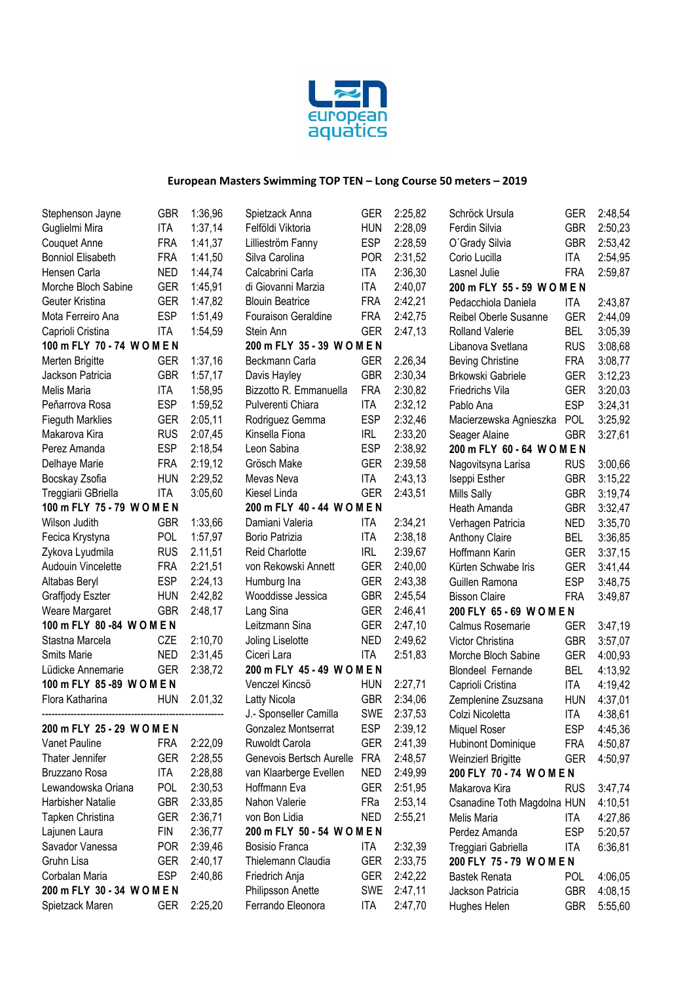

| Stephenson Jayne         | <b>GBR</b> | 1:36,96 | Spietzack Anna                             | <b>GER</b> | 2:25,82        | Schröck Ursula                            | <b>GER</b> | 2:48,54 |
|--------------------------|------------|---------|--------------------------------------------|------------|----------------|-------------------------------------------|------------|---------|
| Guglielmi Mira           | <b>ITA</b> | 1:37,14 | Felföldi Viktoria<br><b>HUN</b>            |            | 2:28,09        | Ferdin Silvia                             | <b>GBR</b> | 2:50,23 |
| <b>Couquet Anne</b>      | <b>FRA</b> | 1:41,37 | <b>ESP</b><br>2:28,59<br>Lillieström Fanny |            | O'Grady Silvia | <b>GBR</b>                                | 2:53,42    |         |
| <b>Bonniol Elisabeth</b> | <b>FRA</b> | 1:41,50 | <b>POR</b><br>2:31,52<br>Silva Carolina    |            |                | Corio Lucilla                             | ITA        | 2:54,95 |
| Hensen Carla             | <b>NED</b> | 1:44,74 | Calcabrini Carla                           | <b>ITA</b> | 2:36,30        | Lasnel Julie                              | <b>FRA</b> | 2:59,87 |
| Morche Bloch Sabine      | <b>GER</b> | 1:45,91 | di Giovanni Marzia                         | <b>ITA</b> | 2:40,07        | 200 m FLY 55 - 59 WOMEN                   |            |         |
| Geuter Kristina          | <b>GER</b> | 1:47,82 | <b>Blouin Beatrice</b>                     | <b>FRA</b> | 2:42,21        | Pedacchiola Daniela                       | ITA        | 2:43,87 |
| Mota Ferreiro Ana        | <b>ESP</b> | 1:51,49 | Fouraison Geraldine                        | <b>FRA</b> | 2:42,75        | Reibel Oberle Susanne                     | <b>GER</b> | 2:44,09 |
| Caprioli Cristina        | <b>ITA</b> | 1:54,59 | Stein Ann                                  | <b>GER</b> | 2:47,13        | <b>Rolland Valerie</b>                    | <b>BEL</b> | 3:05,39 |
| 100 m FLY 70 - 74 WOMEN  |            |         | 200 m FLY 35 - 39 WOMEN                    |            |                | Libanova Svetlana                         | <b>RUS</b> | 3:08,68 |
| Merten Brigitte          | <b>GER</b> | 1:37,16 | Beckmann Carla                             | <b>GER</b> | 2.26,34        | <b>Beving Christine</b>                   | <b>FRA</b> | 3:08,77 |
| Jackson Patricia         | <b>GBR</b> | 1:57,17 | Davis Hayley                               | <b>GBR</b> | 2:30,34        | Brkowski Gabriele                         | <b>GER</b> | 3:12,23 |
| Melis Maria              | <b>ITA</b> | 1:58,95 | Bizzotto R. Emmanuella                     | <b>FRA</b> | 2:30,82        | Friedrichs Vila                           | <b>GER</b> | 3:20,03 |
| Peňarrova Rosa           | <b>ESP</b> | 1:59,52 | Pulverenti Chiara                          | <b>ITA</b> | 2:32,12        | Pablo Ana                                 | <b>ESP</b> | 3:24,31 |
| <b>Fieguth Marklies</b>  | <b>GER</b> | 2:05,11 | Rodriguez Gemma                            | <b>ESP</b> | 2:32,46        | Macierzewska Agnieszka                    | <b>POL</b> | 3:25,92 |
| Makarova Kira            | <b>RUS</b> | 2:07,45 | Kinsella Fiona                             | <b>IRL</b> | 2:33,20        | Seager Alaine                             | <b>GBR</b> | 3:27,61 |
| Perez Amanda             | <b>ESP</b> | 2:18,54 | Leon Sabina                                | <b>ESP</b> | 2:38,92        | 200 m FLY 60 - 64 WOMEN                   |            |         |
| Delhaye Marie            | <b>FRA</b> | 2:19,12 | Grösch Make                                | <b>GER</b> | 2:39,58        | Nagovitsyna Larisa                        | <b>RUS</b> | 3:00,66 |
| Bocskay Zsofia           | <b>HUN</b> | 2:29,52 | Mevas Neva                                 | <b>ITA</b> | 2:43,13        | Iseppi Esther                             | <b>GBR</b> | 3:15,22 |
| Treggiarii GBriella      | <b>ITA</b> | 3:05,60 | Kiesel Linda                               | <b>GER</b> | 2:43,51        | <b>Mills Sally</b>                        | <b>GBR</b> | 3:19,74 |
| 100 m FLY 75 - 79 WOMEN  |            |         | 200 m FLY 40 - 44 WOMEN                    |            |                | Heath Amanda                              | <b>GBR</b> | 3:32,47 |
| Wilson Judith            | <b>GBR</b> | 1:33,66 | Damiani Valeria                            | <b>ITA</b> | 2:34,21        | Verhagen Patricia                         | <b>NED</b> | 3:35,70 |
| Fecica Krystyna          | POL        | 1:57,97 | Borio Patrizia                             | <b>ITA</b> | 2:38,18        | <b>Anthony Claire</b>                     | <b>BEL</b> | 3:36,85 |
| Zykova Lyudmila          | <b>RUS</b> | 2.11,51 | <b>Reid Charlotte</b>                      | <b>IRL</b> | 2:39,67        | Hoffmann Karin                            | <b>GER</b> | 3:37,15 |
| Audouin Vincelette       | <b>FRA</b> | 2:21,51 | von Rekowski Annett                        | <b>GER</b> | 2:40,00        | Kürten Schwabe Iris                       | <b>GER</b> | 3:41,44 |
| Altabas Beryl            | <b>ESP</b> | 2:24,13 | Humburg Ina                                | <b>GER</b> | 2:43,38        | Guillen Ramona                            | <b>ESP</b> | 3:48,75 |
| Graffjody Eszter         | <b>HUN</b> | 2:42,82 | Wooddisse Jessica                          | <b>GBR</b> | 2:45,54        | <b>Bisson Claire</b>                      | <b>FRA</b> | 3:49,87 |
| Weare Margaret           | <b>GBR</b> | 2:48,17 | Lang Sina                                  | <b>GER</b> | 2:46,41        | 200 FLY 65 - 69 WOMEN                     |            |         |
| 100 m FLY 80 -84 WOMEN   |            |         | Leitzmann Sina                             | <b>GER</b> | 2:47,10        | <b>GER</b><br>Calmus Rosemarie<br>3:47,19 |            |         |
| Stastna Marcela          | CZE        | 2:10,70 | Joling Liselotte                           | <b>NED</b> | 2:49,62        | Victor Christina                          | <b>GBR</b> | 3:57,07 |
| Smits Marie              | <b>NED</b> | 2:31,45 | Ciceri Lara                                | <b>ITA</b> | 2:51,83        | Morche Bloch Sabine                       | <b>GER</b> | 4:00,93 |
| Lüdicke Annemarie        | <b>GER</b> | 2:38,72 | 200 m FLY 45 - 49 WOMEN                    |            |                | <b>Blondeel Fernande</b>                  | <b>BEL</b> | 4:13,92 |
| 100 m FLY 85-89 WOMEN    |            |         | Venczel Kincsö                             | <b>HUN</b> | 2:27,71        | Caprioli Cristina                         | <b>ITA</b> | 4:19,42 |
| Flora Katharina          | <b>HUN</b> | 2.01,32 | Latty Nicola                               | <b>GBR</b> | 2:34,06        | Zemplenine Zsuzsana                       | <b>HUN</b> | 4:37,01 |
|                          |            |         | J.- Sponseller Camilla                     | <b>SWE</b> | 2:37,53        | Colzi Nicoletta                           | <b>ITA</b> | 4:38,61 |
| 200 m FLY 25 - 29 WOMEN  |            |         | Gonzalez Montserrat                        | <b>ESP</b> | 2:39,12        | Miquel Roser                              | ESP        | 4:45,36 |
| Vanet Pauline            | <b>FRA</b> | 2:22,09 | Ruwoldt Carola                             | <b>GER</b> | 2:41,39        | <b>Hubinont Dominique</b>                 | <b>FRA</b> | 4:50,87 |
| Thater Jennifer          | <b>GER</b> | 2:28,55 | Genevois Bertsch Aurelle                   | <b>FRA</b> | 2:48,57        | Weinzierl Brigitte                        | <b>GER</b> | 4:50,97 |
| Bruzzano Rosa            | <b>ITA</b> | 2:28,88 | van Klaarberge Evellen                     | <b>NED</b> | 2:49,99        | 200 FLY 70 - 74 WOMEN                     |            |         |
| Lewandowska Oriana       | <b>POL</b> | 2:30,53 | Hoffmann Eva                               | <b>GER</b> | 2:51,95        | Makarova Kira                             | <b>RUS</b> | 3:47,74 |
| Harbisher Natalie        | <b>GBR</b> | 2:33,85 | Nahon Valerie                              | FRa        | 2:53,14        | Csanadine Toth Magdolna HUN               |            | 4:10,51 |
| Tapken Christina         | <b>GER</b> | 2:36,71 | von Bon Lidia                              | <b>NED</b> | 2:55,21        | Melis Maria                               | ITA        | 4:27,86 |
| Lajunen Laura            | <b>FIN</b> | 2:36,77 | 200 m FLY 50 - 54 WOMEN                    |            |                | Perdez Amanda                             | <b>ESP</b> | 5:20,57 |
| Savador Vanessa          | <b>POR</b> | 2:39,46 | Bosisio Franca                             | ITA        | 2:32,39        | Treggiari Gabriella                       | ITA        | 6:36,81 |
| Gruhn Lisa               | <b>GER</b> | 2:40,17 | Thielemann Claudia                         | <b>GER</b> | 2:33,75        | 200 FLY 75 - 79 WOMEN                     |            |         |
| Corbalan Maria           | <b>ESP</b> | 2:40,86 | Friedrich Anja                             | <b>GER</b> | 2:42,22        | <b>Bastek Renata</b>                      | <b>POL</b> | 4:06,05 |
| 200 m FLY 30 - 34 WOMEN  |            |         | Philipsson Anette                          | <b>SWE</b> | 2:47,11        | Jackson Patricia                          | <b>GBR</b> | 4:08,15 |
| Spietzack Maren          | GER        | 2:25,20 | Ferrando Eleonora                          | <b>ITA</b> | 2:47,70        | Hughes Helen                              | <b>GBR</b> | 5:55,60 |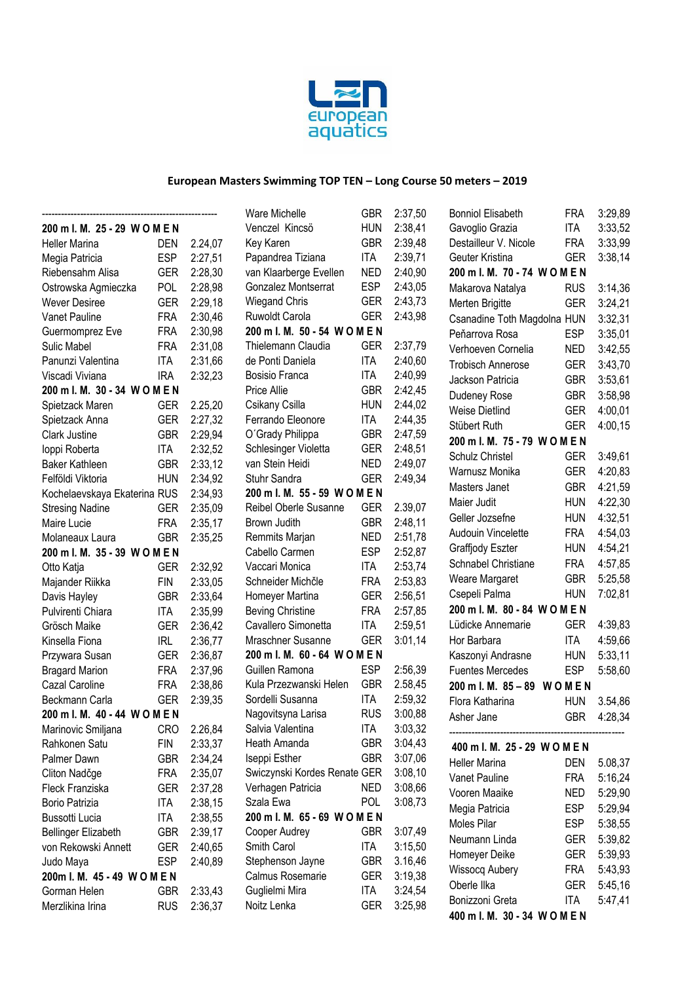

|                                     |            |         | Ware Michelle                                          | <b>GBR</b>               | 2:37,50            | <b>Bonniol Elisabeth</b>        | <b>FRA</b> | 3:29,89 |
|-------------------------------------|------------|---------|--------------------------------------------------------|--------------------------|--------------------|---------------------------------|------------|---------|
| 200 m l. M. 25 - 29 W O M E N       |            |         | Venczel Kincsö                                         | <b>HUN</b>               | 2:38,41            | Gavoglio Grazia                 | <b>ITA</b> | 3:33,52 |
| <b>Heller Marina</b>                | <b>DEN</b> | 2.24,07 | Key Karen                                              | <b>GBR</b>               | 2:39,48            | Destailleur V. Nicole           | <b>FRA</b> | 3:33,99 |
| Megia Patricia                      | <b>ESP</b> | 2:27,51 | Papandrea Tiziana<br>ITA<br>2:39,71<br>Geuter Kristina |                          |                    |                                 | <b>GER</b> | 3:38,14 |
| Riebensahm Alisa                    | <b>GER</b> | 2:28,30 | van Klaarberge Evellen                                 | <b>NED</b>               | 2:40,90            | 200 m l. M. 70 - 74 WOMEN       |            |         |
| Ostrowska Agmieczka                 | <b>POL</b> | 2:28,98 | Gonzalez Montserrat                                    | <b>ESP</b>               | 2:43.05            | Makarova Natalya                | <b>RUS</b> | 3:14,36 |
| Wever Desiree                       | <b>GER</b> | 2:29,18 | <b>Wiegand Chris</b>                                   | <b>GER</b>               | 2:43,73            | Merten Brigitte                 | <b>GER</b> | 3:24,21 |
| Vanet Pauline                       | <b>FRA</b> | 2:30,46 | Ruwoldt Carola                                         | <b>GER</b>               | 2:43,98            | Csanadine Toth Magdolna HUN     |            | 3:32,31 |
| Guermomprez Eve                     | <b>FRA</b> | 2:30,98 | 200 m l. M. 50 - 54 WOMEN                              |                          |                    | Peňarrova Rosa                  | <b>ESP</b> | 3:35,01 |
| Sulic Mabel                         | <b>FRA</b> | 2:31,08 | Thielemann Claudia                                     | <b>GER</b>               | 2:37,79            | Verhoeven Cornelia              | <b>NED</b> | 3:42,55 |
| Panunzi Valentina                   | <b>ITA</b> | 2:31,66 | de Ponti Daniela                                       | <b>ITA</b>               | 2:40,60            | <b>Trobisch Annerose</b>        | <b>GER</b> | 3:43,70 |
| Viscadi Viviana                     | <b>IRA</b> | 2:32,23 | Bosisio Franca                                         | <b>ITA</b>               | 2:40,99            | Jackson Patricia                | <b>GBR</b> | 3:53,61 |
| 200 m l. M. 30 - 34 WOMEN           |            |         | Price Allie                                            | <b>GBR</b>               | 2:42,45            | Dudeney Rose                    | <b>GBR</b> | 3:58,98 |
| Spietzack Maren                     | <b>GER</b> | 2.25,20 | Csikany Csilla                                         | <b>HUN</b>               | 2:44,02            | Weise Dietlind                  | <b>GER</b> | 4:00,01 |
| Spietzack Anna                      | <b>GER</b> | 2:27,32 | Ferrando Eleonore                                      | ITA                      | 2:44,35            | Stübert Ruth                    | <b>GER</b> | 4:00,15 |
| Clark Justine                       | <b>GBR</b> | 2:29,94 | O'Grady Philippa                                       | <b>GBR</b>               | 2:47,59            | 200 m l. M. 75 - 79 WOMEN       |            |         |
| loppi Roberta                       | <b>ITA</b> | 2:32,52 | Schlesinger Violetta                                   | <b>GER</b>               | 2:48,51            | Schulz Christel                 | <b>GER</b> | 3:49,61 |
| Baker Kathleen                      | <b>GBR</b> | 2:33,12 | van Stein Heidi                                        | <b>NED</b>               | 2:49,07            | Warnusz Monika                  | <b>GER</b> | 4:20,83 |
| Felföldi Viktoria                   | <b>HUN</b> | 2:34,92 | Stuhr Sandra                                           | <b>GER</b>               | 2:49,34            | Masters Janet                   | <b>GBR</b> | 4:21,59 |
| Kochelaevskaya Ekaterina RUS        |            | 2:34,93 | 200 m l. M. 55 - 59 WOMEN                              |                          |                    | Maier Judit                     | <b>HUN</b> | 4:22,30 |
| <b>Stresing Nadine</b>              | <b>GER</b> | 2:35,09 | Reibel Oberle Susanne                                  | <b>GER</b>               | 2.39,07            | Geller Jozsefne                 | <b>HUN</b> | 4:32,51 |
| Maire Lucie                         | <b>FRA</b> | 2:35,17 | Brown Judith                                           | <b>GBR</b>               | 2:48,11            | Audouin Vincelette              | <b>FRA</b> | 4:54,03 |
| Molaneaux Laura                     | <b>GBR</b> | 2:35,25 | Remmits Marjan                                         | <b>NED</b>               | 2:51,78            | Graffjody Eszter                | <b>HUN</b> | 4:54,21 |
| 200 m l. M. 35 - 39 WOMEN           |            |         | Cabello Carmen                                         | <b>ESP</b>               | 2:52,87            | Schnabel Christiane             | <b>FRA</b> | 4:57,85 |
| Otto Katja                          | <b>GER</b> | 2:32,92 | Vaccari Monica                                         | ITA                      | 2:53,74            |                                 | <b>GBR</b> | 5:25,58 |
| Majander Riikka                     | <b>FIN</b> | 2:33,05 | Schneider Michčle                                      | <b>FRA</b>               | 2:53,83            | Weare Margaret<br>Csepeli Palma | <b>HUN</b> | 7:02,81 |
| Davis Hayley                        | <b>GBR</b> | 2:33,64 | Homeyer Martina                                        | <b>GER</b>               | 2:56,51            |                                 |            |         |
| Pulvirenti Chiara                   | <b>ITA</b> | 2:35,99 | <b>Beving Christine</b>                                | <b>FRA</b>               | 2:57,85            | 200 m l. M. 80 - 84 WOMEN       |            |         |
| Grösch Maike                        | <b>GER</b> | 2:36,42 | Cavallero Simonetta                                    | <b>ITA</b>               | 2:59,51            | Lüdicke Annemarie               | <b>GER</b> | 4:39,83 |
| Kinsella Fiona                      | <b>IRL</b> | 2:36,77 | Mraschner Susanne                                      | <b>GER</b>               | 3:01,14            | Hor Barbara                     | ITA        | 4:59,66 |
| Przywara Susan                      | <b>GER</b> | 2:36,87 | 200 m l. M. 60 - 64 WOMEN                              |                          |                    | Kaszonyi Andrasne               | <b>HUN</b> | 5:33,11 |
| <b>Bragard Marion</b>               | <b>FRA</b> | 2:37,96 | Guillen Ramona                                         | <b>ESP</b>               | 2:56,39            | <b>Fuentes Mercedes</b>         | <b>ESP</b> | 5:58,60 |
| Cazal Caroline                      | <b>FRA</b> | 2:38,86 | Kula Przezwanski Helen<br>Sordelli Susanna             | <b>GBR</b><br><b>ITA</b> | 2.58,45<br>2:59,32 | 200 m l. M. 85 - 89 WOMEN       |            |         |
| Beckmann Carla                      | <b>GER</b> | 2:39,35 |                                                        | <b>RUS</b>               | 3:00,88            | Flora Katharina                 | <b>HUN</b> | 3.54,86 |
| 200 m l. M. 40 - 44 WOMEN           | <b>CRO</b> | 2.26,84 | Nagovitsyna Larisa<br>Salvia Valentina                 | ITA                      | 3:03,32            | Asher Jane                      | <b>GBR</b> | 4:28,34 |
| Marinovic Smiljana<br>Rahkonen Satu | FIN        | 2:33,37 | Heath Amanda                                           | <b>GBR</b>               | 3:04,43            |                                 |            |         |
| Palmer Dawn                         | <b>GBR</b> | 2:34,24 | Iseppi Esther                                          | <b>GBR</b>               | 3:07,06            | 400 m l. M. 25 - 29 WOMEN       |            |         |
| Cliton Nadčge                       | <b>FRA</b> | 2:35,07 | Swiczynski Kordes Renate GER                           |                          | 3:08,10            | <b>Heller Marina</b>            | <b>DEN</b> | 5.08,37 |
| Fleck Franziska                     | <b>GER</b> | 2:37,28 | Verhagen Patricia                                      | <b>NED</b>               | 3:08,66            | Vanet Pauline                   | <b>FRA</b> | 5:16,24 |
| Borio Patrizia                      | <b>ITA</b> | 2:38,15 | Szala Ewa                                              | <b>POL</b>               | 3:08,73            | Vooren Maaike                   | <b>NED</b> | 5:29,90 |
| Bussotti Lucia                      | ITA        | 2:38,55 | 200 m l. M. 65 - 69 WOMEN                              |                          |                    | Megia Patricia                  | <b>ESP</b> | 5:29,94 |
| <b>Bellinger Elizabeth</b>          | <b>GBR</b> | 2:39,17 | Cooper Audrey                                          | <b>GBR</b>               | 3:07,49            | Moles Pilar                     | <b>ESP</b> | 5:38,55 |
| von Rekowski Annett                 | <b>GER</b> | 2:40,65 | Smith Carol                                            | ITA                      | 3:15,50            | Neumann Linda                   | <b>GER</b> | 5:39,82 |
| Judo Maya                           | <b>ESP</b> | 2:40,89 | Stephenson Jayne                                       | <b>GBR</b>               | 3.16,46            | Homeyer Deike                   | <b>GER</b> | 5:39,93 |
| 200m I. M. 45 - 49 WOMEN            |            |         | Calmus Rosemarie                                       | <b>GER</b>               | 3:19,38            | <b>Wissocq Aubery</b>           | <b>FRA</b> | 5:43,93 |
| Gorman Helen                        | <b>GBR</b> | 2:33,43 | Guglielmi Mira                                         | <b>ITA</b>               | 3:24,54            | Oberle Ilka                     | <b>GER</b> | 5:45,16 |
| Merzlikina Irina                    | <b>RUS</b> | 2:36,37 | Noitz Lenka                                            | <b>GER</b>               | 3:25,98            | Bonizzoni Greta                 | <b>ITA</b> | 5:47,41 |
|                                     |            |         |                                                        |                          |                    | 400 m l. M. 30 - 34 WOMEN       |            |         |